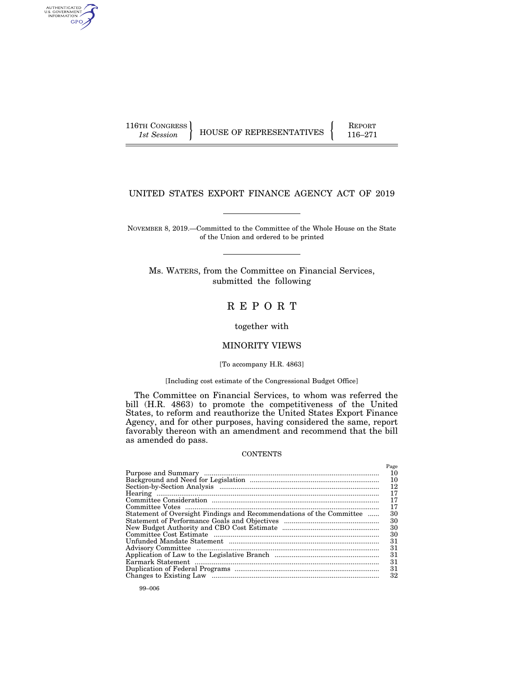AUTHENTICATED<br>U.S. GOVERNMENT<br>INFORMATION GPO

116TH CONGRESS HOUSE OF REPRESENTATIVES FEPORT 116–271

Page

## UNITED STATES EXPORT FINANCE AGENCY ACT OF 2019

NOVEMBER 8, 2019.—Committed to the Committee of the Whole House on the State of the Union and ordered to be printed

Ms. WATERS, from the Committee on Financial Services, submitted the following

# R E P O R T

together with

## MINORITY VIEWS

## [To accompany H.R. 4863]

## [Including cost estimate of the Congressional Budget Office]

The Committee on Financial Services, to whom was referred the bill (H.R. 4863) to promote the competitiveness of the United States, to reform and reauthorize the United States Export Finance Agency, and for other purposes, having considered the same, report favorably thereon with an amendment and recommend that the bill as amended do pass.

## **CONTENTS**

|                                                                      | 1 asc |
|----------------------------------------------------------------------|-------|
|                                                                      | 10    |
|                                                                      | 10    |
|                                                                      | 12    |
|                                                                      | 17    |
|                                                                      | 17    |
|                                                                      | 17    |
| Statement of Oversight Findings and Recommendations of the Committee | 30    |
|                                                                      | 30    |
|                                                                      | 30    |
|                                                                      | 30    |
|                                                                      | 31    |
|                                                                      | 31    |
|                                                                      | 31    |
|                                                                      | 31    |
|                                                                      | 31    |
|                                                                      | 32    |
|                                                                      |       |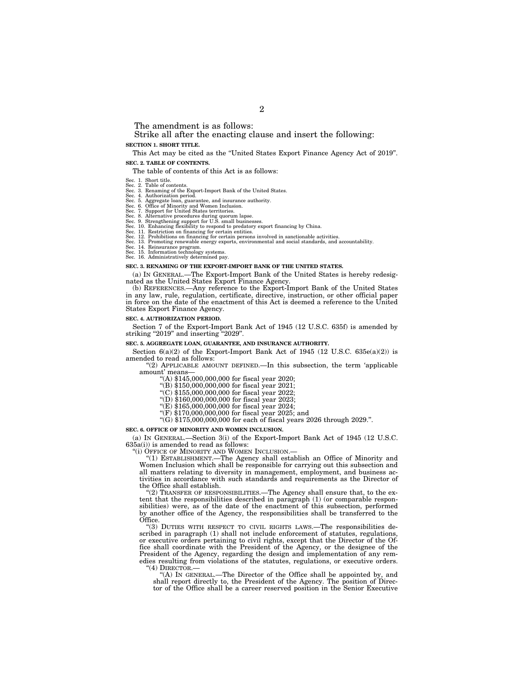The amendment is as follows:

Strike all after the enacting clause and insert the following: **SECTION 1. SHORT TITLE.** 

This Act may be cited as the ''United States Export Finance Agency Act of 2019''.

#### **SEC. 2. TABLE OF CONTENTS.**

The table of contents of this Act is as follows:

- 
- 
- 
- 
- 
- 
- 
- 
- 
- Sec. 1. Short title.<br>
Sec. 2. Table of contents.<br>
Sec. 2. Table of contents.<br>
Sec. 4. Authorization period.<br>
Sec. 5. Aggregate loan, guarantee, and insurance authority.<br>
Sec. 5. Aggregate loan, guarantee, and insurance aut
- 
- Sec. 15. Information technology systems. Sec. 16. Administratively determined pay.

#### **SEC. 3. RENAMING OF THE EXPORT-IMPORT BANK OF THE UNITED STATES.**

(a) IN GENERAL.—The Export-Import Bank of the United States is hereby redesignated as the United States Export Finance Agency.

(b) REFERENCES.—Any reference to the Export-Import Bank of the United States in any law, rule, regulation, certificate, directive, instruction, or other official paper in force on the date of the enactment of this Act is deemed a reference to the United States Export Finance Agency.

#### **SEC. 4. AUTHORIZATION PERIOD.**

Section 7 of the Export-Import Bank Act of 1945 (12 U.S.C. 635f) is amended by striking "2019" and inserting "2029".

#### **SEC. 5. AGGREGATE LOAN, GUARANTEE, AND INSURANCE AUTHORITY.**

Section 6(a)(2) of the Export-Import Bank Act of 1945 (12 U.S.C. 635e(a)(2)) is amended to read as follows:

''(2) APPLICABLE AMOUNT DEFINED.—In this subsection, the term 'applicable amount' means—

 $*(A)$  \$145,000,000,000 for fiscal year 2020;

 $(16)$  \$150,000,000,000 for fiscal year 2021;

 $(C)$  \$155,000,000,000 for fiscal year 2022.

''(D) \$160,000,000,000 for fiscal year 2023;

 $E(E)$  \$165,000,000,000 for fiscal year 2024;

- " $(F) \$170,000,000,000$  for fiscal year 2025; and
- ''(G) \$175,000,000,000 for each of fiscal years 2026 through 2029.''.

#### **SEC. 6. OFFICE OF MINORITY AND WOMEN INCLUSION.**

(a) IN GENERAL.—Section 3(i) of the Export-Import Bank Act of 1945 (12 U.S.C. 635a(i)) is amended to read as follows:

"(i) OFFICE OF MINORITY AND WOMEN INCLUSION.

''(1) ESTABLISHMENT.—The Agency shall establish an Office of Minority and Women Inclusion which shall be responsible for carrying out this subsection and all matters relating to diversity in management, employment, and business activities in accordance with such standards and requirements as the Director of the Office shall establish.

''(2) TRANSFER OF RESPONSIBILITIES.—The Agency shall ensure that, to the extent that the responsibilities described in paragraph (1) (or comparable responsibilities) were, as of the date of the enactment of this subsection, performed by another office of the Agency, the responsibilities shall be transferred to the Office.

''(3) DUTIES WITH RESPECT TO CIVIL RIGHTS LAWS.—The responsibilities described in paragraph (1) shall not include enforcement of statutes, regulations, or executive orders pertaining to civil rights, except that the Director of the Office shall coordinate with the President of the Agency, or the designee of the President of the Agency, regarding the design and implementation of any remedies resulting from violations of the statutes, regulations, or executive orders. ''(4) DIRECTOR.—

''(A) IN GENERAL.—The Director of the Office shall be appointed by, and shall report directly to, the President of the Agency. The position of Director of the Office shall be a career reserved position in the Senior Executive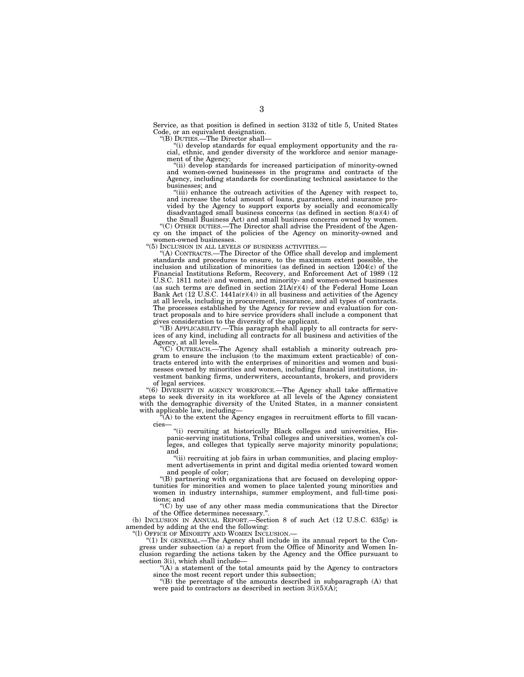Service, as that position is defined in section 3132 of title 5, United States Code, or an equivalent designation.<br>"(B) DUTIES.—The Director shall—

''(i) develop standards for equal employment opportunity and the racial, ethnic, and gender diversity of the workforce and senior management of the Agency;

''(ii) develop standards for increased participation of minority-owned and women-owned businesses in the programs and contracts of the Agency, including standards for coordinating technical assistance to the businesses; and

''(iii) enhance the outreach activities of the Agency with respect to, and increase the total amount of loans, guarantees, and insurance pro-vided by the Agency to support exports by socially and economically disadvantaged small business concerns (as defined in section  $8(a)(4)$  of

the Small Business Act) and small business concerns owned by women. ''(C) OTHER DUTIES.—The Director shall advise the President of the Agen-cy on the impact of the policies of the Agency on minority-owned and

women-owned businesses.<br>"(5) INCLUSION IN ALL LEVELS OF BUSINESS ACTIVITIES.

"(A) CONTRACTS.—The Director of the Office shall develop and implement standards and procedures to ensure, to the maximum extent possible, the inclusion and utilization of minorities (as defined in section  $1204(c)$  of the Financial Institutions Reform, Recovery, and Enforcement Act of 1989 (12 U.S.C. 1811 note)) and women, and minority- and women-owned businesses (as such terms are defined in section  $21A(r)(4)$  of the Federal Home Loan Bank Act (12 U.S.C. 1441a(r)(4)) in all business and activities of the Agency at all levels, including in procurement, insurance, and all types of contracts. The processes established by the Agency for review and evaluation for contract proposals and to hire service providers shall include a component that gives consideration to the diversity of the applicant.

''(B) APPLICABILITY.—This paragraph shall apply to all contracts for services of any kind, including all contracts for all business and activities of the

Agency, at all levels. ''(C) OUTREACH.—The Agency shall establish a minority outreach program to ensure the inclusion (to the maximum extent practicable) of contracts entered into with the enterprises of minorities and women and businesses owned by minorities and women, including financial institutions, investment banking firms, underwriters, accountants, brokers, and providers of legal services.

"(6) DIVERSITY IN AGENCY WORKFORCE.—The Agency shall take affirmative steps to seek diversity in its workforce at all levels of the Agency consistent with the demographic diversity of the United States, in a manner consistent with applicable law, including-

 ${}^{\alpha}$ (A) to the extent the Agency engages in recruitment efforts to fill vacancies—

''(i) recruiting at historically Black colleges and universities, Hispanic-serving institutions, Tribal colleges and universities, women's colleges, and colleges that typically serve majority minority populations; and

''(ii) recruiting at job fairs in urban communities, and placing employment advertisements in print and digital media oriented toward women and people of color;

''(B) partnering with organizations that are focused on developing opportunities for minorities and women to place talented young minorities and women in industry internships, summer employment, and full-time positions; and

 $\hat{C}$ ) by use of any other mass media communications that the Director of the Office determines necessary.''.

(b) INCLUSION IN ANNUAL REPORT.—Section 8 of such Act (12 U.S.C. 635g) is amended by adding at the end the following:

''(l) OFFICE OF MINORITY AND WOMEN INCLUSION.—

''(1) IN GENERAL.—The Agency shall include in its annual report to the Congress under subsection (a) a report from the Office of Minority and Women Inclusion regarding the actions taken by the Agency and the Office pursuant to section 3(i), which shall include-

" $(A)$ <sup>"</sup> a statement of the total amounts paid by the Agency to contractors since the most recent report under this subsection;

''(B) the percentage of the amounts described in subparagraph (A) that were paid to contractors as described in section  $3(i)(5)(A)$ ;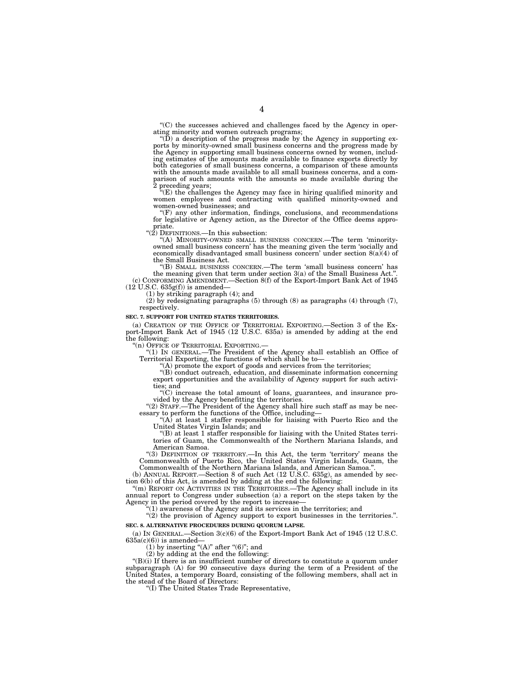''(C) the successes achieved and challenges faced by the Agency in operating minority and women outreach programs; ''(D) a description of the progress made by the Agency in supporting ex-

ports by minority-owned small business concerns and the progress made by the Agency in supporting small business concerns owned by women, including estimates of the amounts made available to finance exports directly by both categories of small business concerns, a comparison of these amounts with the amounts made available to all small business concerns, and a comparison of such amounts with the amounts so made available during the

2 preceding years; ''(E) the challenges the Agency may face in hiring qualified minority and women employees and contracting with qualified minority-owned and women-owned businesses; and

''(F) any other information, findings, conclusions, and recommendations for legislative or Agency action, as the Director of the Office deems appro-

priate.<br>"(2) DEFINITIONS.—In this subsection:

''(A) MINORITY-OWNED SMALL BUSINESS CONCERN.—The term 'minority-owned small business concern' has the meaning given the term 'socially and economically disadvantaged small business concern' under section  $8(a)(4)$  of the Small Business Act.

''(B) SMALL BUSINESS CONCERN.—The term 'small business concern' has the meaning given that term under section  $3(a)$  of the Small Business Act. (c) CONFORMING AMENDMENT.—Section 8(f) of the Export-Import Bank Act of 1945  $(12 \text{ U.S.C. } 635g(f))$  is amended-

(1) by striking paragraph (4); and

(2) by redesignating paragraphs (5) through (8) as paragraphs (4) through (7), respectively.

#### **SEC. 7. SUPPORT FOR UNITED STATES TERRITORIES.**

(a) CREATION OF THE OFFICE OF TERRITORIAL EXPORTING.—Section 3 of the Ex-port-Import Bank Act of 1945 (12 U.S.C. 635a) is amended by adding at the end the following:<br>"(n) OFFICE OF TERRITORIAL EXPORTING.-

"(1) IN GENERAL.—The President of the Agency shall establish an Office of Territorial Exporting, the functions of which shall be to—

 $(A)$  promote the export of goods and services from the territories;

''(B) conduct outreach, education, and disseminate information concerning export opportunities and the availability of Agency support for such activities; and

''(C) increase the total amount of loans, guarantees, and insurance provided by the Agency benefitting the territories.

"(2) STAFF.—The President of the Agency shall hire such staff as may be necessary to perform the functions of the Office, including—

"(A) at least 1 staffer responsible for liaising with Puerto Rico and the United States Virgin Islands; and

''(B) at least 1 staffer responsible for liaising with the United States territories of Guam, the Commonwealth of the Northern Mariana Islands, and American Samoa.

"(3) DEFINITION OF TERRITORY.—In this Act, the term 'territory' means the Commonwealth of Puerto Rico, the United States Virgin Islands, Guam, the

Commonwealth of the Northern Mariana Islands, and American Samoa.''. (b) ANNUAL REPORT.—Section 8 of such Act (12 U.S.C. 635g), as amended by section 6(b) of this Act, is amended by adding at the end the following:

''(m) REPORT ON ACTIVITIES IN THE TERRITORIES.—The Agency shall include in its annual report to Congress under subsection (a) a report on the steps taken by the Agency in the period covered by the report to increase—

''(1) awareness of the Agency and its services in the territories; and

 $\cdot$ (2) the provision of Agency support to export businesses in the territories.". **SEC. 8. ALTERNATIVE PROCEDURES DURING QUORUM LAPSE.** 

(a) IN GENERAL.—Section  $3(c)(6)$  of the Export-Import Bank Act of 1945 (12 U.S.C.  $635a(c)(6)$ ) is amended—

(1) by inserting " $(A)$ " after " $(6)$ "; and

(2) by adding at the end the following:

 $H(B)(i)$  If there is an insufficient number of directors to constitute a quorum under subparagraph (A) for 90 consecutive days during the term of a President of the United States, a temporary Board, consisting of the following members, shall act in the stead of the Board of Directors:

''(I) The United States Trade Representative,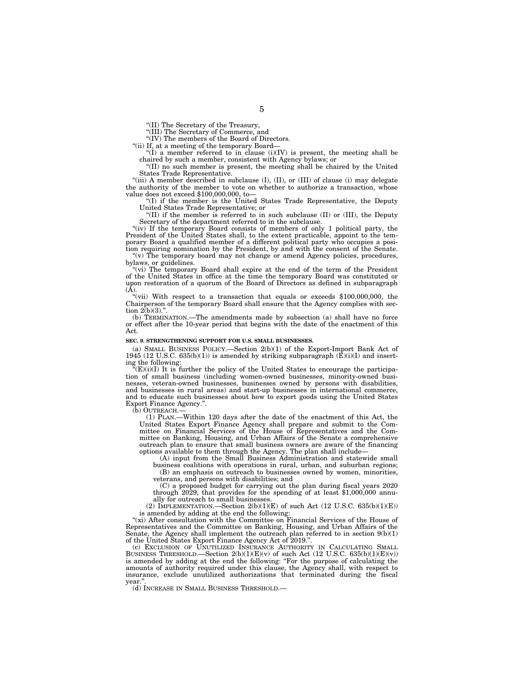'(II) The Secretary of the Treasury,

''(III) The Secretary of Commerce, and

''(IV) The members of the Board of Directors.

"(ii) If, at a meeting of the temporary Board-

"(I) a member referred to in clause  $(i)(IV)$  is present, the meeting shall be chaired by such a member, consistent with Agency bylaws; or

''(II) no such member is present, the meeting shall be chaired by the United States Trade Representative.

"(iii) A member described in subclause  $(I)$ ,  $(II)$ , or  $(III)$  of clause  $(i)$  may delegate the authority of the member to vote on whether to authorize a transaction, whose value does not exceed \$100,000,000, to—

''(I) if the member is the United States Trade Representative, the Deputy United States Trade Representative; or

"(II) if the member is referred to in such subclause  $(II)$  or  $(III)$ , the Deputy Secretary of the department referred to in the subclause.

"(iv) If the temporary Board consists of members of only 1 political party, the President of the United States shall, to the extent practicable, appoint to the temporary Board a qualified member of a different political party who occupies a position requiring nomination by the President, by and with the consent of the Senate.

 $\mathcal{H}(\mathbf{v})$  The temporary board may not change or amend Agency policies, procedures, bylaws, or guidelines.

''(vi) The temporary Board shall expire at the end of the term of the President of the United States in office at the time the temporary Board was constituted or upon restoration of a quorum of the Board of Directors as defined in subparagraph (A).

''(vii) With respect to a transaction that equals or exceeds \$100,000,000, the Chairperson of the temporary Board shall ensure that the Agency complies with section  $2(b)(3)$ ."

(b) TERMINATION.—The amendments made by subsection (a) shall have no force or effect after the 10-year period that begins with the date of the enactment of this Act.

#### **SEC. 9. STRENGTHENING SUPPORT FOR U.S. SMALL BUSINESSES.**

(a) SMALL BUSINESS POLICY.—Section 2(b)(1) of the Export-Import Bank Act of 1945 (12 U.S.C. 635(b)(1)) is amended by striking subparagraph  $(\vec{E})$ (i)(I) and inserting the following:

 $E(E)(i)$  It is further the policy of the United States to encourage the participation of small business (including women-owned businesses, minority-owned businesses, veteran-owned businesses, businesses owned by persons with disabilities, and businesses in rural areas) and start-up businesses in international commerce, and to educate such businesses about how to export goods using the United States Export Finance Agency.''.

(b) OUTREACH.—

(1) PLAN.—Within 120 days after the date of the enactment of this Act, the United States Export Finance Agency shall prepare and submit to the Committee on Financial Services of the House of Representatives and the Committee on Banking, Housing, and Urban Affairs of the Senate a comprehensive outreach plan to ensure that small business owners are aware of the financing options available to them through the Agency. The plan shall include—

(A) input from the Small Business Administration and statewide small business coalitions with operations in rural, urban, and suburban regions; (B) an emphasis on outreach to businesses owned by women, minorities, veterans, and persons with disabilities; and

(C) a proposed budget for carrying out the plan during fiscal years 2020 through  $2029$ , that provides for the spending of at least \$1,000,000 annually for outreach to small businesses.

(2) IMPLEMENTATION.—Section  $2(b)(1)(E)$  of such Act (12 U.S.C. 635(b)(1)(E)) is amended by adding at the end the following:

''(xi) After consultation with the Committee on Financial Services of the House of Representatives and the Committee on Banking, Housing, and Urban Affairs of the Senate, the Agency shall implement the outreach plan referred to in section 9(b)(1) of the United States Export Finance Agency Act of 2019.

(c) EXCLUSION OF UNUTILIZED INSURANCE AUTHORITY IN CALCULATING SMALL BUSINESS THRESHOLD.—Section  $2(b)(1)(E)(v)$  of such Act (12 U.S.C. 635(b)(1)(E)(v)) is amended by adding at the end the following: ''For the purpose of calculating the amounts of authority required under this clause, the Agency shall, with respect to insurance, exclude unutilized authorizations that terminated during the fiscal year.''.

(d) INCREASE IN SMALL BUSINESS THRESHOLD.—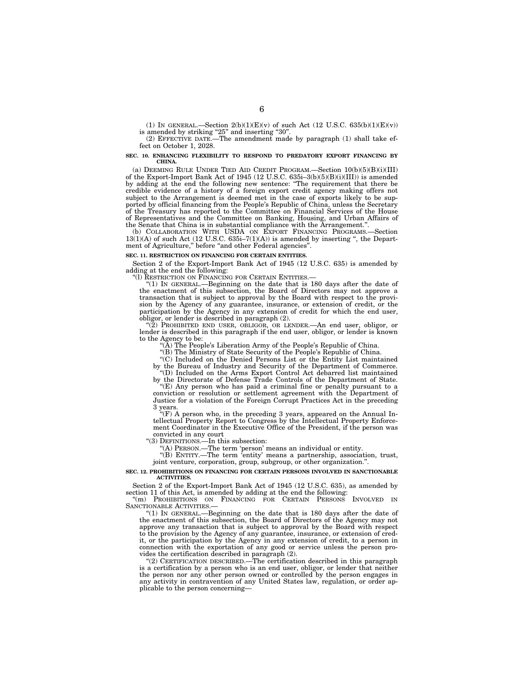(1) IN GENERAL.—Section  $2(b)(1)(E)(v)$  of such Act (12 U.S.C. 635(b)(1)(E)(v)) is amended by striking "25" and inserting "30".

(2) EFFECTIVE DATE.—The amendment made by paragraph (1) shall take effect on October 1, 2028.

#### **SEC. 10. ENHANCING FLEXIBILITY TO RESPOND TO PREDATORY EXPORT FINANCING BY CHINA.**

(a) DEEMING RULE UNDER TIED AID CREDIT PROGRAM.—Section 10(b)(5)(B)(i)(III) of the Export-Import Bank Act of 1945 (12 U.S.C. 635i–3(b)(5)(B)(i)(III)) is amended by adding at the end the following new sentence: ''The requirement that there be credible evidence of a history of a foreign export credit agency making offers not subject to the Arrangement is deemed met in the case of exports likely to be supported by official financing from the People's Republic of China, unless the Secretary of the Treasury has reported to the Committee on Financial Services of the House of Representatives and the Committee on Banking, Housing, and Urban Affairs of the Senate that China is in substantial compliance with the Arrangement.''.

(b) COLLABORATION WITH USDA ON EXPORT FINANCING PROGRAMS.—Section  $13(1)(A)$  of such Act (12 U.S.C. 635i–7(1)(A)) is amended by inserting ", the Department of Agriculture," before "and other Federal agencies".

## **SEC. 11. RESTRICTION ON FINANCING FOR CERTAIN ENTITIES.**

Section 2 of the Export-Import Bank Act of 1945 (12 U.S.C. 635) is amended by adding at the end the following:

''(l) RESTRICTION ON FINANCING FOR CERTAIN ENTITIES.—

''(1) IN GENERAL.—Beginning on the date that is 180 days after the date of the enactment of this subsection, the Board of Directors may not approve a transaction that is subject to approval by the Board with respect to the provision by the Agency of any guarantee, insurance, or extension of credit, or the participation by the Agency in any extension of credit for which the end user, obligor, or lender is described in paragraph (2).

''(2) PROHIBITED END USER, OBLIGOR, OR LENDER.—An end user, obligor, or lender is described in this paragraph if the end user, obligor, or lender is known to the Agency to be:

"(A) The People's Liberation Army of the People's Republic of China.

''(B) The Ministry of State Security of the People's Republic of China.

''(C) Included on the Denied Persons List or the Entity List maintained by the Bureau of Industry and Security of the Department of Commerce.

''(D) Included on the Arms Export Control Act debarred list maintained by the Directorate of Defense Trade Controls of the Department of State. ''(E) Any person who has paid a criminal fine or penalty pursuant to a

conviction or resolution or settlement agreement with the Department of Justice for a violation of the Foreign Corrupt Practices Act in the preceding 3 years.

''(F) A person who, in the preceding 3 years, appeared on the Annual Intellectual Property Report to Congress by the Intellectual Property Enforcement Coordinator in the Executive Office of the President, if the person was convicted in any court

''(3) DEFINITIONS.—In this subsection:

''(A) PERSON.—The term 'person' means an individual or entity.

''(B) ENTITY.—The term 'entity' means a partnership, association, trust, joint venture, corporation, group, subgroup, or other organization.''.

#### **SEC. 12. PROHIBITIONS ON FINANCING FOR CERTAIN PERSONS INVOLVED IN SANCTIONABLE ACTIVITIES.**

Section 2 of the Export-Import Bank Act of 1945 (12 U.S.C. 635), as amended by section 11 of this Act, is amended by adding at the end the following:

''(m) PROHIBITIONS ON FINANCING FOR CERTAIN PERSONS INVOLVED IN SANCTIONABLE ACTIVITIES.

''(1) IN GENERAL.—Beginning on the date that is 180 days after the date of the enactment of this subsection, the Board of Directors of the Agency may not approve any transaction that is subject to approval by the Board with respect to the provision by the Agency of any guarantee, insurance, or extension of credit, or the participation by the Agency in any extension of credit, to a person in connection with the exportation of any good or service unless the person provides the certification described in paragraph (2).

''(2) CERTIFICATION DESCRIBED.—The certification described in this paragraph is a certification by a person who is an end user, obligor, or lender that neither the person nor any other person owned or controlled by the person engages in any activity in contravention of any United States law, regulation, or order applicable to the person concerning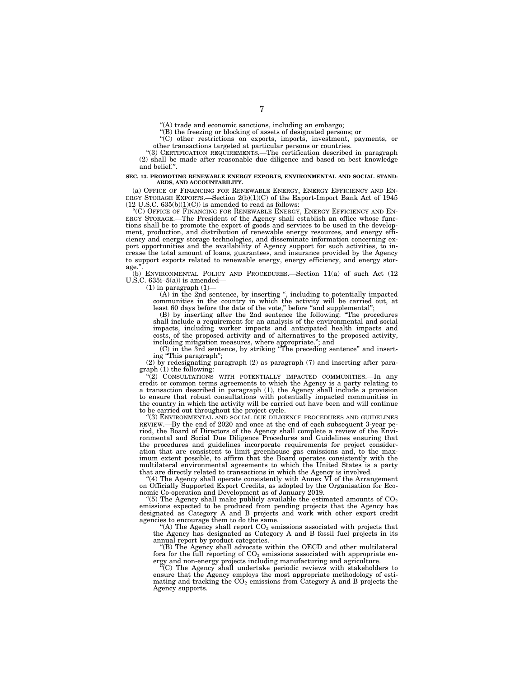'(A) trade and economic sanctions, including an embargo;

''(B) the freezing or blocking of assets of designated persons; or

''(C) other restrictions on exports, imports, investment, payments, or other transactions targeted at particular persons or countries.

''(3) CERTIFICATION REQUIREMENTS.—The certification described in paragraph (2) shall be made after reasonable due diligence and based on best knowledge and belief."

#### **SEC. 13. PROMOTING RENEWABLE ENERGY EXPORTS, ENVIRONMENTAL AND SOCIAL STAND-ARDS, AND ACCOUNTABILITY.**

(a) OFFICE OF FINANCING FOR RENEWABLE ENERGY, ENERGY EFFICIENCY AND EN-ERGY STORAGE EXPORTS.—Section 2(b)(1)(C) of the Export-Import Bank Act of 1945  $(12 \text{ U.S.C. } 635(b)(1)(C))$  is amended to read as follows:

''(C) OFFICE OF FINANCING FOR RENEWABLE ENERGY, ENERGY EFFICIENCY AND EN-ERGY STORAGE.—The President of the Agency shall establish an office whose functions shall be to promote the export of goods and services to be used in the development, production, and distribution of renewable energy resources, and energy efficiency and energy storage technologies, and disseminate information concerning export opportunities and the availability of Agency support for such activities, to increase the total amount of loans, guarantees, and insurance provided by the Agency to support exports related to renewable energy, energy efficiency, and energy storage.'

(b) ENVIRONMENTAL POLICY AND PROCEDURES.—Section 11(a) of such Act (12 U.S.C.  $635i-5(a)$  is amended-

 $(1)$  in paragraph  $(1)$ –

(A) in the 2nd sentence, by inserting '', including to potentially impacted communities in the country in which the activity will be carried out, at least 60 days before the date of the vote," before "and supplemental";

(B) by inserting after the 2nd sentence the following: ''The procedures shall include a requirement for an analysis of the environmental and social impacts, including worker impacts and anticipated health impacts and costs, of the proposed activity and of alternatives to the proposed activity, including mitigation measures, where appropriate.''; and

(C) in the 3rd sentence, by striking ''The preceding sentence'' and inserting ''This paragraph'';

(2) by redesignating paragraph (2) as paragraph (7) and inserting after paragraph  $(1)$  the following:

''(2) CONSULTATIONS WITH POTENTIALLY IMPACTED COMMUNITIES.—In any credit or common terms agreements to which the Agency is a party relating to a transaction described in paragraph (1), the Agency shall include a provision to ensure that robust consultations with potentially impacted communities in the country in which the activity will be carried out have been and will continue to be carried out throughout the project cycle.

''(3) ENVIRONMENTAL AND SOCIAL DUE DILIGENCE PROCEDURES AND GUIDELINES REVIEW.—By the end of 2020 and once at the end of each subsequent 3-year period, the Board of Directors of the Agency shall complete a review of the Environmental and Social Due Diligence Procedures and Guidelines ensuring that the procedures and guidelines incorporate requirements for project consideration that are consistent to limit greenhouse gas emissions and, to the maximum extent possible, to affirm that the Board operates consistently with the multilateral environmental agreements to which the United States is a party that are directly related to transactions in which the Agency is involved.

''(4) The Agency shall operate consistently with Annex VI of the Arrangement on Officially Supported Export Credits, as adopted by the Organisation for Economic Co-operation and Development as of January 2019.

"(5) The Agency shall make publicly available the estimated amounts of  $CO<sub>2</sub>$ emissions expected to be produced from pending projects that the Agency has designated as Category A and B projects and work with other export credit agencies to encourage them to do the same.

"(A) The Agency shall report  $CO<sub>2</sub>$  emissions associated with projects that the Agency has designated as Category A and B fossil fuel projects in its annual report by product categories.

''(B) The Agency shall advocate within the OECD and other multilateral fora for the full reporting of  $CO<sub>2</sub>$  emissions associated with appropriate en-

ergy and non-energy projects including manufacturing and agriculture. ''(C) The Agency shall undertake periodic reviews with stakeholders to ensure that the Agency employs the most appropriate methodology of estimating and tracking the  $CO<sub>2</sub>$  emissions from Category A and B projects the Agency supports.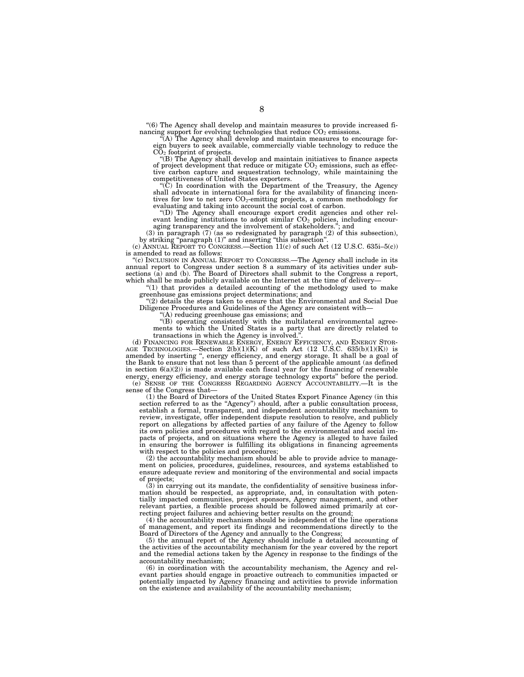''(6) The Agency shall develop and maintain measures to provide increased financing support for evolving technologies that reduce  $CO<sub>2</sub>$  emissions. "(A) The Agency shall develop and maintain measures to encourage for-

eign buyers to seek available, commercially viable technology to reduce the

CO2 footprint of projects. ''(B) The Agency shall develop and maintain initiatives to finance aspects of project development that reduce or mitigate  $CO<sub>2</sub>$  emissions, such as effective carbon capture and sequestration technology, while maintaining the competitiveness of United States exporters.

''(C) In coordination with the Department of the Treasury, the Agency shall advocate in international fora for the availability of financing incentives for low to net zero  $CO_2$ -emitting projects, a common methodology for evaluating and taking into account the social cost of carbon.

"(D) The Agency shall encourage export credit agencies and other relevant lending institutions to adopt similar  $CO<sub>2</sub>$  policies, including encouraging transparency and the involvement of stakeholders.''; and

(3) in paragraph  $(7)$  (as so redesignated by paragraph  $(2)$  of this subsection), by striking "paragraph (1)" and inserting "this subsection".<br>(c) ANNUAL REPORT TO CONGRESS.—Section 11(c) of such Act (12 U.S.C. 635i–5(c))

is amended to read as follows:

''(c) INCLUSION IN ANNUAL REPORT TO CONGRESS.—The Agency shall include in its annual report to Congress under section 8 a summary of its activities under subsections (a) and (b). The Board of Directors shall submit to the Congress a report, which shall be made publicly available on the Internet at the time of delivery-

''(1) that provides a detailed accounting of the methodology used to make greenhouse gas emissions project determinations; and

''(2) details the steps taken to ensure that the Environmental and Social Due Diligence Procedures and Guidelines of the Agency are consistent with—

''(A) reducing greenhouse gas emissions; and

''(B) operating consistently with the multilateral environmental agreements to which the United States is a party that are directly related to transactions in which the Agency is involved.'

(d) FINANCING FOR RENEWABLE ENERGY, ENERGY EFFICIENCY, AND ENERGY STOR-AGE TECHNOLOGIES.—Section  $2(b)(1)(K)$  of such Act (12 U.S.C. 635(b)(1)(K)) is amended by inserting '', energy efficiency, and energy storage. It shall be a goal of the Bank to ensure that not less than 5 percent of the applicable amount (as defined in section  $6(a)(2)$  is made available each fiscal year for the financing of renewable energy, energy efficiency, and energy storage technology exports'' before the period. (e) SENSE OF THE CONGRESS REGARDING AGENCY ACCOUNTABILITY.—It is the sense of the Congress that—

(1) the Board of Directors of the United States Export Finance Agency (in this section referred to as the "Agency") should, after a public consultation process, establish a formal, transparent, and independent accountability mechanism to review, investigate, offer independent dispute resolution to resolve, and publicly report on allegations by affected parties of any failure of the Agency to follow its own policies and procedures with regard to the environmental and social impacts of projects, and on situations where the Agency is alleged to have failed in ensuring the borrower is fulfilling its obligations in financing agreements with respect to the policies and procedures;

(2) the accountability mechanism should be able to provide advice to management on policies, procedures, guidelines, resources, and systems established to ensure adequate review and monitoring of the environmental and social impacts of projects;

(3) in carrying out its mandate, the confidentiality of sensitive business information should be respected, as appropriate, and, in consultation with potentially impacted communities, project sponsors, Agency management, and other relevant parties, a flexible process should be followed aimed primarily at correcting project failures and achieving better results on the ground;

(4) the accountability mechanism should be independent of the line operations of management, and report its findings and recommendations directly to the Board of Directors of the Agency and annually to the Congress;

(5) the annual report of the Agency should include a detailed accounting of the activities of the accountability mechanism for the year covered by the report and the remedial actions taken by the Agency in response to the findings of the accountability mechanism;

(6) in coordination with the accountability mechanism, the Agency and relevant parties should engage in proactive outreach to communities impacted or potentially impacted by Agency financing and activities to provide information on the existence and availability of the accountability mechanism;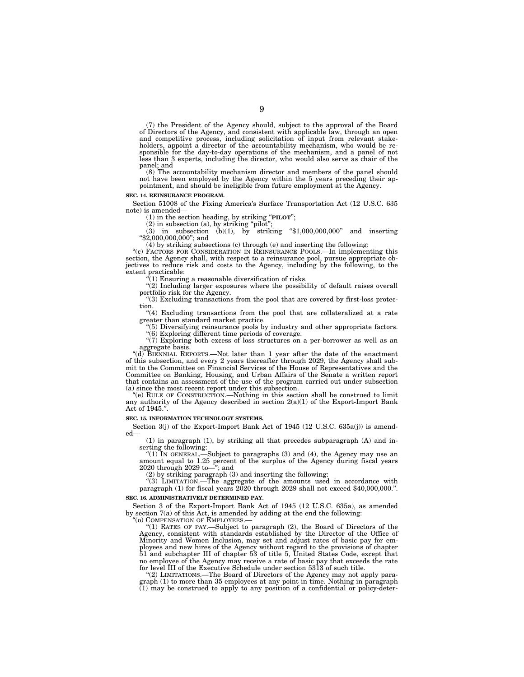(7) the President of the Agency should, subject to the approval of the Board of Directors of the Agency, and consistent with applicable law, through an open and competitive process, including solicitation of input from relevant stakeholders, appoint a director of the accountability mechanism, who would be responsible for the day-to-day operations of the mechanism, and a panel of not less than 3 experts, including the director, who would also serve as chair of the panel; and

(8) The accountability mechanism director and members of the panel should not have been employed by the Agency within the 5 years preceding their ap-pointment, and should be ineligible from future employment at the Agency.

#### **SEC. 14. REINSURANCE PROGRAM.**

Section 51008 of the Fixing America's Surface Transportation Act (12 U.S.C. 635 note) is amended—

(1) in the section heading, by striking ''**PILOT**'';

 $(2)$  in subsection  $(a)$ , by striking "pilot";

(3) in subsection  $(b)(1)$ , by striking "\$1,000,000,000" and inserting ''\$2,000,000,000''; and

(4) by striking subsections (c) through (e) and inserting the following:

"(c) FACTORS FOR CONSIDERATION IN REINSURANCE POOLS.—In implementing this section, the Agency shall, with respect to a reinsurance pool, pursue appropriate objectives to reduce risk and costs to the Agency, including by the following, to the extent practicable:

 $f(1)$  Ensuring a reasonable diversification of risks.

"(2) Including larger exposures where the possibility of default raises overall portfolio risk for the Agency.

"(3) Excluding transactions from the pool that are covered by first-loss protection.

"(4) Excluding transactions from the pool that are collateralized at a rate greater than standard market practice.

''(5) Diversifying reinsurance pools by industry and other appropriate factors. ''(6) Exploring different time periods of coverage.

''(7) Exploring both excess of loss structures on a per-borrower as well as an aggregate basis.

''(d) BIENNIAL REPORTS.—Not later than 1 year after the date of the enactment of this subsection, and every 2 years thereafter through 2029, the Agency shall submit to the Committee on Financial Services of the House of Representatives and the Committee on Banking, Housing, and Urban Affairs of the Senate a written report that contains an assessment of the use of the program carried out under subsection (a) since the most recent report under this subsection.

''(e) RULE OF CONSTRUCTION.—Nothing in this section shall be construed to limit any authority of the Agency described in section  $2(a)(1)$  of the Export-Import Bank Act of 1945.'

#### **SEC. 15. INFORMATION TECHNOLOGY SYSTEMS.**

Section 3(j) of the Export-Import Bank Act of 1945 (12 U.S.C. 635a(j)) is amended—

(1) in paragraph (1), by striking all that precedes subparagraph (A) and inserting the following:

"(1) In GENERAL.—Subject to paragraphs  $(3)$  and  $(4)$ , the Agency may use an amount equal to 1.25 percent of the surplus of the Agency during fiscal years 2020 through 2029 to—''; and

(2) by striking paragraph (3) and inserting the following: ''(3) LIMITATION.—The aggregate of the amounts used in accordance with paragraph (1) for fiscal years 2020 through 2029 shall not exceed \$40,000,000.''.

#### **SEC. 16. ADMINISTRATIVELY DETERMINED PAY.**

Section 3 of the Export-Import Bank Act of 1945 (12 U.S.C. 635a), as amended by section 7(a) of this Act, is amended by adding at the end the following:

''(o) COMPENSATION OF EMPLOYEES.—

"(1) RATES OF PAY.—Subject to paragraph (2), the Board of Directors of the Agency, consistent with standards established by the Director of the Office of Minority and Women Inclusion, may set and adjust rates of basic pay for employees and new hires of the Agency without regard to the provisions of chapter 51 and subchapter III of chapter 53 of title 5, United States Code, except that no employee of the Agency may receive a rate of basic pay that exceeds the rate for level III of the Executive Schedule under section 5313 of such title.

"(2) LIMITATIONS.-The Board of Directors of the Agency may not apply paragraph (1) to more than 35 employees at any point in time. Nothing in paragraph (1) may be construed to apply to any position of a confidential or policy-deter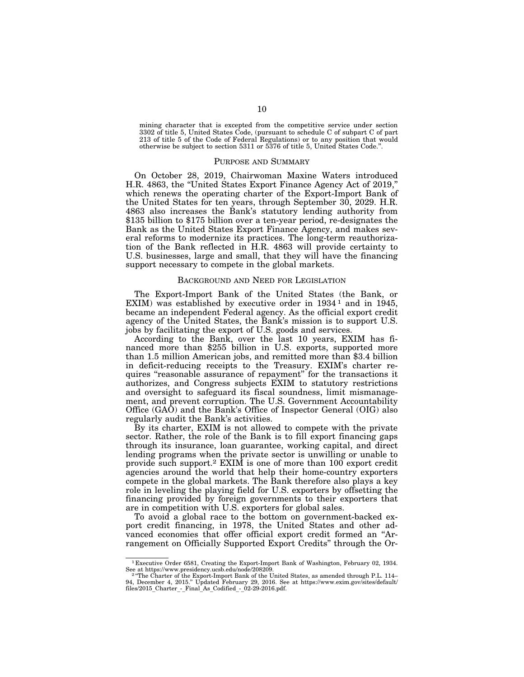mining character that is excepted from the competitive service under section 3302 of title 5, United States Code, (pursuant to schedule C of subpart C of part 213 of title 5 of the Code of Federal Regulations) or to any position that would otherwise be subject to section 5311 or 5376 of title 5, United States Code.''.

#### PURPOSE AND SUMMARY

On October 28, 2019, Chairwoman Maxine Waters introduced H.R. 4863, the "United States Export Finance Agency Act of 2019," which renews the operating charter of the Export-Import Bank of the United States for ten years, through September 30, 2029. H.R. 4863 also increases the Bank's statutory lending authority from \$135 billion to \$175 billion over a ten-year period, re-designates the Bank as the United States Export Finance Agency, and makes several reforms to modernize its practices. The long-term reauthorization of the Bank reflected in H.R. 4863 will provide certainty to U.S. businesses, large and small, that they will have the financing support necessary to compete in the global markets.

#### BACKGROUND AND NEED FOR LEGISLATION

The Export-Import Bank of the United States (the Bank, or EXIM) was established by executive order in  $1934<sup>1</sup>$  and in 1945, became an independent Federal agency. As the official export credit agency of the United States, the Bank's mission is to support U.S. jobs by facilitating the export of U.S. goods and services.

According to the Bank, over the last 10 years, EXIM has financed more than \$255 billion in U.S. exports, supported more than 1.5 million American jobs, and remitted more than \$3.4 billion in deficit-reducing receipts to the Treasury. EXIM's charter requires "reasonable assurance of repayment" for the transactions it authorizes, and Congress subjects EXIM to statutory restrictions and oversight to safeguard its fiscal soundness, limit mismanagement, and prevent corruption. The U.S. Government Accountability Office (GAO) and the Bank's Office of Inspector General (OIG) also regularly audit the Bank's activities.

By its charter, EXIM is not allowed to compete with the private sector. Rather, the role of the Bank is to fill export financing gaps through its insurance, loan guarantee, working capital, and direct lending programs when the private sector is unwilling or unable to provide such support.2 EXIM is one of more than 100 export credit agencies around the world that help their home-country exporters compete in the global markets. The Bank therefore also plays a key role in leveling the playing field for U.S. exporters by offsetting the financing provided by foreign governments to their exporters that are in competition with U.S. exporters for global sales.

To avoid a global race to the bottom on government-backed export credit financing, in 1978, the United States and other advanced economies that offer official export credit formed an ''Arrangement on Officially Supported Export Credits'' through the Or-

<sup>1</sup> Executive Order 6581, Creating the Export-Import Bank of Washington, February 02, 1934. See at https://www.presidency.ucsb.edu/node/208209.<br><sup>2</sup> "The Charter of the Export-Import Bank of the United States, as amended through P.L. 114–

<sup>94,</sup> December 4, 2015.'' Updated February 29, 2016. See at https://www.exim.gov/sites/default/ files/2015\_Charter\_-\_Final\_As\_Codified\_-\_02-29-2016.pdf.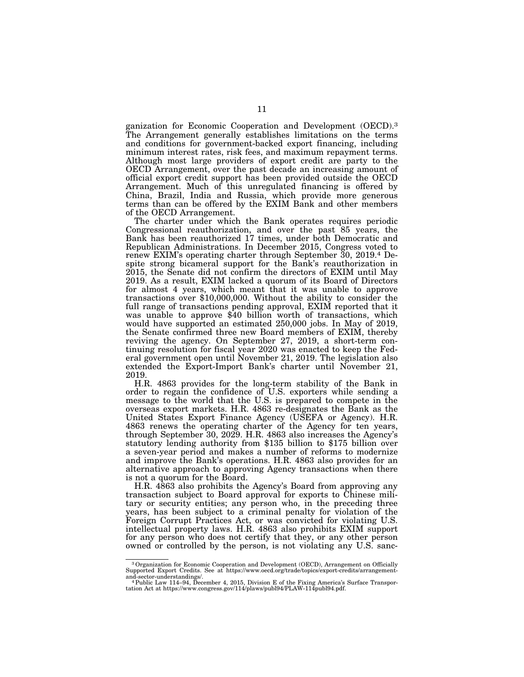ganization for Economic Cooperation and Development (OECD).3 The Arrangement generally establishes limitations on the terms and conditions for government-backed export financing, including minimum interest rates, risk fees, and maximum repayment terms. Although most large providers of export credit are party to the OECD Arrangement, over the past decade an increasing amount of official export credit support has been provided outside the OECD Arrangement. Much of this unregulated financing is offered by China, Brazil, India and Russia, which provide more generous terms than can be offered by the EXIM Bank and other members of the OECD Arrangement.

The charter under which the Bank operates requires periodic Congressional reauthorization, and over the past 85 years, the Bank has been reauthorized 17 times, under both Democratic and Republican Administrations. In December 2015, Congress voted to renew EXIM's operating charter through September 30, 2019.4 Despite strong bicameral support for the Bank's reauthorization in 2015, the Senate did not confirm the directors of EXIM until May 2019. As a result, EXIM lacked a quorum of its Board of Directors for almost 4 years, which meant that it was unable to approve transactions over \$10,000,000. Without the ability to consider the full range of transactions pending approval, EXIM reported that it was unable to approve \$40 billion worth of transactions, which would have supported an estimated 250,000 jobs. In May of 2019, the Senate confirmed three new Board members of EXIM, thereby reviving the agency. On September 27, 2019, a short-term continuing resolution for fiscal year 2020 was enacted to keep the Federal government open until November 21, 2019. The legislation also extended the Export-Import Bank's charter until November 21, 2019.

H.R. 4863 provides for the long-term stability of the Bank in order to regain the confidence of U.S. exporters while sending a message to the world that the U.S. is prepared to compete in the overseas export markets. H.R. 4863 re-designates the Bank as the United States Export Finance Agency (USEFA or Agency). H.R. 4863 renews the operating charter of the Agency for ten years, through September 30, 2029. H.R. 4863 also increases the Agency's statutory lending authority from \$135 billion to \$175 billion over a seven-year period and makes a number of reforms to modernize and improve the Bank's operations. H.R. 4863 also provides for an alternative approach to approving Agency transactions when there is not a quorum for the Board.

H.R. 4863 also prohibits the Agency's Board from approving any transaction subject to Board approval for exports to Chinese military or security entities; any person who, in the preceding three years, has been subject to a criminal penalty for violation of the Foreign Corrupt Practices Act, or was convicted for violating U.S. intellectual property laws. H.R. 4863 also prohibits EXIM support for any person who does not certify that they, or any other person owned or controlled by the person, is not violating any U.S. sanc-

<sup>3</sup>Organization for Economic Cooperation and Development (OECD), Arrangement on Officially Supported Export Credits. See at https://www.oecd.org/trade/topics/export-credits/arrangement-

and-sector-understandings/.<br>" Public Law 114–94, December 4, 2015, Division E of the Fixing America's Surface Transpor-<br>tation Act at https://www.congress.gov/114/plaws/publ94/PLAW-114publ94.pdf.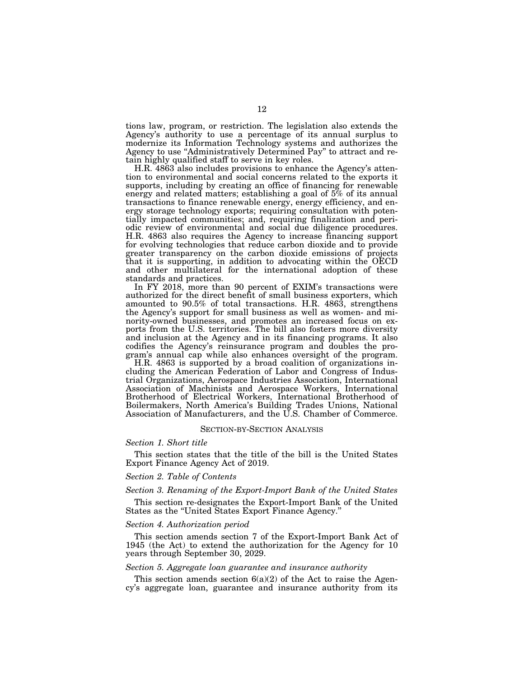tions law, program, or restriction. The legislation also extends the Agency's authority to use a percentage of its annual surplus to modernize its Information Technology systems and authorizes the Agency to use ''Administratively Determined Pay'' to attract and retain highly qualified staff to serve in key roles.

H.R. 4863 also includes provisions to enhance the Agency's attention to environmental and social concerns related to the exports it supports, including by creating an office of financing for renewable energy and related matters; establishing a goal of 5% of its annual transactions to finance renewable energy, energy efficiency, and energy storage technology exports; requiring consultation with potentially impacted communities; and, requiring finalization and periodic review of environmental and social due diligence procedures. H.R. 4863 also requires the Agency to increase financing support for evolving technologies that reduce carbon dioxide and to provide greater transparency on the carbon dioxide emissions of projects that it is supporting, in addition to advocating within the OECD and other multilateral for the international adoption of these standards and practices.

In FY 2018, more than 90 percent of EXIM's transactions were authorized for the direct benefit of small business exporters, which amounted to 90.5% of total transactions. H.R. 4863, strengthens the Agency's support for small business as well as women- and minority-owned businesses, and promotes an increased focus on exports from the U.S. territories. The bill also fosters more diversity and inclusion at the Agency and in its financing programs. It also codifies the Agency's reinsurance program and doubles the program's annual cap while also enhances oversight of the program.

H.R. 4863 is supported by a broad coalition of organizations including the American Federation of Labor and Congress of Industrial Organizations, Aerospace Industries Association, International Association of Machinists and Aerospace Workers, International Brotherhood of Electrical Workers, International Brotherhood of Boilermakers, North America's Building Trades Unions, National Association of Manufacturers, and the U.S. Chamber of Commerce.

## SECTION-BY-SECTION ANALYSIS

## *Section 1. Short title*

This section states that the title of the bill is the United States Export Finance Agency Act of 2019.

## *Section 2. Table of Contents*

## *Section 3. Renaming of the Export-Import Bank of the United States*

This section re-designates the Export-Import Bank of the United States as the ''United States Export Finance Agency.''

#### *Section 4. Authorization period*

This section amends section 7 of the Export-Import Bank Act of 1945 (the Act) to extend the authorization for the Agency for 10 years through September 30, 2029.

## *Section 5. Aggregate loan guarantee and insurance authority*

This section amends section  $6(a)(2)$  of the Act to raise the Agency's aggregate loan, guarantee and insurance authority from its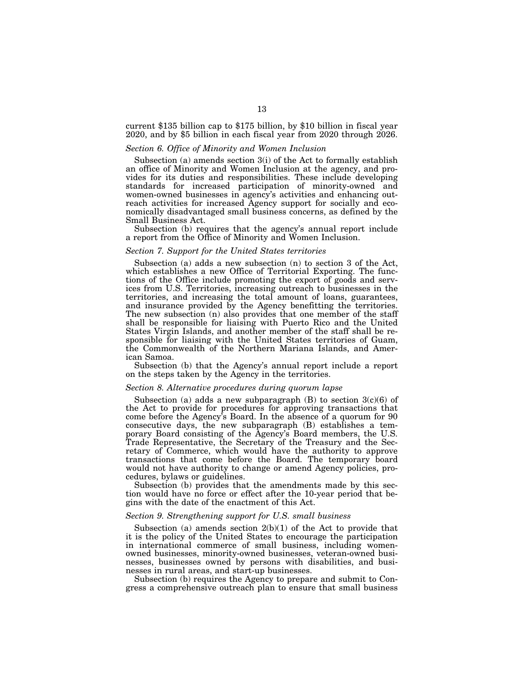current \$135 billion cap to \$175 billion, by \$10 billion in fiscal year 2020, and by \$5 billion in each fiscal year from 2020 through 2026.

## *Section 6. Office of Minority and Women Inclusion*

Subsection (a) amends section 3(i) of the Act to formally establish an office of Minority and Women Inclusion at the agency, and provides for its duties and responsibilities. These include developing standards for increased participation of minority-owned and women-owned businesses in agency's activities and enhancing outreach activities for increased Agency support for socially and economically disadvantaged small business concerns, as defined by the Small Business Act.

Subsection (b) requires that the agency's annual report include a report from the Office of Minority and Women Inclusion.

## *Section 7. Support for the United States territories*

Subsection (a) adds a new subsection (n) to section 3 of the Act, which establishes a new Office of Territorial Exporting. The functions of the Office include promoting the export of goods and services from U.S. Territories, increasing outreach to businesses in the territories, and increasing the total amount of loans, guarantees, and insurance provided by the Agency benefitting the territories. The new subsection (n) also provides that one member of the staff shall be responsible for liaising with Puerto Rico and the United States Virgin Islands, and another member of the staff shall be responsible for liaising with the United States territories of Guam, the Commonwealth of the Northern Mariana Islands, and American Samoa.

Subsection (b) that the Agency's annual report include a report on the steps taken by the Agency in the territories.

#### *Section 8. Alternative procedures during quorum lapse*

Subsection (a) adds a new subparagraph  $(B)$  to section  $3(c)(6)$  of the Act to provide for procedures for approving transactions that come before the Agency's Board. In the absence of a quorum for 90 consecutive days, the new subparagraph (B) establishes a temporary Board consisting of the Agency's Board members, the U.S. Trade Representative, the Secretary of the Treasury and the Secretary of Commerce, which would have the authority to approve transactions that come before the Board. The temporary board would not have authority to change or amend Agency policies, procedures, bylaws or guidelines.

Subsection (b) provides that the amendments made by this section would have no force or effect after the 10-year period that begins with the date of the enactment of this Act.

## *Section 9. Strengthening support for U.S. small business*

Subsection (a) amends section  $2(b)(1)$  of the Act to provide that it is the policy of the United States to encourage the participation in international commerce of small business, including womenowned businesses, minority-owned businesses, veteran-owned businesses, businesses owned by persons with disabilities, and businesses in rural areas, and start-up businesses.

Subsection (b) requires the Agency to prepare and submit to Congress a comprehensive outreach plan to ensure that small business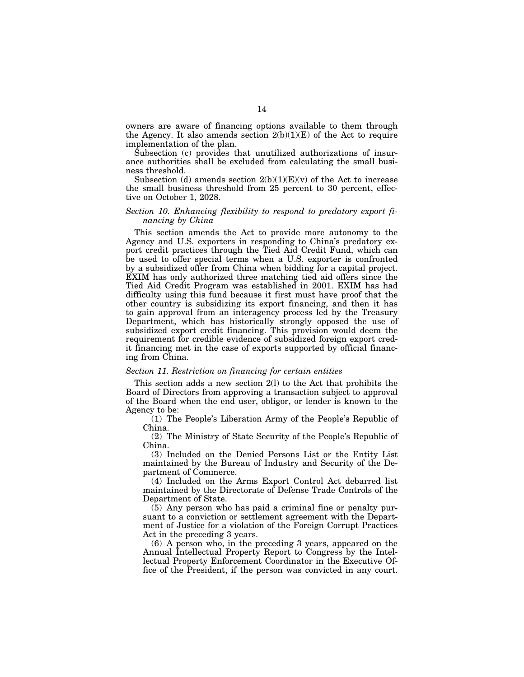owners are aware of financing options available to them through the Agency. It also amends section  $2(b)(1)(E)$  of the Act to require implementation of the plan.

Subsection (c) provides that unutilized authorizations of insurance authorities shall be excluded from calculating the small business threshold.

Subsection (d) amends section  $2(b)(1)(E)(v)$  of the Act to increase the small business threshold from 25 percent to 30 percent, effective on October 1, 2028.

## *Section 10. Enhancing flexibility to respond to predatory export financing by China*

This section amends the Act to provide more autonomy to the Agency and U.S. exporters in responding to China's predatory export credit practices through the Tied Aid Credit Fund, which can be used to offer special terms when a U.S. exporter is confronted by a subsidized offer from China when bidding for a capital project. EXIM has only authorized three matching tied aid offers since the Tied Aid Credit Program was established in 2001. EXIM has had difficulty using this fund because it first must have proof that the other country is subsidizing its export financing, and then it has to gain approval from an interagency process led by the Treasury Department, which has historically strongly opposed the use of subsidized export credit financing. This provision would deem the requirement for credible evidence of subsidized foreign export credit financing met in the case of exports supported by official financing from China.

## *Section 11. Restriction on financing for certain entities*

This section adds a new section 2(l) to the Act that prohibits the Board of Directors from approving a transaction subject to approval of the Board when the end user, obligor, or lender is known to the Agency to be:

(1) The People's Liberation Army of the People's Republic of China.

(2) The Ministry of State Security of the People's Republic of China.

(3) Included on the Denied Persons List or the Entity List maintained by the Bureau of Industry and Security of the Department of Commerce.

(4) Included on the Arms Export Control Act debarred list maintained by the Directorate of Defense Trade Controls of the Department of State.

(5) Any person who has paid a criminal fine or penalty pursuant to a conviction or settlement agreement with the Department of Justice for a violation of the Foreign Corrupt Practices Act in the preceding 3 years.

(6) A person who, in the preceding 3 years, appeared on the Annual Intellectual Property Report to Congress by the Intellectual Property Enforcement Coordinator in the Executive Office of the President, if the person was convicted in any court.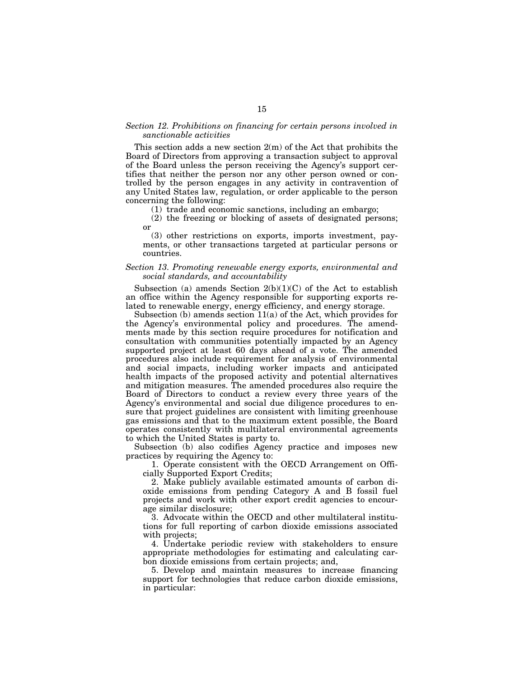## *Section 12. Prohibitions on financing for certain persons involved in sanctionable activities*

This section adds a new section  $2(m)$  of the Act that prohibits the Board of Directors from approving a transaction subject to approval of the Board unless the person receiving the Agency's support certifies that neither the person nor any other person owned or controlled by the person engages in any activity in contravention of any United States law, regulation, or order applicable to the person concerning the following:

(1) trade and economic sanctions, including an embargo;

(2) the freezing or blocking of assets of designated persons; or

(3) other restrictions on exports, imports investment, payments, or other transactions targeted at particular persons or countries.

## *Section 13. Promoting renewable energy exports, environmental and social standards, and accountability*

Subsection (a) amends Section  $2(b)(1)(C)$  of the Act to establish an office within the Agency responsible for supporting exports related to renewable energy, energy efficiency, and energy storage.

Subsection (b) amends section 11(a) of the Act, which provides for the Agency's environmental policy and procedures. The amendments made by this section require procedures for notification and consultation with communities potentially impacted by an Agency supported project at least 60 days ahead of a vote. The amended procedures also include requirement for analysis of environmental and social impacts, including worker impacts and anticipated health impacts of the proposed activity and potential alternatives and mitigation measures. The amended procedures also require the Board of Directors to conduct a review every three years of the Agency's environmental and social due diligence procedures to ensure that project guidelines are consistent with limiting greenhouse gas emissions and that to the maximum extent possible, the Board operates consistently with multilateral environmental agreements to which the United States is party to.

Subsection (b) also codifies Agency practice and imposes new practices by requiring the Agency to:

1. Operate consistent with the OECD Arrangement on Officially Supported Export Credits;

2. Make publicly available estimated amounts of carbon dioxide emissions from pending Category A and B fossil fuel projects and work with other export credit agencies to encourage similar disclosure;

3. Advocate within the OECD and other multilateral institutions for full reporting of carbon dioxide emissions associated with projects;

4. Undertake periodic review with stakeholders to ensure appropriate methodologies for estimating and calculating carbon dioxide emissions from certain projects; and,

5. Develop and maintain measures to increase financing support for technologies that reduce carbon dioxide emissions, in particular: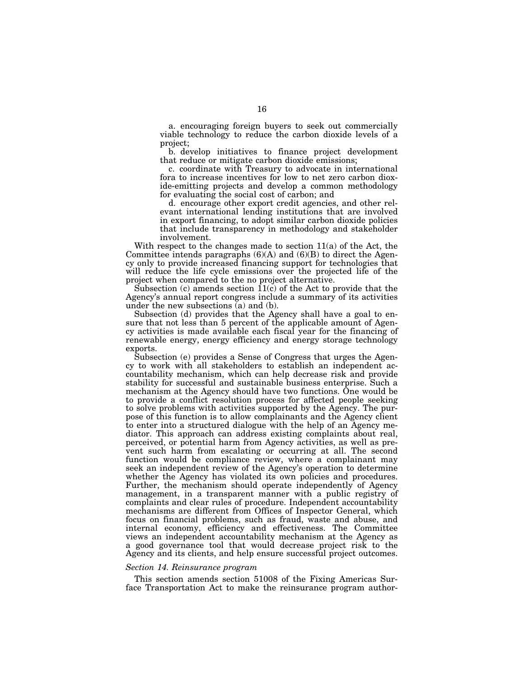a. encouraging foreign buyers to seek out commercially viable technology to reduce the carbon dioxide levels of a project;

b. develop initiatives to finance project development that reduce or mitigate carbon dioxide emissions;

c. coordinate with Treasury to advocate in international fora to increase incentives for low to net zero carbon dioxide-emitting projects and develop a common methodology for evaluating the social cost of carbon; and

d. encourage other export credit agencies, and other relevant international lending institutions that are involved in export financing, to adopt similar carbon dioxide policies that include transparency in methodology and stakeholder involvement.

With respect to the changes made to section 11(a) of the Act, the Committee intends paragraphs  $(6)(A)$  and  $(6)(B)$  to direct the Agency only to provide increased financing support for technologies that will reduce the life cycle emissions over the projected life of the project when compared to the no project alternative.

Subsection (c) amends section  $11(c)$  of the Act to provide that the Agency's annual report congress include a summary of its activities under the new subsections (a) and (b).

Subsection (d) provides that the Agency shall have a goal to ensure that not less than 5 percent of the applicable amount of Agency activities is made available each fiscal year for the financing of renewable energy, energy efficiency and energy storage technology exports.

Subsection (e) provides a Sense of Congress that urges the Agency to work with all stakeholders to establish an independent accountability mechanism, which can help decrease risk and provide stability for successful and sustainable business enterprise. Such a mechanism at the Agency should have two functions. One would be to provide a conflict resolution process for affected people seeking to solve problems with activities supported by the Agency. The purpose of this function is to allow complainants and the Agency client to enter into a structured dialogue with the help of an Agency mediator. This approach can address existing complaints about real, perceived, or potential harm from Agency activities, as well as prevent such harm from escalating or occurring at all. The second function would be compliance review, where a complainant may seek an independent review of the Agency's operation to determine whether the Agency has violated its own policies and procedures. Further, the mechanism should operate independently of Agency management, in a transparent manner with a public registry of complaints and clear rules of procedure. Independent accountability mechanisms are different from Offices of Inspector General, which focus on financial problems, such as fraud, waste and abuse, and internal economy, efficiency and effectiveness. The Committee views an independent accountability mechanism at the Agency as a good governance tool that would decrease project risk to the Agency and its clients, and help ensure successful project outcomes.

#### *Section 14. Reinsurance program*

This section amends section 51008 of the Fixing Americas Surface Transportation Act to make the reinsurance program author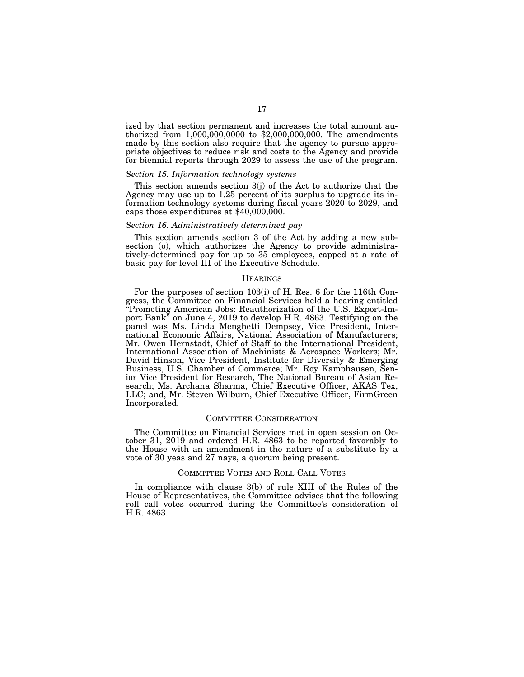ized by that section permanent and increases the total amount authorized from 1,000,000,0000 to \$2,000,000,000. The amendments made by this section also require that the agency to pursue appropriate objectives to reduce risk and costs to the Agency and provide for biennial reports through 2029 to assess the use of the program.

## *Section 15. Information technology systems*

This section amends section 3(j) of the Act to authorize that the Agency may use up to 1.25 percent of its surplus to upgrade its information technology systems during fiscal years 2020 to 2029, and caps those expenditures at \$40,000,000.

## *Section 16. Administratively determined pay*

This section amends section 3 of the Act by adding a new subsection (o), which authorizes the Agency to provide administratively-determined pay for up to 35 employees, capped at a rate of basic pay for level III of the Executive Schedule.

#### **HEARINGS**

For the purposes of section 103(i) of H. Res. 6 for the 116th Congress, the Committee on Financial Services held a hearing entitled ''Promoting American Jobs: Reauthorization of the U.S. Export-Import Bank<sup>"</sup> on June 4, 2019 to develop H.R. 4863. Testifying on the panel was Ms. Linda Menghetti Dempsey, Vice President, International Economic Affairs, National Association of Manufacturers; Mr. Owen Hernstadt, Chief of Staff to the International President, International Association of Machinists & Aerospace Workers; Mr. David Hinson, Vice President, Institute for Diversity & Emerging Business, U.S. Chamber of Commerce; Mr. Roy Kamphausen, Senior Vice President for Research, The National Bureau of Asian Research; Ms. Archana Sharma, Chief Executive Officer, AKAS Tex, LLC; and, Mr. Steven Wilburn, Chief Executive Officer, FirmGreen Incorporated.

## COMMITTEE CONSIDERATION

The Committee on Financial Services met in open session on October 31, 2019 and ordered H.R. 4863 to be reported favorably to the House with an amendment in the nature of a substitute by a vote of 30 yeas and 27 nays, a quorum being present.

## COMMITTEE VOTES AND ROLL CALL VOTES

In compliance with clause 3(b) of rule XIII of the Rules of the House of Representatives, the Committee advises that the following roll call votes occurred during the Committee's consideration of H.R. 4863.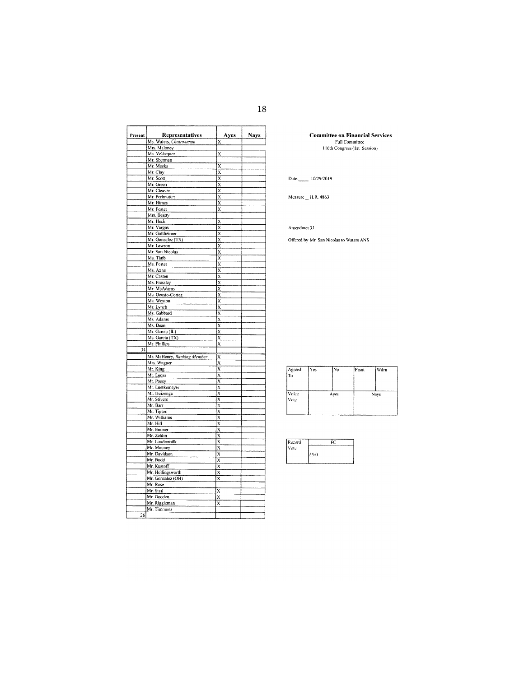| Present | Representatives             | Ayes                    | Nays |
|---------|-----------------------------|-------------------------|------|
|         | Ms. Waters, Chairwoman      | X                       |      |
|         | Mrs. Maloney                |                         |      |
|         | Ms. Velázquez               | X                       |      |
|         | Mr. Sherman                 |                         |      |
|         | Mr. Meeks                   | X                       |      |
|         | Mr. Clay                    | $\overline{\mathbf{x}}$ |      |
|         | Mr. Scott                   | $\overline{\mathbf{x}}$ |      |
|         | Mr. Green                   | $\overline{\mathbf{x}}$ |      |
|         | Mr. Cleaver                 | $\overline{x}$          |      |
|         | Mr. Perlmutter              | $\overline{\mathbf{x}}$ |      |
|         | Mr. Himes                   | $\overline{\mathbf{x}}$ |      |
|         | Mr. Foster                  | X                       |      |
|         | Mrs. Beatty                 |                         |      |
|         | Mr. Heck                    | X                       |      |
|         | Mr. Vargas                  | $\overline{x}$          |      |
|         | Mr. Gottheimer              | X                       |      |
|         | Mr. Gonzalez (TX)           | X                       |      |
|         | Mr. Lawson                  | $\overline{x}$          |      |
|         | Mr. San Nicolas             | $\overline{x}$          |      |
|         | Ms. Tlaib                   | $\overline{\mathbf{x}}$ |      |
|         | Ms. Porter                  | $\overline{\mathbf{x}}$ |      |
|         | Ms. Axne                    | $\overline{x}$          |      |
|         | Mr. Casten                  | $\overline{\mathbf{x}}$ |      |
|         | Ms. Pressley                | X                       |      |
|         | Mr. McAdams                 | $\overline{\mathbf{x}}$ |      |
|         | Ms. Ocasio-Cortez           | $\overline{\mathbf{x}}$ |      |
|         | Ms. Wexton                  | $\overline{\mathbf{x}}$ |      |
|         | Mr. Lynch                   | $\overline{x}$          |      |
|         | Ms. Gabbard                 | $\overline{\mathbf{x}}$ |      |
|         | Ms. Adams                   | $\overline{\mathbf{x}}$ |      |
|         | Ms. Dean                    | $\overline{\mathbf{x}}$ |      |
|         | Mr. Garcia (IL)             | $\overline{\mathbf{x}}$ |      |
|         | Ms. Garcia (TX)             | $\overline{\mathbf{x}}$ |      |
|         | Mr. Phillips                | X                       |      |
| 34      |                             |                         |      |
|         | Mr. McHenry, Ranking Member | X                       |      |
|         | Mrs. Wagner                 | $\overline{\mathbf{x}}$ |      |
|         | Mr. King                    | $\overline{x}$          |      |
|         | Mr. Lucas                   | X                       |      |
|         | Mr. Posey                   | $\overline{\mathbf{x}}$ |      |
|         | Mr. Luetkemeyer             | X                       |      |
|         | Mr. Huizenga                | X                       |      |
|         | Mr. Stivers                 | $\overline{x}$          |      |
|         | Мг. Вагт                    | X                       |      |
|         | Mr. Tipton                  | X                       |      |
|         | Mr. Williams                | $\overline{\mathbf{x}}$ |      |
|         | Mr. Hill                    | $\overline{\mathbf{x}}$ |      |
|         | Mr. Emmer                   | X                       |      |
|         | Mr. Zeldin                  | $\overline{x}$          |      |
|         | Mr. Loudermilk              | $\overline{\mathbf{x}}$ |      |
|         | Mr. Mooney                  | X                       |      |
|         | Mr. Davidson                | $\overline{\mathbf{x}}$ |      |
|         | Mr. Budd                    | $\overline{x}$          |      |
|         | Mr. Kustoff                 | X                       |      |
|         | Mr. Hollingsworth           | $\overline{x}$          |      |
|         | Mr. Gonzalez (OH)           | $\overline{\mathbf{x}}$ |      |
|         | Mr. Rose                    |                         |      |
|         | Mr. Steil                   | X                       |      |
|         | Mr. Gooden                  | $\overline{\mathbf{x}}$ |      |
|         | Mr. Riggleman               | X                       |      |
|         | Mr. Timmons                 |                         |      |
| 26      |                             |                         |      |

j

**Committee on Financial Services**<br>Full Committee<br>116th Congress (1st Session)

Date: 10/29/2019

Measure \_ H.R. 4863

Amendmer 3J

Offered by Mr. San Nicolas to Waters ANS

| Agreed<br>To  | l Yes | lNo | Prsnt | Wdm  |
|---------------|-------|-----|-------|------|
| Voice<br>Vote | Ayes  |     |       | Nays |

| Record |      |
|--------|------|
| ∤Vote: |      |
|        | 55-0 |
|        |      |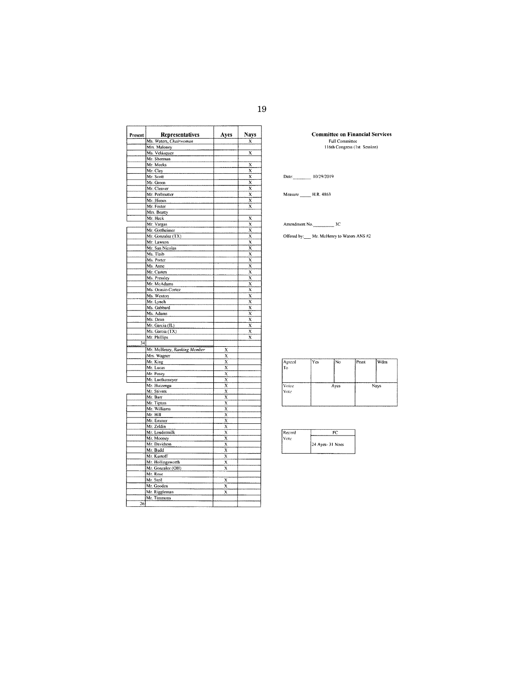| Present | Representatives             | Ayes                    | Nays                    |
|---------|-----------------------------|-------------------------|-------------------------|
|         | Ms. Waters, Chairwoman      |                         | X                       |
|         | Mrs. Maloney                |                         |                         |
|         | Ms. Velázquez               |                         | X                       |
|         | Mr. Sherman                 |                         |                         |
|         | Mr. Meeks                   |                         | X                       |
|         | Mr. Clay                    |                         | X                       |
|         | Mr. Scott                   |                         | $\overline{\mathbf{x}}$ |
|         | Mr. Green                   |                         | $\overline{\mathbf{x}}$ |
|         | Mr. Cleaver                 |                         | $\bar{\mathbf{x}}$      |
|         | Mr. Perlmutter              |                         | X                       |
|         | Mr. Himes                   |                         | $\overline{x}$          |
|         | Mr. Foster                  |                         | X                       |
|         | Mrs. Beatty                 |                         |                         |
|         | Mr. Heck                    |                         | X                       |
|         | Mr. Vargas                  |                         | $\overline{\mathbf{x}}$ |
|         | Mr. Gottheimer              |                         | $\overline{\mathbf{x}}$ |
|         | Mr. Gonzalez (TX)           |                         | X                       |
|         | Mr. Lawson                  |                         | $\overline{x}$          |
|         | Mr. San Nicolas             |                         | $\overline{\mathbf{x}}$ |
|         | Ms. Tlaib                   |                         | X                       |
|         | Ms. Porter                  |                         | X                       |
|         | Ms. Axne                    |                         | $\bar{x}$               |
|         | Mr. Casten                  |                         | X                       |
|         | Ms. Pressley                |                         | $\overline{\mathbf{x}}$ |
|         | Mr. McAdams                 |                         | X                       |
|         | Ms. Ocasio-Cortez           |                         | $\overline{\mathbf{x}}$ |
|         | Ms. Wexton                  |                         | $\overline{\mathbf{x}}$ |
|         | Mr. Lynch                   |                         | $\overline{\mathbf{x}}$ |
|         | Ms. Gabbard                 |                         | $\overline{\mathbf{x}}$ |
|         | Ms. Adams                   |                         | $\bar{\mathbf{x}}$      |
|         | Ms. Dean                    |                         | $\overline{\mathbf{x}}$ |
|         | Mr. Garcia (IL)             |                         | X                       |
|         | Ms. Garcia (TX)             |                         | $\overline{\mathbf{x}}$ |
|         | Mr. Phillips                |                         | X                       |
| 34      |                             |                         |                         |
|         | Mr. McHenry, Ranking Member | x                       |                         |
|         | Mrs. Wagner                 | X                       |                         |
|         | Mr. King                    | $\overline{\mathbf{x}}$ |                         |
|         | Mr. Lucas                   | X                       |                         |
|         | Mr. Posey                   | X                       |                         |
|         | Mr. Luetkemeyer             | $\overline{\mathbf{x}}$ |                         |
|         | Mr. Huizenga                | $\bar{\mathbf{x}}$      |                         |
|         | Mr. Stivers                 | X                       |                         |
|         | Mr. Barr                    | X                       |                         |
|         | Mr. Tipton                  | $\overline{\mathbf{x}}$ |                         |
|         | Mr. Williams                | X                       |                         |
|         | Mr. Hill                    | X                       |                         |
|         | Mr. Emmer                   | X                       |                         |
|         | Mr. Zeldin                  | X                       |                         |
|         | Mr. Loudermilk              | X                       |                         |
|         | Mr. Mooney                  | X                       |                         |
|         | Mr. Davidson                | X                       |                         |
|         | Mr. Budd                    | X                       |                         |
|         | Mr. Kustoff                 | X                       |                         |
|         | Mr. Hollingsworth           | X                       |                         |
|         | Mr. Gonzalez (OH)           | X                       |                         |
|         | Mr. Rose                    |                         |                         |
|         | Mr. Steil                   | X                       |                         |
|         | Mr. Gooden                  | X                       |                         |
|         | Mr. Riggleman               | $\overline{\mathbf{x}}$ |                         |
|         | Mr. Timmons                 |                         |                         |
|         |                             |                         |                         |

Date: 10/29/2019

Measure \_\_\_\_\_\_\_\_ H.R. 4863

Amendment No. 3C

Offered by: Mr. McHenry to Waters ANS #2

| Voice<br>Nays<br>Ayes | Agreed<br>ÍТo | l Yes | IN0 | Prsnt | l Wdrn |
|-----------------------|---------------|-------|-----|-------|--------|
|                       |               |       |     |       |        |
|                       |               |       |     |       |        |
|                       |               |       |     |       |        |
|                       | Vote          |       |     |       |        |

------------

 $\overline{a}$ 

| Record |                  |
|--------|------------------|
| Vote   |                  |
|        | 24 Ayes- 31 Noes |
|        |                  |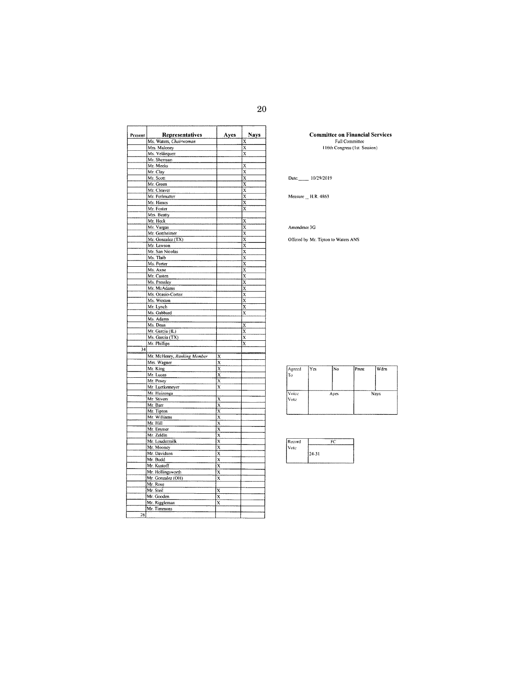| __ | ۰.<br>×<br>۰. |  |
|----|---------------|--|
|    |               |  |

| Present         | Representatives             | Ayes                    | Nays                    |
|-----------------|-----------------------------|-------------------------|-------------------------|
|                 | Ms. Waters, Chairwoman      |                         | X                       |
|                 | Mrs. Maloney                |                         | $\overline{\mathbf{x}}$ |
|                 | Ms. Velázquez               |                         | X                       |
|                 | Mr. Sherman                 |                         |                         |
|                 | Mr. Meeks                   |                         | X                       |
|                 | Mr. Clay                    |                         | $\overline{\mathbf{x}}$ |
|                 | Mr. Scott                   |                         | X                       |
|                 | Mr. Green                   |                         | $\overline{\mathbf{x}}$ |
|                 | Mr. Cleaver                 |                         | $\overline{x}$          |
|                 | Mr. Perlmutter              |                         | X                       |
|                 | Mr. Himes                   |                         | $\overline{\mathbf{x}}$ |
|                 | Mr. Foster                  |                         | $\overline{\mathbf{x}}$ |
|                 |                             |                         |                         |
|                 | Mrs. Beatty                 |                         |                         |
|                 | Mr. Heck                    |                         | X                       |
|                 | Mr. Vargas                  |                         | X                       |
|                 | Mr. Gottheimer              |                         | $\overline{\mathbf{x}}$ |
|                 | Mr. Gonzalez (TX)           |                         | X                       |
|                 | Mr. Lawson                  |                         | $\overline{\mathsf{x}}$ |
|                 | Mr. San Nicolas             |                         | $\overline{\mathbf{x}}$ |
|                 | Ms. Tlaib                   |                         | $\overline{x}$          |
|                 | Ms. Porter                  |                         | X                       |
|                 | Ms. Axne                    |                         | $\bar{\mathbf{x}}$      |
|                 | Mr. Casten                  |                         | $\overline{\mathbf{x}}$ |
|                 | Ms. Pressley                |                         | X                       |
|                 | Mr. McAdams                 |                         | $\overline{\mathbf{x}}$ |
|                 | Ms. Ocasio-Cortez           |                         | $\overline{\mathbf{x}}$ |
|                 |                             |                         | $\overline{\mathbf{x}}$ |
|                 | Ms. Wexton                  |                         |                         |
|                 | Mr. Lynch                   |                         | X                       |
|                 | Ms. Gabbard                 |                         | X                       |
|                 | Ms. Adams                   |                         |                         |
|                 | Ms. Dean                    |                         | X                       |
|                 | Mr. Garcia (IL)             |                         | X                       |
|                 | Ms. Garcia (TX)             |                         | X                       |
|                 | Mr. Phillips                |                         | X                       |
| 34              |                             |                         |                         |
|                 | Mr. McHenry, Ranking Member | X                       |                         |
|                 | Mrs. Wagner                 | $\overline{\mathbf{x}}$ |                         |
|                 | Mr. King                    | X                       |                         |
|                 | Mr. Lucas                   | $\overline{x}$          |                         |
|                 | Mr. Posey                   | $\overline{\mathbf{x}}$ |                         |
|                 |                             |                         |                         |
|                 | Mr. Luetkemeyer             | $\overline{\mathbf{x}}$ |                         |
|                 | Mr. Huizenga                |                         |                         |
|                 | Mr. Stivers                 | X                       |                         |
|                 | Mr. Barr                    | $\overline{\mathbf{x}}$ |                         |
|                 | Mr. Tipton                  | $\overline{x}$          |                         |
|                 | Mr. Williams                | $\overline{\mathbf{x}}$ |                         |
|                 | Mr. Hill                    | $\overline{x}$          |                         |
|                 | Mr. Emmer                   | $\overline{\mathbf{x}}$ |                         |
|                 | Mr. Zeldin                  | X                       |                         |
|                 | Mr. Loudermilk              | X                       |                         |
|                 | Mr. Mooney                  | $\overline{x}$          |                         |
|                 | Mr. Davidson                | $\overline{x}$          |                         |
|                 | Mr. Budd                    | X                       |                         |
|                 | Mr. Kustoff                 | $\overline{x}$          |                         |
|                 | Mr. Hollingsworth           | $\overline{\mathbf{x}}$ |                         |
|                 | Mr. Gonzalez (OH)           |                         |                         |
|                 |                             | X                       |                         |
|                 | Mr. Rose                    |                         |                         |
|                 | Mr. Steil                   | X                       |                         |
|                 | Mr. Gooden                  | $\overline{x}$          |                         |
|                 | Mr. Riggleman               | X                       |                         |
|                 | Mr. Timmons                 |                         |                         |
| $\overline{26}$ |                             |                         |                         |

Date: 10/29/2019

Measure  $_m$  H.R. 4863

Amendmer 3G

Offered by Mr. Tipton to Waters ANS

| Agreed<br>To  | <b>Yes</b> | No   | Prsnt | Wdm |
|---------------|------------|------|-------|-----|
| Voice<br>Vote |            | Ayes | Nays  |     |

| Record |         |
|--------|---------|
| Vote   |         |
|        | $24-31$ |
|        |         |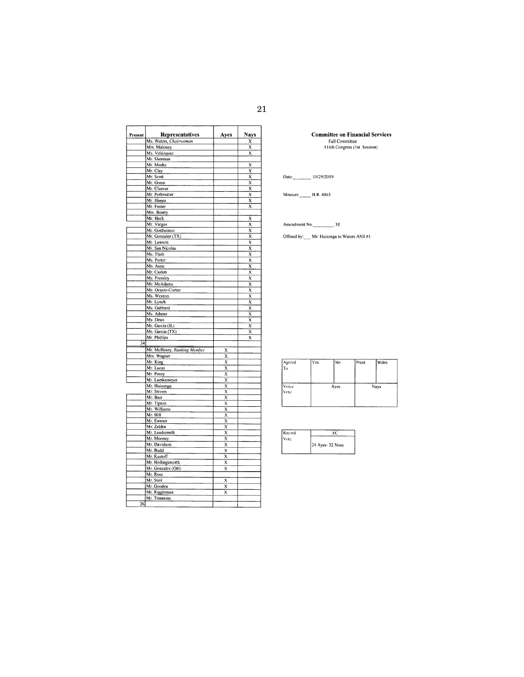| __ |  |
|----|--|
|    |  |

| Present | Representatives             | Ayes                    | Nays                    |
|---------|-----------------------------|-------------------------|-------------------------|
|         | Ms. Waters, Chairwoman      |                         | X                       |
|         | Mrs. Maloney                |                         | X                       |
|         | Ms. Velázquez               |                         | X                       |
|         | Mr. Sherman<br>Mr. Meeks    |                         | X                       |
|         | Mr. Clay                    |                         | $\overline{\mathsf{x}}$ |
|         | Mr. Scott                   |                         | $\bar{x}$               |
|         | Mr. Green                   |                         | $\overline{x}$          |
|         | Mr. Cleaver                 |                         | X                       |
|         | Mr. Perlmutter              |                         | X                       |
|         | Mr. Himes                   |                         | X                       |
|         | Mr. Foster                  |                         | X                       |
|         | Mrs. Beatty                 |                         |                         |
|         | Mr. Heck                    |                         | X                       |
|         | Mr. Vargas                  |                         | X                       |
|         | Mr. Gottheimer              |                         | X                       |
|         | Mr. Gonzalez (TX)           |                         | x                       |
|         | Mr. Lawson                  |                         | $\bar{\mathrm{x}}$      |
|         | Mr. San Nicolas             |                         | $\overline{\mathbf{x}}$ |
|         | Ms. Tlaib                   |                         | X                       |
|         | Ms. Porter                  |                         | X                       |
|         | Ms. Axne                    |                         | X                       |
|         | Mr. Casten                  |                         | X                       |
|         | Ms. Pressley                |                         | $\overline{x}$          |
|         | Mr. McAdams                 |                         | $\overline{\mathbf{x}}$ |
|         | Ms. Ocasio-Cortez           |                         | X                       |
|         | Ms. Wexton                  |                         | X                       |
|         | Mr. Lynch                   |                         | X                       |
|         | Ms. Gabbard                 |                         | $\overline{\mathbf{x}}$ |
|         | Ms. Adams                   |                         | $\bar{\mathbf{x}}$      |
|         | Ms. Dean                    |                         | $\overline{\mathbf{x}}$ |
|         | Mr. Garcia (IL)             |                         | X                       |
|         | Ms. Garcia (TX)             |                         | X                       |
|         | Mr. Phillips                |                         | X                       |
| 34      |                             |                         |                         |
|         | Mr. McHenry, Ranking Member | X                       |                         |
|         | Mrs. Wagner                 | X                       |                         |
|         | Mr. King                    | X                       |                         |
|         | Mr. Lucas                   | $\overline{\mathbf{x}}$ |                         |
|         | Mr. Posey                   | X                       |                         |
|         | Mr. Luetkemeyer             | $\overline{\mathbf{x}}$ |                         |
|         | Mr. Huizenga                | X                       |                         |
|         | Mr. Stivers                 | X                       |                         |
|         | Mr. Barr                    | X                       |                         |
|         | Mr. Tipton                  | X                       |                         |
|         | Mr. Williams                | X                       |                         |
|         | Mr. Hill                    | X                       |                         |
|         | Mr. Emmer                   | $\bar{\mathbf{x}}$      |                         |
|         | Mr. Zeldin                  | X                       |                         |
|         | Mr. Loudermilk              | x                       |                         |
|         | Mr. Mooney                  | X                       |                         |
|         | Mr. Davidson                | X                       |                         |
|         | Mr. Budd                    | X                       |                         |
|         | Mr. Kustoff                 | $\overline{\mathbf{x}}$ |                         |
|         | Mr. Hollingsworth           | X                       |                         |
|         | Mr. Gonzalez (OH)           | X                       |                         |
|         | Mr. Rose                    |                         |                         |
|         | Mr. Steil                   | x                       |                         |
|         | Mr. Gooden                  | X                       |                         |
|         | Mr. Riggleman               | $\overline{\mathbf{x}}$ |                         |
|         | Mr. Timmons                 |                         |                         |
| 26      |                             |                         |                         |

## Date: 10/29/2019

Measure \_\_\_\_\_\_\_\_ H.R. 4863

Amendment No. 3E

Offered by: Mr. Huizenga to Waters ANS #1

| Agreed<br> To | l Yes | INo  | Prsnt | Wdrn |
|---------------|-------|------|-------|------|
| Voice<br>Vote |       | Ayes |       | Nays |
|               |       |      |       |      |

| Record        |                  |
|---------------|------------------|
| <b>l</b> Vote |                  |
|               | 24 Ayes- 32 Noes |
|               |                  |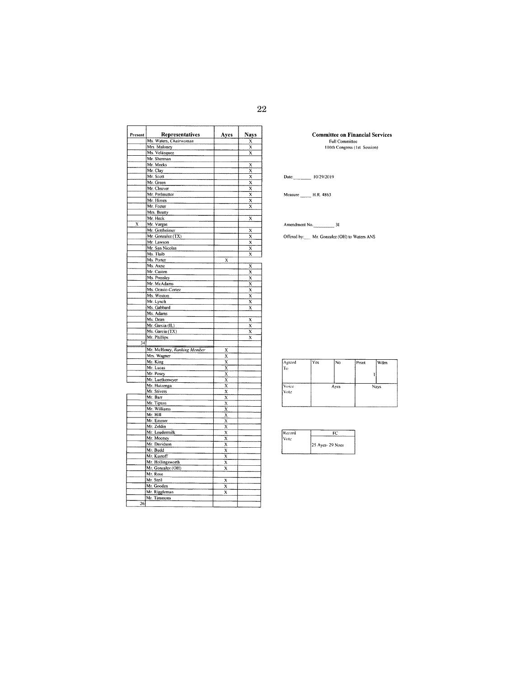| Present | Representatives             | Ayes                    | Nays                    |
|---------|-----------------------------|-------------------------|-------------------------|
|         | Ms. Waters, Chairwoman      |                         | x                       |
|         | Mrs. Maloney                |                         | $\overline{\mathbf{x}}$ |
|         | Ms. Velázquez               |                         | X                       |
|         | Mr. Sherman                 |                         |                         |
|         | Mr. Meeks                   |                         | X                       |
|         | Mr. Clay                    |                         | $\overline{\mathbf{x}}$ |
|         | Mr. Scott                   |                         | $\overline{\mathbf{x}}$ |
|         | Mr. Green                   |                         | X                       |
|         | Mr. Cleaver                 |                         | $\overline{\mathbf{x}}$ |
|         | Mr. Perlmutter              |                         | $\bar{\mathrm{x}}$      |
|         | Mr. Himes                   |                         | X                       |
|         | Mr. Foster                  |                         | X                       |
|         | Mrs. Beatty                 |                         |                         |
|         | Mr. Heck                    |                         | $\overline{\mathbf{x}}$ |
| X       | Mr. Vargas                  |                         |                         |
|         | Mr. Gottheimer              |                         | X                       |
|         | Mr. Gonzalez (TX)           |                         | X                       |
|         | Mr. Lawson                  |                         | X                       |
|         | Mr. San Nicolas             |                         | X                       |
|         | Ms. Tlaib                   |                         | X                       |
|         | Ms. Porter                  | $\overline{\mathsf{x}}$ |                         |
|         | Ms. Axne                    |                         | X                       |
|         | Mr. Casten                  |                         | $\overline{\mathbf{x}}$ |
|         | Ms. Pressley                |                         | $\overline{\mathbf{x}}$ |
|         | Mr. McAdams                 |                         | $\overline{\mathbf{x}}$ |
|         | Ms. Ocasio-Cortez           |                         | X                       |
|         | Ms. Wexton                  |                         | X                       |
|         | Mr. Lynch                   |                         | $\overline{\mathbf{x}}$ |
|         | Ms. Gabbard                 |                         | X                       |
|         | Ms. Adams                   |                         |                         |
|         | Ms. Dean                    |                         | $\overline{\mathsf{x}}$ |
|         | Mr. Garcia (IL)             |                         | X                       |
|         | Ms. Garcia (TX)             |                         | X                       |
|         | Mr. Phillips                |                         | X                       |
| 34      |                             |                         |                         |
|         |                             |                         |                         |
|         | Mr. McHenry, Ranking Member | X                       |                         |
|         | Mrs. Wagner                 | X                       |                         |
|         | Mr. King                    | X                       |                         |
|         | Mr. Lucas                   | X                       |                         |
|         | Mr. Posey                   | $\overline{\mathbf{x}}$ |                         |
|         | Mr. Luetkemeyer             | X                       |                         |
|         | Mr. Huizenga                | X                       |                         |
|         | Mr. Stivers                 | X                       |                         |
|         | Mr. Barr                    | $\bar{\mathbf{x}}$      |                         |
|         | Mr. Tipton                  | X                       |                         |
|         | Mr. Williams                | X                       |                         |
|         | Mr. Hill                    | X                       |                         |
|         | Mr. Emmer                   | $\overline{\mathbf{x}}$ |                         |
|         | Mr. Zeldin                  | X                       |                         |
|         | Mr. Loudermilk              | X                       |                         |
|         | Mr. Mooney                  | X                       |                         |
|         | Mr. Davidson                | X                       |                         |
|         | Mr. Budd                    | $\overline{\mathbf{x}}$ |                         |
|         | Mr. Kustoff                 | X                       |                         |
|         | Mr. Hollingsworth           | X                       |                         |
|         | Mr. Gonzalez (OH)           | x                       |                         |
|         | Mr. Rose                    |                         |                         |
|         | Mr. Steil                   | X                       |                         |
|         | Mr. Gooden                  | X                       |                         |
|         | Mr. Riggleman               | X                       |                         |
|         | Mr. Timmons                 |                         |                         |
|         |                             |                         |                         |

## Date:  $10/29/2019$

Measure \_\_\_\_\_\_\_\_ H.R. 4863

Amendment No. 31

Offered by: \_\_\_\_ Mr. Gonzalez (OH) to Waters ANS

| Agreed<br>To  | l Yes | No   | Prsnt | Wdrn |
|---------------|-------|------|-------|------|
| Voice<br>Vote |       | Ayes |       | Nays |
|               |       |      |       |      |

| Record |                 |
|--------|-----------------|
| Vote   |                 |
|        | 25 Ayes-29 Noes |
|        |                 |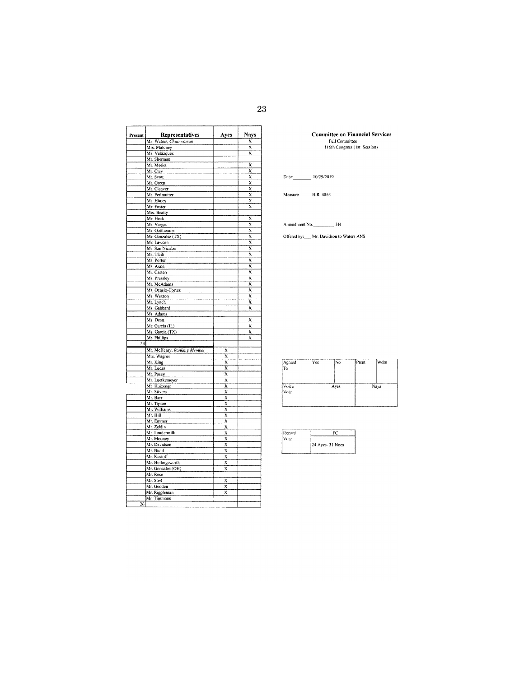| __ | ×<br>۰. |
|----|---------|

| Present | Representatives             | Ayes                    | Nays                         |
|---------|-----------------------------|-------------------------|------------------------------|
|         | Ms. Waters, Chairwoman      |                         | X                            |
|         | Mrs. Maloney                |                         | X                            |
|         | Ms. Velázquez               |                         | X                            |
|         | Mr. Sherman                 |                         |                              |
|         | Mr. Meeks                   |                         | X                            |
|         | Mr. Clay                    |                         | X                            |
|         | Mr. Scott                   |                         | $\overline{\mathbf{x}}$      |
|         | Mr. Green                   |                         | $\overline{\mathbf{x}}$      |
|         | Mr. Cleaver                 |                         | X                            |
|         | Mr. Perlmutter              |                         | X                            |
|         | Mr. Himes                   |                         | $\overline{\mathbf{x}}$      |
|         | Mr. Foster                  |                         | X                            |
|         | Mrs. Beatty                 |                         |                              |
|         | Mr. Heck                    |                         | X                            |
|         | Mr. Vargas                  |                         | $\overline{\mathsf{x}}$      |
|         | Mr. Gottheimer              |                         | $\overline{\mathbf{x}}$      |
|         | Mr. Gonzalez (TX)           |                         | $\overline{x}$               |
|         | Mr. Lawson                  |                         | $\overline{\mathbf{x}}$      |
|         | Mr. San Nicolas             |                         | $\overline{x}$               |
|         | Ms. Tlaib                   |                         | X                            |
|         | Ms. Porter                  |                         | $\overline{\mathbf{x}}$      |
|         | Ms. Axne                    |                         | X                            |
|         | Mr. Casten                  |                         | $\overline{\mathbf{x}}$      |
|         | Ms. Pressley                |                         | $\overline{x}$               |
|         | Mr. McAdams                 |                         | X                            |
|         | Ms. Ocasio-Cortez           |                         | X                            |
|         | Ms. Wexton                  |                         | $\overline{\mathbf{x}}$      |
|         | Mr. Lynch                   |                         | X                            |
|         | Ms. Gabbard                 |                         | X                            |
|         | Ms. Adams                   |                         |                              |
|         | Ms. Dean                    |                         | X                            |
|         | Mr. Garcia (IL)             |                         | $\bar{\mathrm{x}}$           |
|         |                             |                         |                              |
|         | Ms. Garcia (TX)             |                         | X<br>$\overline{\mathbf{x}}$ |
| 34      | Mr. Phillips                |                         |                              |
|         |                             |                         |                              |
|         | Mr. McHenry, Ranking Member | X                       |                              |
|         | Mrs. Wagner                 | $\overline{\mathbf{x}}$ |                              |
|         | Mr. King                    | X                       |                              |
|         | Mr. Lucas                   | X                       |                              |
|         | Mr. Posey                   | $\overline{\mathbf{x}}$ |                              |
|         | Mr. Luetkemeyer             | x                       |                              |
|         | Mr. Huizenga                | X                       |                              |
|         | Mr. Stivers                 | X                       |                              |
|         | Mr. Barr                    | X                       |                              |
|         | Mr. Tipton                  | X                       |                              |
|         | Mr. Williams                | X                       |                              |
|         | Mr. Hill                    | x                       |                              |
|         | Mr. Emmer                   | x                       |                              |
|         | Mr. Zeldin                  | X                       |                              |
|         | Mr. Loudermilk              | x                       |                              |
|         | Mr. Mooney                  | X                       |                              |
|         | Mr. Davidson                | X                       |                              |
|         | Mr. Budd                    | X                       |                              |
|         | Mr. Kustoff                 | X                       |                              |
|         | Mr. Hollingsworth           | X                       |                              |
|         | Mr. Gonzalez (OH)           | X                       |                              |
|         | Mr. Rose                    |                         |                              |
|         | Mr. Steil                   | X                       |                              |
|         | Mr. Gooden                  | X                       |                              |
|         | Mr. Riggleman               | X                       |                              |
|         |                             |                         |                              |
|         | Mr. Timmons                 |                         |                              |

## Date: 10/29/2019

Measure \_\_\_\_\_\_\_ H.R. 4863

Amendment No. 3H

Offered by: \_\_\_ Mr. Davidson to Waters ANS

| Agreed<br>To  | Yes | No   | Prsnt | Wdm  |
|---------------|-----|------|-------|------|
| Voice<br>Vote |     | Ayes |       | Nays |

| Record |                  |
|--------|------------------|
| Vote   |                  |
|        | 24 Ayes- 31 Noes |
|        |                  |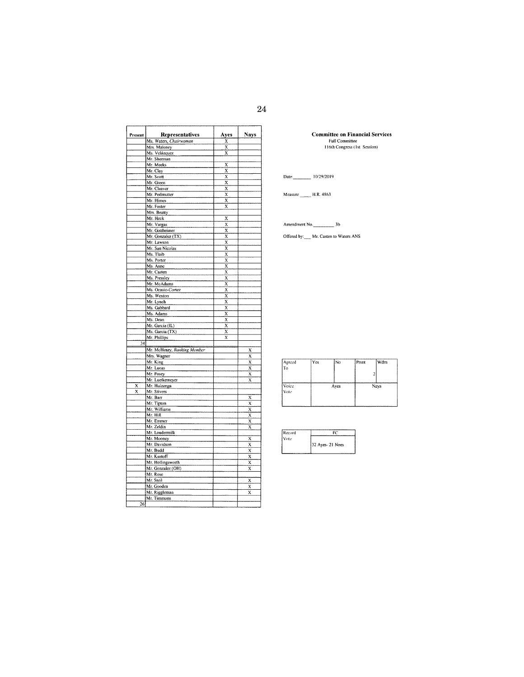| Present                      | Representatives             | Ayes                    | Nays                    |
|------------------------------|-----------------------------|-------------------------|-------------------------|
|                              | Ms. Waters, Chairwoman      | X                       |                         |
|                              | Mrs. Maloney                | X                       |                         |
|                              | Ms. Velázquez               | X                       |                         |
|                              | Mr. Sherman                 |                         |                         |
|                              | Mr. Meeks                   | Х                       |                         |
|                              | Mr. Clay                    | x                       |                         |
|                              | Mr. Scott                   | X                       |                         |
|                              | Mr. Green                   | X                       |                         |
|                              | Mr. Cleaver                 | X                       |                         |
|                              | Mr. Perlmutter              | X                       |                         |
|                              | Mr. Himes                   | X                       |                         |
|                              | Mr. Foster                  | X                       |                         |
|                              | Mrs. Beatty                 |                         |                         |
|                              | Mr. Heck                    | X                       |                         |
|                              | Mr. Vargas                  | X                       |                         |
|                              | Mr. Gottheimer              | $\overline{\mathbf{x}}$ |                         |
|                              | Mr. Gonzalez (TX)           | X                       |                         |
|                              | Mr. Lawson                  | X                       |                         |
|                              | Mr. San Nicolas             | X                       |                         |
|                              | Ms. Tlaib                   | X                       |                         |
|                              | Ms. Porter                  | X                       |                         |
|                              | Ms. Axne                    | X                       |                         |
|                              | Mr. Casten                  | X                       |                         |
|                              | Ms. Pressley                | X                       |                         |
|                              | Mr. McAdams                 | X                       |                         |
|                              | Ms. Ocasio-Cortez           | X                       |                         |
|                              | Ms. Wexton                  | х                       |                         |
|                              | Mr. Lynch                   | X                       |                         |
|                              | Ms. Gabbard                 | X                       |                         |
|                              | Ms. Adams                   | X                       |                         |
|                              | Ms. Dean                    | X                       |                         |
|                              | Mr. Garcia (IL)             | X                       |                         |
|                              | Ms. Garcia (TX)             | X<br>X                  |                         |
| 34                           | Mr. Phillips                |                         |                         |
|                              |                             |                         |                         |
|                              | Mr. McHenry, Ranking Member |                         | X                       |
|                              | Mrs. Wagner                 |                         | X                       |
|                              | Mr. King                    |                         | $\overline{\mathbf{x}}$ |
|                              | Mr. Lucas                   |                         | $\overline{\mathbf{x}}$ |
|                              | Mr. Posey                   |                         | $\overline{\mathbf{x}}$ |
|                              | Mr. Luetkemeyer             |                         | $\overline{\mathbf{x}}$ |
| X<br>$\overline{\mathbf{x}}$ | Mr. Huizenga<br>Mr. Stivers |                         |                         |
|                              | Mr. Barr                    |                         | X                       |
|                              | Mr. Tipton                  |                         | $\overline{\mathbf{x}}$ |
|                              | Mr. Williams                |                         | $\overline{\mathsf{x}}$ |
|                              | Mr. Hill                    |                         | $\overline{\mathbf{x}}$ |
|                              | Mr. Emmer                   |                         | $\overline{\mathbf{x}}$ |
|                              | Mr. Zeldin                  |                         | $\overline{\mathbf{x}}$ |
|                              | Mr. Loudermilk              |                         |                         |
|                              | Mr. Mooney                  |                         | $\overline{\mathbf{x}}$ |
|                              | Mr. Davidson                |                         | $\overline{\mathbf{x}}$ |
|                              | Mr. Budd                    |                         | $\overline{x}$          |
|                              | Mr. Kustoff                 |                         | X                       |
|                              | Mr. Hollingsworth           |                         | X                       |
|                              | Mr. Gonzalez (OH)           |                         | $\overline{\mathbf{x}}$ |
|                              | Mr. Rose                    |                         |                         |
|                              | Mr. Steil                   |                         | X                       |
|                              | Mr. Gooden                  |                         | X                       |
|                              | Mr. Riggleman               |                         | $\overline{\mathbf{x}}$ |
|                              | Mr. Timmons                 |                         |                         |
|                              |                             |                         |                         |

## Date: 10/29/2019

Measure \_\_\_\_\_\_\_ H.R. 4863

Amendment No. 3b

Offered by: \_\_\_\_ Mr. Casten to Waters ANS

| Agreed<br>To | Yes | No   | Prsnt | Wdm  |
|--------------|-----|------|-------|------|
| Voice        |     | Ayes |       | Nays |
| l Vote       |     |      |       |      |

| Record |                 |
|--------|-----------------|
| Vote   |                 |
|        | 32 Ayes-21 Noes |
|        |                 |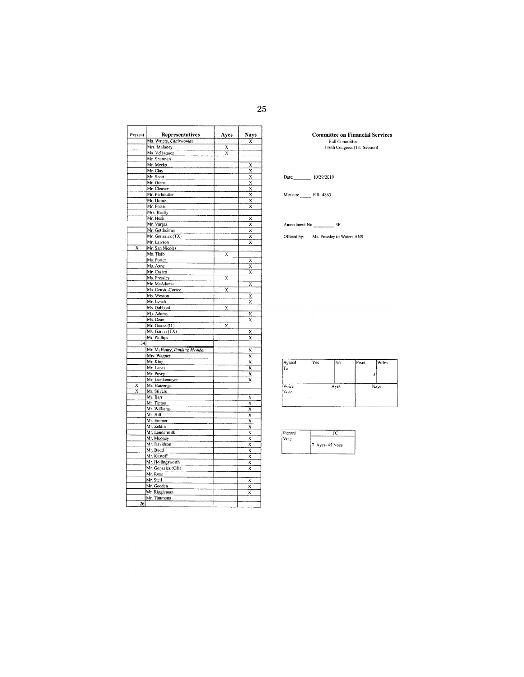| Present                 | Representatives               | Ayes                    | Nays                                      |
|-------------------------|-------------------------------|-------------------------|-------------------------------------------|
|                         | Ms. Waters, Chairwoman        |                         | X                                         |
|                         | Mrs. Maloney                  | Х                       |                                           |
|                         | Ms. Velázquez                 | $\overline{\mathbf{x}}$ |                                           |
|                         | Mr. Sherman                   |                         |                                           |
|                         | Mr. Meeks                     |                         | X                                         |
|                         | Mr. Clay                      |                         | $\overline{\mathbf{x}}$                   |
|                         | Mr. Scott                     |                         | X                                         |
|                         | Mr. Green                     |                         | $\overline{x}$                            |
|                         | Mr. Cleaver<br>Mr. Perlmutter |                         | $\overline{x}$<br>$\overline{\mathbf{x}}$ |
|                         | Mr. Himes                     |                         | $\overline{\mathbf{x}}$                   |
|                         | Mr. Foster                    |                         | x                                         |
|                         | Mrs. Beatty                   |                         |                                           |
|                         | Mr. Heck                      |                         | X                                         |
|                         | Mr. Vargas                    |                         | X                                         |
|                         | Mr. Gottheimer                |                         | $\overline{\mathbf{x}}$                   |
|                         | Mr. Gonzalez (TX)             |                         | X                                         |
|                         | Mr. Lawson                    |                         | X                                         |
| $\overline{\mathsf{x}}$ | Mr. San Nicolas               |                         |                                           |
|                         | Ms. Tlaib                     | X                       |                                           |
|                         | Ms. Porter                    |                         | X                                         |
|                         | Ms. Axne                      |                         | $\bar{\mathbf{x}}$                        |
|                         | Mr. Casten                    |                         | $\overline{\mathbf{x}}$                   |
|                         | Ms. Pressley                  | $\overline{\mathbf{x}}$ |                                           |
|                         | Mr. McAdams                   |                         | X                                         |
|                         | Ms. Ocasio-Cortez             | X                       |                                           |
|                         | Ms. Wexton                    |                         | x                                         |
|                         | Mr. Lynch                     |                         | X                                         |
|                         | Ms. Gabbard                   | X                       |                                           |
|                         | Ms. Adams                     |                         | X                                         |
|                         | Ms. Dean                      |                         | X                                         |
|                         | Mr. Garcia (IL)               | $\overline{\mathbf{x}}$ |                                           |
|                         | Ms. Garcia (TX)               |                         | X                                         |
|                         | Mr. Phillips                  |                         | X                                         |
| $\overline{34}$         |                               |                         |                                           |
|                         | Mr. McHenry, Ranking Member   |                         | X                                         |
|                         | Mrs. Wagner                   |                         | X                                         |
|                         | Mr. King                      |                         | X                                         |
|                         | Mr. Lucas                     |                         | $\overline{\mathbf{x}}$                   |
|                         | Mr. Posey                     |                         | X                                         |
|                         | Mr. Luetkemeyer               |                         | $\overline{\mathbf{x}}$                   |
| X                       | Mr. Huizenga                  |                         |                                           |
| $\overline{\mathbf{x}}$ | Mr. Stivers                   |                         |                                           |
|                         | Mr. Barr                      |                         | X                                         |
|                         | Mr. Tipton                    |                         | $\overline{\mathbf{x}}$                   |
|                         | Mr. Williams                  |                         | $\overline{\mathbf{x}}$                   |
|                         | Mr. Hill                      |                         | $\overline{\mathbf{x}}$                   |
|                         | Mr. Emmer                     |                         | $\overline{\mathbf{x}}$                   |
|                         | Mr. Zeldin                    |                         | $\overline{\mathbf{x}}$                   |
|                         | Mr. Loudermilk                |                         |                                           |
|                         | Mr. Mooney                    |                         | $\frac{x}{x}$                             |
|                         | Mr. Davidson                  |                         | $\frac{X}{X}$                             |
|                         | Mr. Budd                      |                         |                                           |
|                         | Mr. Kustoff                   |                         | $\bar{x}$                                 |
|                         | Mr. Hollingsworth             |                         | X                                         |
|                         | Mr. Gonzalez (OH)             |                         | $\overline{\mathbf{x}}$                   |
|                         | Mr. Rose                      |                         |                                           |
|                         | Mr. Steil                     |                         | X                                         |
|                         | Mr. Gooden                    |                         | X                                         |
|                         | Mr. Riggleman                 |                         | x                                         |
|                         | Mr. Timmons                   |                         |                                           |
| 26                      |                               |                         |                                           |

| <b>Committee on Financial Services</b> |
|----------------------------------------|
| <b>Full Committee</b>                  |
| 116th Congress (1st Session)           |

# Date: 10/29/2019

Measure \_\_\_\_\_\_\_ H.R. 4863

Amendment No. 3F

Offered by: \_\_\_\_ Ms. Pressley to Waters ANS

| Agreed<br>iTo.  | l Yes | No   | <b>Prsnt</b> | Wdm  |
|-----------------|-------|------|--------------|------|
|                 |       |      |              |      |
| Voice<br>  Vote |       | Ayes |              | Nays |
|                 |       |      |              |      |

| Record |               |
|--------|---------------|
| Vote   |               |
|        | Ayes- 45 Noes |
|        |               |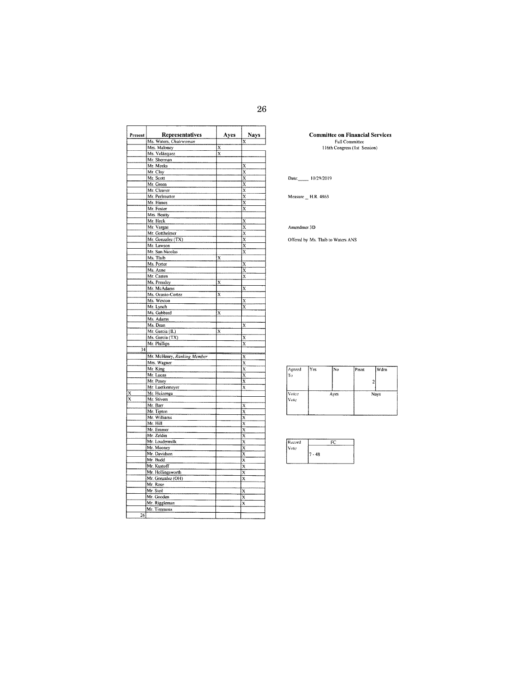| Present                 | Representatives              | Ayes                         | <b>Nays</b>                         |
|-------------------------|------------------------------|------------------------------|-------------------------------------|
|                         | Ms. Waters, Chairwoman       |                              | x                                   |
|                         | Mrs. Maloney                 | X<br>$\overline{\mathbf{x}}$ |                                     |
|                         | Ms. Velázquez<br>Mr. Sherman |                              |                                     |
|                         | Mr. Meeks                    |                              | X                                   |
|                         | Mr. Clay                     |                              | $\overline{\mathbf{x}}$             |
|                         | Mr. Scott                    |                              | X                                   |
|                         | Mr. Green                    |                              | $\overline{x}$                      |
|                         | Mr. Cleaver                  |                              | $\overline{\mathbf{x}}$             |
|                         | Mr. Perlmutter               |                              | X                                   |
|                         | Mr. Himes                    |                              | $\overline{\mathbf{x}}$             |
|                         | Mr. Foster                   |                              | $\overline{\mathbf{x}}$             |
|                         | Mrs. Beatty                  |                              |                                     |
|                         | Mr. Heck                     |                              | X                                   |
|                         | Mr. Vargas                   |                              | X                                   |
|                         | Mr. Gottheimer               |                              | X                                   |
|                         | Mr. Gonzalez (TX)            |                              | X                                   |
|                         | Mr. Lawson                   |                              | $\overline{\mathbf{x}}$             |
|                         | Mr. San Nicolas              |                              | X                                   |
|                         | Ms. Tlaib                    | X                            |                                     |
|                         | Ms. Porter                   |                              | X                                   |
|                         | Ms. Axne                     |                              | X                                   |
|                         | Mr. Casten                   |                              | X                                   |
|                         | Ms. Pressley                 | x                            |                                     |
|                         | Mr. McAdams                  |                              | $\overline{\mathbf{x}}$             |
|                         | Ms. Ocasio-Cortez            | $\overline{\mathbf{x}}$      |                                     |
|                         | Ms. Wexton                   |                              | X                                   |
|                         | Mr. Lynch                    |                              | $\overline{\mathbf{x}}$             |
|                         | Ms. Gabbard                  | X                            |                                     |
|                         | Ms. Adams                    |                              |                                     |
|                         | Ms. Dean                     |                              | X                                   |
|                         | Mr. Garcia (IL)              | X                            |                                     |
|                         | Ms. Garcia (TX)              |                              | X                                   |
|                         | Mr. Phillips                 |                              | X                                   |
| $\overline{34}$         |                              |                              |                                     |
|                         | Mr. McHenry, Ranking Member  |                              | x                                   |
|                         | Mrs. Wagner                  |                              | X                                   |
|                         | Mr. King                     |                              | X                                   |
|                         | Mr. Lucas                    |                              | X                                   |
|                         | Mr. Posey                    |                              | $\overline{\mathbf{x}}$             |
|                         | Mr. Luetkemeyer              |                              | X                                   |
| X                       | Mr. Huizenga                 |                              |                                     |
| $\overline{\mathbf{x}}$ | Mr. Stivers                  |                              |                                     |
|                         | Mr. Barr                     |                              | X                                   |
|                         | Mr. Tipton                   |                              | $\overline{\mathbf{x}}$             |
|                         | Mr. Williams                 |                              |                                     |
|                         | Mr. Hill                     |                              |                                     |
|                         | Mr. Emmer                    |                              | $\frac{\overline{x}}{\overline{x}}$ |
|                         | Mr. Zeldin                   |                              |                                     |
|                         | Mr. Loudermilk               |                              | $\overline{\mathbf{x}}$             |
|                         | Mr. Mooney                   |                              |                                     |
|                         | Mr. Davidson                 |                              | $\frac{x}{x}$                       |
|                         | Mr. Budd                     |                              | $\overline{\mathbf{x}}$             |
|                         | Mr. Kustoff                  |                              | $\overline{\mathbf{x}}$             |
|                         | Mr. Hollingsworth            |                              | $\overline{\mathbf{x}}$             |
|                         | Mr. Gonzalez (OH)            |                              | X                                   |
|                         | Mr. Rose                     |                              |                                     |
|                         | Mr. Steil                    |                              | X                                   |
|                         | Mr. Gooden                   |                              | $\overline{\mathbf{x}}$             |
|                         | Mr. Riggleman                |                              | $\overline{\mathbf{x}}$             |
|                         | Mr. Timmons                  |                              |                                     |
| 26                      |                              |                              |                                     |
|                         |                              |                              |                                     |

Date: 10/29/2019

Measure  $\_$  H.R. 4863

Amendmer 3D

Offered by Ms. Tlaib to Waters ANS

| Agreed<br>To. | l Yes | No   | Prsnt | Wdrn |
|---------------|-------|------|-------|------|
|               |       |      |       |      |
| Voice<br>Vote |       | Ayes |       | Nays |
|               |       |      |       |      |

| Record |       |  |
|--------|-------|--|
| Vote   |       |  |
|        | $-48$ |  |
|        |       |  |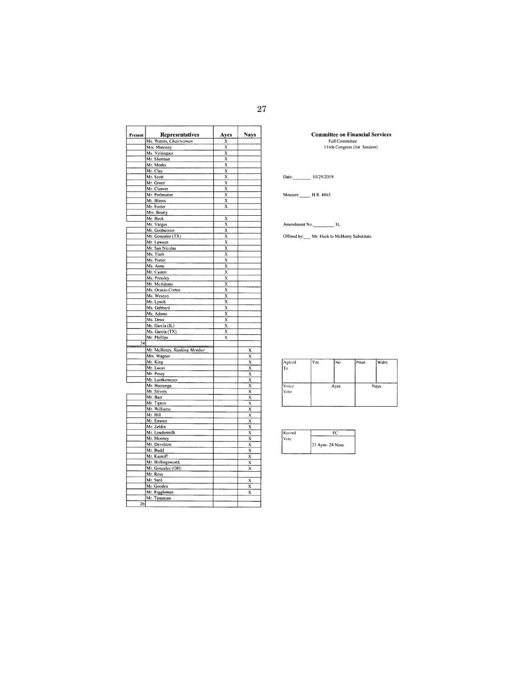| __ |  |
|----|--|
|    |  |

T

T

| Present | Representatives             | Ayes                      | Nays                                |
|---------|-----------------------------|---------------------------|-------------------------------------|
|         | Ms. Waters, Chairwoman      | x                         |                                     |
|         | Mrs. Maloney                | X                         |                                     |
|         | Ms. Velázquez               | $\overline{\mathbf{x}}$   |                                     |
|         | Mr. Sherman                 | $\overline{x}$            |                                     |
|         | Mr. Meeks                   | $\bar{\mathbf{x}}$        |                                     |
|         | Mr. Clay                    | $\overline{x}$            |                                     |
|         | Mr. Scott                   | $\overline{x}$            |                                     |
|         | Mr. Green                   | $\boldsymbol{\mathsf{x}}$ |                                     |
|         | Mr. Cleaver                 | $\overline{\mathbf{x}}$   |                                     |
|         | Mr. Perimutter              | $\overline{\mathbf{x}}$   |                                     |
|         | Mr. Himes                   | $\overline{\mathbf{x}}$   |                                     |
|         | Mr. Foster                  | X                         |                                     |
|         | Mrs. Beatty                 |                           |                                     |
|         | Mr. Heck                    | X                         |                                     |
|         | Mr. Vargas                  | $\overline{x}$            |                                     |
|         | Mr. Gottheimer              | X                         |                                     |
|         | Mr. Gonzalez (TX)           | X                         |                                     |
|         | Mr. Lawson                  | $\overline{x}$            |                                     |
|         | Mr. San Nicolas             | $\overline{x}$            |                                     |
|         | Ms. Tlaib                   | $\overline{\mathbf{x}}$   |                                     |
|         | Ms. Porter                  | $\overline{\mathbf{x}}$   |                                     |
|         | Ms. Axne                    | X                         |                                     |
|         | Mr. Casten                  | $\overline{\mathbf{x}}$   |                                     |
|         | Ms. Pressley                | X                         |                                     |
|         |                             |                           |                                     |
|         | Mr. McAdams                 | $\overline{x}$            |                                     |
|         | Ms. Ocasio-Cortez           | X                         |                                     |
|         | Ms. Wexton                  | $\overline{\mathbf{x}}$   |                                     |
|         | Mr. Lynch                   | $\overline{\mathbf{x}}$   |                                     |
|         | Ms. Gabbard                 | X                         |                                     |
|         | Ms. Adams                   | $\overline{\mathbf{x}}$   |                                     |
|         | Ms. Dean                    | $\overline{x}$            |                                     |
|         | Mr. Garcia (IL)             | X                         |                                     |
|         | Ms. Garcia (TX)             | $\overline{\mathbf{x}}$   |                                     |
|         | Mr. Phillips                | X                         |                                     |
| 34      |                             |                           |                                     |
|         | Mr. McHenry, Ranking Member |                           | X                                   |
|         | Mrs. Wagner                 |                           | $\overline{\mathbf{x}}$             |
|         | Mr. King                    |                           | X                                   |
|         | Mr. Lucas                   |                           | $\overline{\mathbf{x}}$             |
|         | Mr. Posey                   |                           | $\overline{\mathbf{x}}$             |
|         | Mr. Luetkemeyer             |                           | X                                   |
|         | Mr. Huizenga                |                           | $\overline{\overline{x}}$           |
|         | Mr. Stivers                 |                           | $\overline{x}$                      |
|         | Mr. Barr                    |                           | X                                   |
|         | Mr. Tipton                  |                           | $\frac{\overline{x}}{\overline{x}}$ |
|         | Mr. Williams                |                           |                                     |
|         | Mr. Hill                    |                           | X                                   |
|         | Mr. Emmer                   |                           | $\overline{x}$                      |
|         | Mr. Zeldin                  |                           | $\overline{\mathbf{x}}$             |
|         | Mr. Loudermilk              |                           |                                     |
|         | Mr. Mooney                  |                           | $\frac{\overline{x}}{\overline{x}}$ |
|         | Mr. Davidson                |                           |                                     |
|         | Mr. Budd                    |                           | $\bar{\mathbf{x}}$                  |
|         | Mr. Kustoff                 |                           | $\overline{\mathbf{x}}$             |
|         | Mr. Hollingsworth           |                           | $\overline{x}$                      |
|         | Mr. Gonzalez (OH)           |                           | $\overline{\mathbf{x}}$             |
|         | Mr. Rose                    |                           |                                     |
|         | Mr. Steil                   |                           | X                                   |
|         | Mr. Gooden                  |                           | $\overline{\mathbf{x}}$             |
|         | Mr. Riggleman               |                           | x                                   |
|         | Mr. Timmons                 |                           |                                     |
| 26      |                             |                           |                                     |
|         |                             |                           |                                     |

r

 $\overline{\mathbf{r}}$ 

**Committee on Financial Services**<br>Full Committee<br>116th Congress (1st Session)

## Date: 10/29/2019

Measure \_\_\_\_\_\_\_ H.R. 4863

Amendment No. 3L

Offered by: Mr. Heck to McHenry Substitute

| Record |                   |
|--------|-------------------|
| Vote   |                   |
|        | 133 Ayes- 24 Noes |
|        |                   |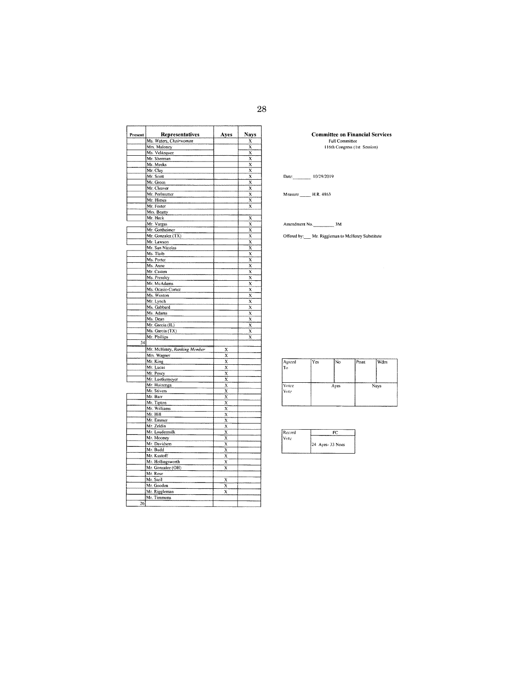| ۰.<br>w<br>۰.<br>__ |  |
|---------------------|--|
|                     |  |

| Present | Representatives<br>Ms. Waters, Chairwoman | Ayes                    | Nays                         |
|---------|-------------------------------------------|-------------------------|------------------------------|
|         | Mrs. Maloney                              |                         | х<br>$\overline{\mathsf{x}}$ |
|         | Ms. Velázquez                             |                         | X                            |
|         | Mr. Sherman                               |                         | X                            |
|         | Mr. Meeks                                 |                         | X                            |
|         | Mr. Clay                                  |                         | $\overline{\mathbf{x}}$      |
|         | Mr. Scott                                 |                         | $\overline{x}$               |
|         | Mr. Green                                 |                         | $\overline{\mathbf{x}}$      |
|         | Mr. Cleaver                               |                         | X                            |
|         | Mr. Perlmutter                            |                         | X                            |
|         | Mr. Himes                                 |                         | $\overline{\mathsf{x}}$      |
|         | Mr. Foster                                |                         | X                            |
|         | Mrs. Beatty                               |                         |                              |
|         | Mr. Heck                                  |                         | X                            |
|         | Mr. Vargas                                |                         | X                            |
|         |                                           |                         |                              |
|         | Mr. Gottheimer                            |                         | X                            |
|         | Mr. Gonzalez (TX)                         |                         | X                            |
|         | Mr. Lawson                                |                         | X                            |
|         | Mr. San Nicolas                           |                         | $\overline{\mathbf{x}}$      |
|         | Ms. Tlaib                                 |                         | $\overline{\mathbf{x}}$      |
|         | Ms. Porter                                |                         | $\overline{\mathbf{x}}$      |
|         | Ms. Axne                                  |                         | X                            |
|         | Mr. Casten                                |                         | $\boldsymbol{\mathsf{x}}$    |
|         | Ms. Pressley                              |                         | X                            |
|         | Mr. McAdams                               |                         | $\overline{\mathbf{x}}$      |
|         | Ms. Ocasio-Cortez                         |                         | X                            |
|         | Ms. Wexton                                |                         | $\overline{\mathbf{x}}$      |
|         | Mr. Lynch                                 |                         | $\bar{\mathbf{x}}$           |
|         | Ms. Gabbard                               |                         | X                            |
|         | Ms. Adams                                 |                         | X                            |
|         | Ms. Dean                                  |                         | X                            |
|         | Mr. Garcia (IL)                           |                         | $\overline{\mathsf{x}}$      |
|         | Ms. Garcia (TX)                           |                         | $\overline{\mathbf{x}}$      |
|         | Mr. Phillips                              |                         | X                            |
| 34      |                                           |                         |                              |
|         | Mr. McHenry, Ranking Member               | X                       |                              |
|         | Mrs. Wagner                               | X                       |                              |
|         | Mr. King                                  | $\overline{\mathbf{x}}$ |                              |
|         | Mr. Lucas                                 | x                       |                              |
|         | Mr. Posey                                 | X                       |                              |
|         | Mr. Luetkemeyer                           | $\overline{\mathbf{x}}$ |                              |
|         | Mr. Huizenga                              | X                       |                              |
|         | Mr. Stivers                               | x                       |                              |
|         | Mr. Barr                                  | $\overline{\mathbf{x}}$ |                              |
|         | Mr. Tipton                                | X                       |                              |
|         | Mr. Williams                              | x                       |                              |
|         | Mr. Hill                                  | X                       |                              |
|         | Mr. Emmer                                 | X                       |                              |
|         | Mr. Zeldin                                | X                       |                              |
|         | Mr. Loudermilk                            | X                       |                              |
|         | Mr. Mooney                                | $\overline{\mathsf{x}}$ |                              |
|         | Mr. Davidson                              | $\overline{\mathbf{x}}$ |                              |
|         | Mr. Budd                                  | X                       |                              |
|         | Mr. Kustoff                               | X                       |                              |
|         | Mr. Hollingsworth                         | X                       |                              |
|         | Mr. Gonzalez (OH)                         | x                       |                              |
|         | Mr. Rose                                  |                         |                              |
|         | Mr. Steil                                 | X                       |                              |
|         | Mr. Gooden                                | x                       |                              |
|         | Mr. Riggleman                             | X                       |                              |
|         | Mr. Timmons                               |                         |                              |
| 26      |                                           |                         |                              |
|         |                                           |                         |                              |

## Date: 10/29/2019

Measure \_\_\_\_\_\_\_\_\_\_ H.R. 4863

Amendment No. 3M

Offered by: Mr. Riggleman to McHenry Substitute

| Agreed<br>ÍТo | l Yes | INo  | Prsnt | Wdm  |
|---------------|-------|------|-------|------|
| Voice<br>Vote |       | Ayes |       | Nays |
|               |       |      |       |      |

j.

| l Record |                 |
|----------|-----------------|
| Vote     |                 |
|          | 24 Ayes-33 Noes |
|          |                 |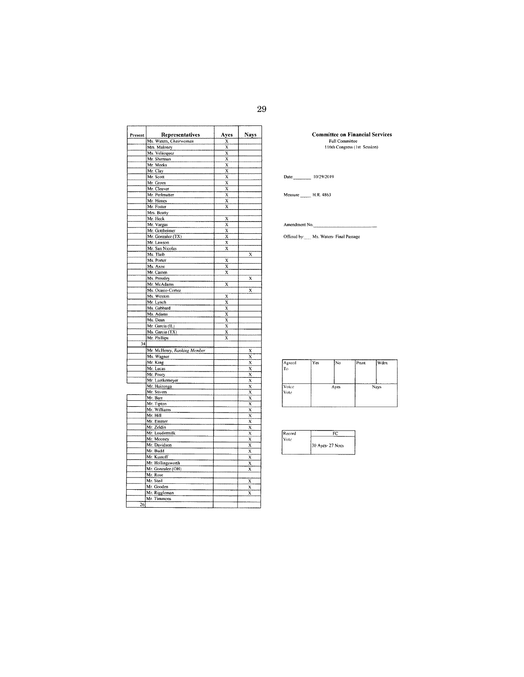| C<br>s. |  |
|---------|--|
|         |  |

| Present | Representatives             | Ayes                    | Nays                    |
|---------|-----------------------------|-------------------------|-------------------------|
|         | Ms. Waters, Chairwoman      | x                       |                         |
|         | Mrs. Maloney                | $\overline{x}$          |                         |
|         | Ms. Velázquez               | $\overline{\mathbf{x}}$ |                         |
|         | Mr. Sherman                 | $\overline{\mathbf{x}}$ |                         |
|         | Mr. Meeks                   | X                       |                         |
|         | Mr. Clay                    | $\overline{\mathbf{x}}$ |                         |
|         | Mr. Scott                   | X                       |                         |
|         | Mr. Green                   | X                       |                         |
|         | Mr. Cleaver                 | $\overline{\mathbf{x}}$ |                         |
|         | Mr. Perlmutter              | X                       |                         |
|         | Mr. Himes                   | x                       |                         |
|         | Mr. Foster                  | X                       |                         |
|         | Mrs. Beatty                 |                         |                         |
|         | Mr. Heck                    | X                       |                         |
|         |                             |                         |                         |
|         | Mr. Vargas                  | X                       |                         |
|         | Mr. Gottheimer              | X                       |                         |
|         | Mr. Gonzalez (TX)           | X                       |                         |
|         | Mr. Lawson                  | X                       |                         |
|         | Mr. San Nicolas             | $\overline{x}$          |                         |
|         | Ms. Tlaib                   |                         | X                       |
|         | Ms. Porter                  | X                       |                         |
|         | Ms. Axne                    | $\overline{\mathbf{x}}$ |                         |
|         | Mr. Casten                  | X                       |                         |
|         | Ms. Pressley                |                         | X                       |
|         | Mr. McAdams                 | X                       |                         |
|         | Ms. Ocasio-Cortez           |                         | X                       |
|         | Ms. Wexton                  | X                       |                         |
|         | Mr. Lynch                   | $\overline{\mathbf{x}}$ |                         |
|         |                             |                         |                         |
|         | Ms. Gabbard                 | X                       |                         |
|         | Ms. Adams                   | $\overline{\mathbf{x}}$ |                         |
|         | Ms. Dean                    | $\overline{\mathbf{x}}$ |                         |
|         | Mr. Garcia (IL)             | X                       |                         |
|         | Ms. Garcia (TX)             | X                       |                         |
|         | Mr. Phillips                | $\bar{\mathbf{x}}$      |                         |
| 34      |                             |                         |                         |
|         | Mr. McHenry, Ranking Member |                         | X                       |
|         | Ms. Wagner                  |                         | $\bar{\mathrm{x}}$      |
|         | Mr. King                    |                         | X                       |
|         | Mr. Lucas                   |                         | $\overline{\mathbf{x}}$ |
|         | Mr. Posey                   |                         |                         |
|         |                             |                         | $\overline{\mathbf{x}}$ |
|         | Mr. Luetkemeyer             |                         | $\overline{x}$          |
|         | Mr. Huizenga                |                         | $\overline{x}$          |
|         | Mr. Stivers                 |                         | X                       |
|         | Mr. Barr                    |                         | X                       |
|         | Mr. Tipton                  |                         | $\overline{\mathbf{x}}$ |
|         | Mr. Williams                |                         | X                       |
|         | Mr. Hill                    |                         | $\overline{x}$          |
|         | Mr. Emmer                   |                         | $\overline{x}$          |
|         | Mr. Zeldin                  |                         | $\overline{\mathbf{x}}$ |
|         | Mr. Loudermilk              |                         | X                       |
|         | Mr. Mooney                  |                         | X                       |
|         | Mr. Davidson                |                         | $\overline{\mathbf{x}}$ |
|         | Mr. Budd                    |                         | X                       |
|         | Mr. Kustoff                 |                         | $\overline{\mathbf{x}}$ |
|         | Mr. Hollingsworth           |                         | X                       |
|         |                             |                         |                         |
|         | Mr. Gonzalez (OH)           |                         | X                       |
|         | Mr. Rose                    |                         |                         |
|         | Mr. Steil                   |                         | x                       |
|         | Mr. Gooden                  |                         | X                       |
|         | Mr. Riggleman               |                         | X                       |
|         | Mr. Timmons                 |                         |                         |
| 26      |                             |                         |                         |

## Date: 10/29/2019

Measure \_\_\_\_\_\_\_ H.R. 4863

Amendment No.

Offered by: \_\_\_\_ Ms. Waters- Final Passage

| To              |      |      |
|-----------------|------|------|
| Voice<br>  Vote | Ayes | Nays |

| Record |                   |
|--------|-------------------|
| Vote   |                   |
|        | 30 Ayes - 27 Noes |
|        |                   |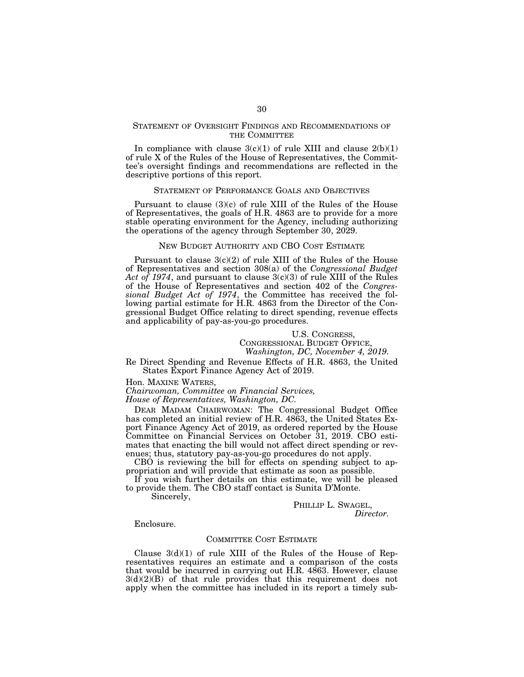## STATEMENT OF OVERSIGHT FINDINGS AND RECOMMENDATIONS OF THE COMMITTEE

In compliance with clause  $3(c)(1)$  of rule XIII and clause  $2(b)(1)$ of rule X of the Rules of the House of Representatives, the Committee's oversight findings and recommendations are reflected in the descriptive portions of this report.

#### STATEMENT OF PERFORMANCE GOALS AND OBJECTIVES

Pursuant to clause  $(3)(c)$  of rule XIII of the Rules of the House of Representatives, the goals of H.R. 4863 are to provide for a more stable operating environment for the Agency, including authorizing the operations of the agency through September 30, 2029.

## NEW BUDGET AUTHORITY AND CBO COST ESTIMATE

Pursuant to clause  $3(c)(2)$  of rule XIII of the Rules of the House of Representatives and section 308(a) of the *Congressional Budget Act of 1974*, and pursuant to clause  $3(c)(3)$  of rule XIII of the Rules of the House of Representatives and section 402 of the *Congressional Budget Act of 1974*, the Committee has received the following partial estimate for H.R. 4863 from the Director of the Congressional Budget Office relating to direct spending, revenue effects and applicability of pay-as-you-go procedures.

## U.S. CONGRESS, CONGRESSIONAL BUDGET OFFICE, *Washington, DC, November 4, 2019.*

Re Direct Spending and Revenue Effects of H.R. 4863, the United States Export Finance Agency Act of 2019.

Hon. MAXINE WATERS, *Chairwoman, Committee on Financial Services, House of Representatives, Washington, DC.* 

DEAR MADAM CHAIRWOMAN: The Congressional Budget Office has completed an initial review of H.R. 4863, the United States Export Finance Agency Act of 2019, as ordered reported by the House Committee on Financial Services on October 31, 2019. CBO estimates that enacting the bill would not affect direct spending or revenues; thus, statutory pay-as-you-go procedures do not apply.

CBO is reviewing the bill for effects on spending subject to appropriation and will provide that estimate as soon as possible.

If you wish further details on this estimate, we will be pleased to provide them. The CBO staff contact is Sunita D'Monte.

Sincerely,

#### PHILLIP L. SWAGEL, *Director.*

## Enclosure.

#### COMMITTEE COST ESTIMATE

Clause  $3(d)(1)$  of rule XIII of the Rules of the House of Representatives requires an estimate and a comparison of the costs that would be incurred in carrying out H.R. 4863. However, clause  $3(d)(2)(B)$  of that rule provides that this requirement does not apply when the committee has included in its report a timely sub-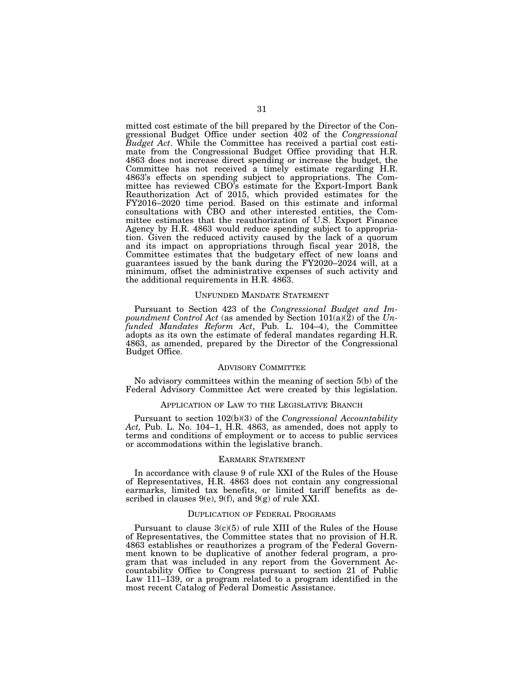mitted cost estimate of the bill prepared by the Director of the Congressional Budget Office under section 402 of the *Congressional Budget Act*. While the Committee has received a partial cost estimate from the Congressional Budget Office providing that H.R. 4863 does not increase direct spending or increase the budget, the Committee has not received a timely estimate regarding H.R. 4863's effects on spending subject to appropriations. The Committee has reviewed CBO's estimate for the Export-Import Bank Reauthorization Act of 2015, which provided estimates for the FY2016–2020 time period. Based on this estimate and informal consultations with CBO and other interested entities, the Committee estimates that the reauthorization of U.S. Export Finance Agency by H.R. 4863 would reduce spending subject to appropriation. Given the reduced activity caused by the lack of a quorum and its impact on appropriations through fiscal year 2018, the Committee estimates that the budgetary effect of new loans and guarantees issued by the bank during the FY2020–2024 will, at a minimum, offset the administrative expenses of such activity and the additional requirements in H.R. 4863.

## UNFUNDED MANDATE STATEMENT

Pursuant to Section 423 of the *Congressional Budget and Impoundment Control Act* (as amended by Section 101(a)(2) of the *Unfunded Mandates Reform Act*, Pub. L. 104–4), the Committee adopts as its own the estimate of federal mandates regarding H.R. 4863, as amended, prepared by the Director of the Congressional Budget Office.

#### ADVISORY COMMITTEE

No advisory committees within the meaning of section 5(b) of the Federal Advisory Committee Act were created by this legislation.

## APPLICATION OF LAW TO THE LEGISLATIVE BRANCH

Pursuant to section 102(b)(3) of the *Congressional Accountability Act,* Pub. L. No. 104–1, H.R. 4863, as amended, does not apply to terms and conditions of employment or to access to public services or accommodations within the legislative branch.

## EARMARK STATEMENT

In accordance with clause 9 of rule XXI of the Rules of the House of Representatives, H.R. 4863 does not contain any congressional earmarks, limited tax benefits, or limited tariff benefits as described in clauses  $9(e)$ ,  $9(f)$ , and  $9(g)$  of rule XXI.

## DUPLICATION OF FEDERAL PROGRAMS

Pursuant to clause  $3(c)(5)$  of rule XIII of the Rules of the House of Representatives, the Committee states that no provision of H.R. 4863 establishes or reauthorizes a program of the Federal Government known to be duplicative of another federal program, a program that was included in any report from the Government Accountability Office to Congress pursuant to section 21 of Public Law 111–139, or a program related to a program identified in the most recent Catalog of Federal Domestic Assistance.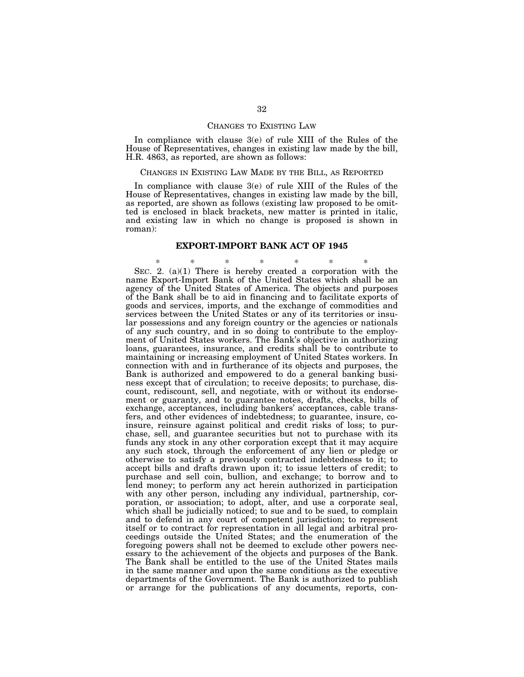## CHANGES TO EXISTING LAW

In compliance with clause 3(e) of rule XIII of the Rules of the House of Representatives, changes in existing law made by the bill, H.R. 4863, as reported, are shown as follows:

## CHANGES IN EXISTING LAW MADE BY THE BILL, AS REPORTED

In compliance with clause 3(e) of rule XIII of the Rules of the House of Representatives, changes in existing law made by the bill, as reported, are shown as follows (existing law proposed to be omitted is enclosed in black brackets, new matter is printed in italic, and existing law in which no change is proposed is shown in roman):

## **EXPORT-IMPORT BANK ACT OF 1945**

\* \* \* \* \* \* \* SEC. 2. (a)(1) There is hereby created a corporation with the name Export-Import Bank of the United States which shall be an agency of the United States of America. The objects and purposes of the Bank shall be to aid in financing and to facilitate exports of goods and services, imports, and the exchange of commodities and services between the United States or any of its territories or insular possessions and any foreign country or the agencies or nationals of any such country, and in so doing to contribute to the employment of United States workers. The Bank's objective in authorizing loans, guarantees, insurance, and credits shall be to contribute to maintaining or increasing employment of United States workers. In connection with and in furtherance of its objects and purposes, the Bank is authorized and empowered to do a general banking business except that of circulation; to receive deposits; to purchase, discount, rediscount, sell, and negotiate, with or without its endorsement or guaranty, and to guarantee notes, drafts, checks, bills of exchange, acceptances, including bankers' acceptances, cable transfers, and other evidences of indebtedness; to guarantee, insure, coinsure, reinsure against political and credit risks of loss; to purchase, sell, and guarantee securities but not to purchase with its funds any stock in any other corporation except that it may acquire any such stock, through the enforcement of any lien or pledge or otherwise to satisfy a previously contracted indebtedness to it; to accept bills and drafts drawn upon it; to issue letters of credit; to purchase and sell coin, bullion, and exchange; to borrow and to lend money; to perform any act herein authorized in participation with any other person, including any individual, partnership, corporation, or association; to adopt, alter, and use a corporate seal, which shall be judicially noticed; to sue and to be sued, to complain and to defend in any court of competent jurisdiction; to represent itself or to contract for representation in all legal and arbitral proceedings outside the United States; and the enumeration of the foregoing powers shall not be deemed to exclude other powers necessary to the achievement of the objects and purposes of the Bank. The Bank shall be entitled to the use of the United States mails in the same manner and upon the same conditions as the executive departments of the Government. The Bank is authorized to publish or arrange for the publications of any documents, reports, con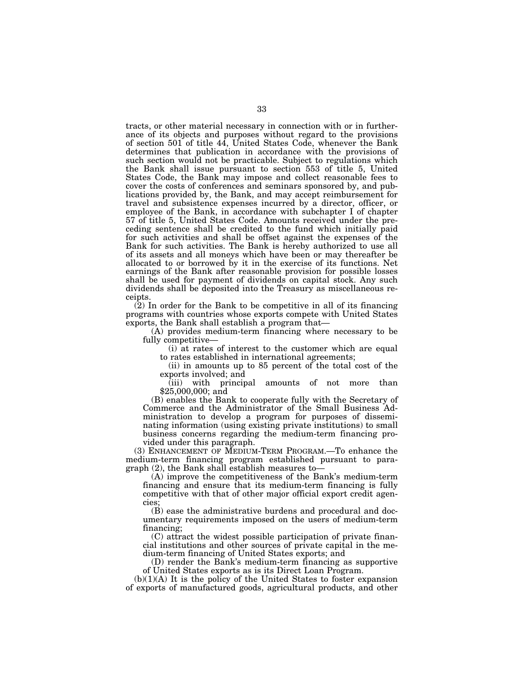tracts, or other material necessary in connection with or in furtherance of its objects and purposes without regard to the provisions of section 501 of title 44, United States Code, whenever the Bank determines that publication in accordance with the provisions of such section would not be practicable. Subject to regulations which the Bank shall issue pursuant to section 553 of title 5, United States Code, the Bank may impose and collect reasonable fees to cover the costs of conferences and seminars sponsored by, and publications provided by, the Bank, and may accept reimbursement for travel and subsistence expenses incurred by a director, officer, or employee of the Bank, in accordance with subchapter I of chapter 57 of title 5, United States Code. Amounts received under the preceding sentence shall be credited to the fund which initially paid for such activities and shall be offset against the expenses of the Bank for such activities. The Bank is hereby authorized to use all of its assets and all moneys which have been or may thereafter be allocated to or borrowed by it in the exercise of its functions. Net earnings of the Bank after reasonable provision for possible losses shall be used for payment of dividends on capital stock. Any such dividends shall be deposited into the Treasury as miscellaneous receipts.

 $(2)$  In order for the Bank to be competitive in all of its financing programs with countries whose exports compete with United States exports, the Bank shall establish a program that—

(A) provides medium-term financing where necessary to be fully competitive—

(i) at rates of interest to the customer which are equal to rates established in international agreements;

(ii) in amounts up to 85 percent of the total cost of the exports involved; and

(iii) with principal amounts of not more than \$25,000,000; and

(B) enables the Bank to cooperate fully with the Secretary of Commerce and the Administrator of the Small Business Administration to develop a program for purposes of disseminating information (using existing private institutions) to small business concerns regarding the medium-term financing provided under this paragraph.

(3) ENHANCEMENT OF MEDIUM-TERM PROGRAM.—To enhance the medium-term financing program established pursuant to paragraph (2), the Bank shall establish measures to—

(A) improve the competitiveness of the Bank's medium-term financing and ensure that its medium-term financing is fully competitive with that of other major official export credit agencies;

(B) ease the administrative burdens and procedural and documentary requirements imposed on the users of medium-term financing;

(C) attract the widest possible participation of private financial institutions and other sources of private capital in the medium-term financing of United States exports; and

(D) render the Bank's medium-term financing as supportive of United States exports as is its Direct Loan Program.

 $(b)(1)(A)$  It is the policy of the United States to foster expansion of exports of manufactured goods, agricultural products, and other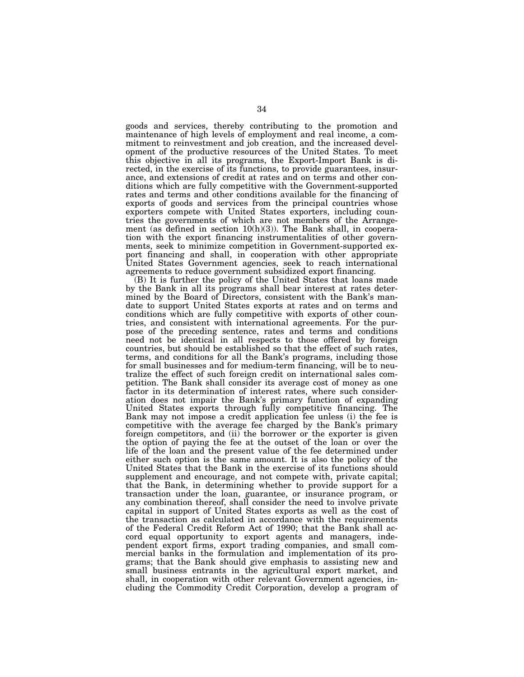goods and services, thereby contributing to the promotion and maintenance of high levels of employment and real income, a commitment to reinvestment and job creation, and the increased development of the productive resources of the United States. To meet this objective in all its programs, the Export-Import Bank is directed, in the exercise of its functions, to provide guarantees, insurance, and extensions of credit at rates and on terms and other conditions which are fully competitive with the Government-supported rates and terms and other conditions available for the financing of exports of goods and services from the principal countries whose exporters compete with United States exporters, including countries the governments of which are not members of the Arrangement (as defined in section 10(h)(3)). The Bank shall, in cooperation with the export financing instrumentalities of other governments, seek to minimize competition in Government-supported export financing and shall, in cooperation with other appropriate United States Government agencies, seek to reach international agreements to reduce government subsidized export financing.

(B) It is further the policy of the United States that loans made by the Bank in all its programs shall bear interest at rates determined by the Board of Directors, consistent with the Bank's mandate to support United States exports at rates and on terms and conditions which are fully competitive with exports of other countries, and consistent with international agreements. For the purpose of the preceding sentence, rates and terms and conditions need not be identical in all respects to those offered by foreign countries, but should be established so that the effect of such rates, terms, and conditions for all the Bank's programs, including those for small businesses and for medium-term financing, will be to neutralize the effect of such foreign credit on international sales competition. The Bank shall consider its average cost of money as one factor in its determination of interest rates, where such consideration does not impair the Bank's primary function of expanding United States exports through fully competitive financing. The Bank may not impose a credit application fee unless (i) the fee is competitive with the average fee charged by the Bank's primary foreign competitors, and (ii) the borrower or the exporter is given the option of paying the fee at the outset of the loan or over the life of the loan and the present value of the fee determined under either such option is the same amount. It is also the policy of the United States that the Bank in the exercise of its functions should supplement and encourage, and not compete with, private capital; that the Bank, in determining whether to provide support for a transaction under the loan, guarantee, or insurance program, or any combination thereof, shall consider the need to involve private capital in support of United States exports as well as the cost of the transaction as calculated in accordance with the requirements of the Federal Credit Reform Act of 1990; that the Bank shall accord equal opportunity to export agents and managers, independent export firms, export trading companies, and small commercial banks in the formulation and implementation of its programs; that the Bank should give emphasis to assisting new and small business entrants in the agricultural export market, and shall, in cooperation with other relevant Government agencies, including the Commodity Credit Corporation, develop a program of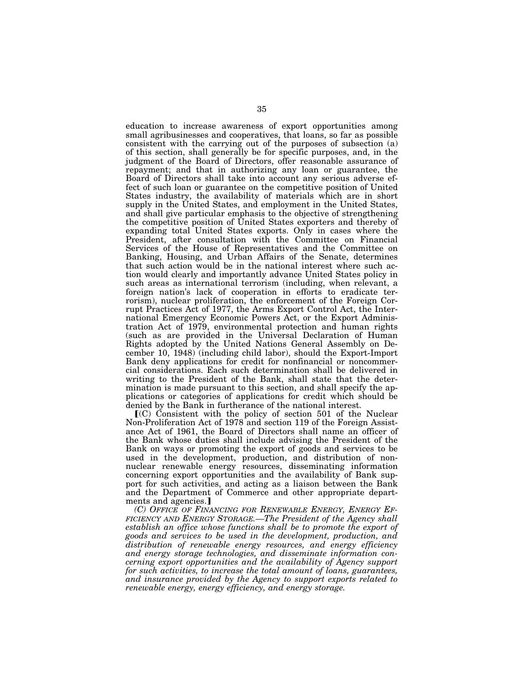education to increase awareness of export opportunities among small agribusinesses and cooperatives, that loans, so far as possible consistent with the carrying out of the purposes of subsection (a) of this section, shall generally be for specific purposes, and, in the judgment of the Board of Directors, offer reasonable assurance of repayment; and that in authorizing any loan or guarantee, the Board of Directors shall take into account any serious adverse effect of such loan or guarantee on the competitive position of United States industry, the availability of materials which are in short supply in the United States, and employment in the United States, and shall give particular emphasis to the objective of strengthening the competitive position of United States exporters and thereby of expanding total United States exports. Only in cases where the President, after consultation with the Committee on Financial Services of the House of Representatives and the Committee on Banking, Housing, and Urban Affairs of the Senate, determines that such action would be in the national interest where such action would clearly and importantly advance United States policy in such areas as international terrorism (including, when relevant, a foreign nation's lack of cooperation in efforts to eradicate terrorism), nuclear proliferation, the enforcement of the Foreign Corrupt Practices Act of 1977, the Arms Export Control Act, the International Emergency Economic Powers Act, or the Export Administration Act of 1979, environmental protection and human rights (such as are provided in the Universal Declaration of Human Rights adopted by the United Nations General Assembly on December 10, 1948) (including child labor), should the Export-Import Bank deny applications for credit for nonfinancial or noncommercial considerations. Each such determination shall be delivered in writing to the President of the Bank, shall state that the determination is made pursuant to this section, and shall specify the applications or categories of applications for credit which should be denied by the Bank in furtherance of the national interest.

 $(C)$  Consistent with the policy of section 501 of the Nuclear Non-Proliferation Act of 1978 and section 119 of the Foreign Assistance Act of 1961, the Board of Directors shall name an officer of the Bank whose duties shall include advising the President of the Bank on ways or promoting the export of goods and services to be used in the development, production, and distribution of nonnuclear renewable energy resources, disseminating information concerning export opportunities and the availability of Bank support for such activities, and acting as a liaison between the Bank and the Department of Commerce and other appropriate departments and agencies.

*(C) OFFICE OF FINANCING FOR RENEWABLE ENERGY, ENERGY EF-FICIENCY AND ENERGY STORAGE.—The President of the Agency shall establish an office whose functions shall be to promote the export of goods and services to be used in the development, production, and distribution of renewable energy resources, and energy efficiency and energy storage technologies, and disseminate information concerning export opportunities and the availability of Agency support for such activities, to increase the total amount of loans, guarantees, and insurance provided by the Agency to support exports related to renewable energy, energy efficiency, and energy storage.*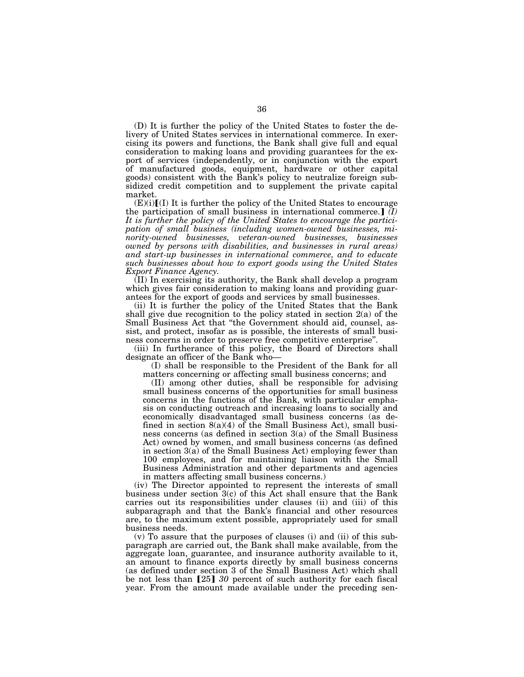(D) It is further the policy of the United States to foster the delivery of United States services in international commerce. In exercising its powers and functions, the Bank shall give full and equal consideration to making loans and providing guarantees for the export of services (independently, or in conjunction with the export of manufactured goods, equipment, hardware or other capital goods) consistent with the Bank's policy to neutralize foreign subsidized credit competition and to supplement the private capital market.

 $(E)(i)$  I(I) It is further the policy of the United States to encourage the participation of small business in international commerce.]  $(I)$ *It is further the policy of the United States to encourage the participation of small business (including women-owned businesses, minority-owned businesses, veteran-owned businesses, businesses owned by persons with disabilities, and businesses in rural areas) and start-up businesses in international commerce, and to educate such businesses about how to export goods using the United States Export Finance Agency.* 

(II) In exercising its authority, the Bank shall develop a program which gives fair consideration to making loans and providing guarantees for the export of goods and services by small businesses.

(ii) It is further the policy of the United States that the Bank shall give due recognition to the policy stated in section 2(a) of the Small Business Act that ''the Government should aid, counsel, assist, and protect, insofar as is possible, the interests of small business concerns in order to preserve free competitive enterprise''.

(iii) In furtherance of this policy, the Board of Directors shall designate an officer of the Bank who—

(I) shall be responsible to the President of the Bank for all matters concerning or affecting small business concerns; and

(II) among other duties, shall be responsible for advising small business concerns of the opportunities for small business concerns in the functions of the Bank, with particular emphasis on conducting outreach and increasing loans to socially and economically disadvantaged small business concerns (as defined in section 8(a)(4) of the Small Business Act), small business concerns (as defined in section 3(a) of the Small Business Act) owned by women, and small business concerns (as defined in section 3(a) of the Small Business Act) employing fewer than 100 employees, and for maintaining liaison with the Small Business Administration and other departments and agencies in matters affecting small business concerns.)

(iv) The Director appointed to represent the interests of small business under section 3(c) of this Act shall ensure that the Bank carries out its responsibilities under clauses (ii) and (iii) of this subparagraph and that the Bank's financial and other resources are, to the maximum extent possible, appropriately used for small business needs.

(v) To assure that the purposes of clauses (i) and (ii) of this subparagraph are carried out, the Bank shall make available, from the aggregate loan, guarantee, and insurance authority available to it, an amount to finance exports directly by small business concerns (as defined under section 3 of the Small Business Act) which shall be not less than [25] 30 percent of such authority for each fiscal year. From the amount made available under the preceding sen-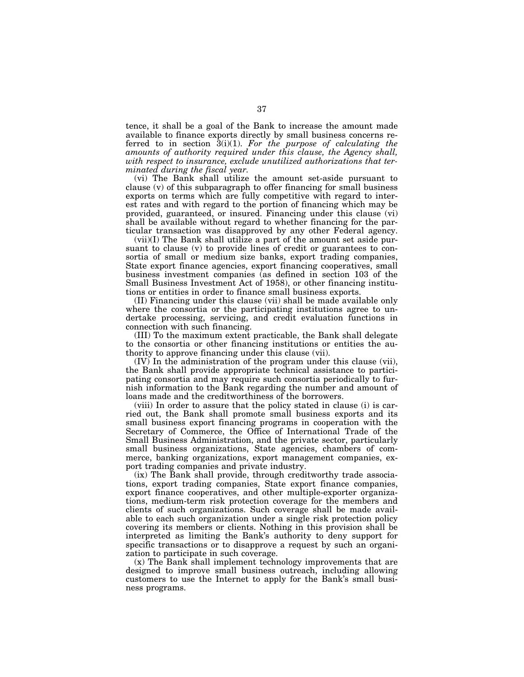tence, it shall be a goal of the Bank to increase the amount made available to finance exports directly by small business concerns referred to in section 3(i)(1). *For the purpose of calculating the amounts of authority required under this clause, the Agency shall, with respect to insurance, exclude unutilized authorizations that terminated during the fiscal year.* 

(vi) The Bank shall utilize the amount set-aside pursuant to clause (v) of this subparagraph to offer financing for small business exports on terms which are fully competitive with regard to interest rates and with regard to the portion of financing which may be provided, guaranteed, or insured. Financing under this clause (vi) shall be available without regard to whether financing for the particular transaction was disapproved by any other Federal agency.

(vii)(I) The Bank shall utilize a part of the amount set aside pursuant to clause (v) to provide lines of credit or guarantees to consortia of small or medium size banks, export trading companies, State export finance agencies, export financing cooperatives, small business investment companies (as defined in section 103 of the Small Business Investment Act of 1958), or other financing institutions or entities in order to finance small business exports.

(II) Financing under this clause (vii) shall be made available only where the consortia or the participating institutions agree to undertake processing, servicing, and credit evaluation functions in connection with such financing.

(III) To the maximum extent practicable, the Bank shall delegate to the consortia or other financing institutions or entities the authority to approve financing under this clause (vii).

(IV) In the administration of the program under this clause (vii), the Bank shall provide appropriate technical assistance to participating consortia and may require such consortia periodically to furnish information to the Bank regarding the number and amount of loans made and the creditworthiness of the borrowers.

(viii) In order to assure that the policy stated in clause (i) is carried out, the Bank shall promote small business exports and its small business export financing programs in cooperation with the Secretary of Commerce, the Office of International Trade of the Small Business Administration, and the private sector, particularly small business organizations, State agencies, chambers of commerce, banking organizations, export management companies, export trading companies and private industry.

(ix) The Bank shall provide, through creditworthy trade associations, export trading companies, State export finance companies, export finance cooperatives, and other multiple-exporter organizations, medium-term risk protection coverage for the members and clients of such organizations. Such coverage shall be made available to each such organization under a single risk protection policy covering its members or clients. Nothing in this provision shall be interpreted as limiting the Bank's authority to deny support for specific transactions or to disapprove a request by such an organization to participate in such coverage.

(x) The Bank shall implement technology improvements that are designed to improve small business outreach, including allowing customers to use the Internet to apply for the Bank's small business programs.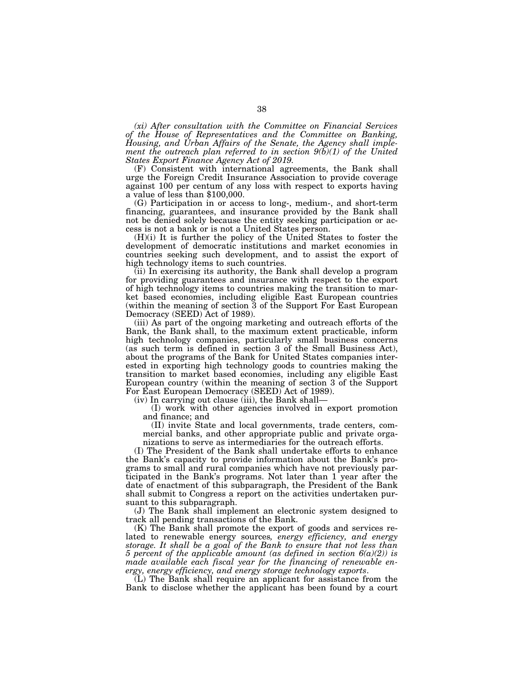*(xi) After consultation with the Committee on Financial Services of the House of Representatives and the Committee on Banking, Housing, and Urban Affairs of the Senate, the Agency shall implement the outreach plan referred to in section 9(b)(1) of the United States Export Finance Agency Act of 2019.* 

(F) Consistent with international agreements, the Bank shall urge the Foreign Credit Insurance Association to provide coverage against 100 per centum of any loss with respect to exports having a value of less than \$100,000.

(G) Participation in or access to long-, medium-, and short-term financing, guarantees, and insurance provided by the Bank shall not be denied solely because the entity seeking participation or access is not a bank or is not a United States person.

(H)(i) It is further the policy of the United States to foster the development of democratic institutions and market economies in countries seeking such development, and to assist the export of high technology items to such countries.

(ii) In exercising its authority, the Bank shall develop a program for providing guarantees and insurance with respect to the export of high technology items to countries making the transition to market based economies, including eligible East European countries (within the meaning of section 3 of the Support For East European Democracy (SEED) Act of 1989).

(iii) As part of the ongoing marketing and outreach efforts of the Bank, the Bank shall, to the maximum extent practicable, inform high technology companies, particularly small business concerns (as such term is defined in section 3 of the Small Business Act), about the programs of the Bank for United States companies interested in exporting high technology goods to countries making the transition to market based economies, including any eligible East European country (within the meaning of section 3 of the Support For East European Democracy (SEED) Act of 1989).

 $(iv)$  In carrying out clause  $(iii)$ , the Bank shall-

(I) work with other agencies involved in export promotion and finance; and

(II) invite State and local governments, trade centers, commercial banks, and other appropriate public and private organizations to serve as intermediaries for the outreach efforts.

(I) The President of the Bank shall undertake efforts to enhance the Bank's capacity to provide information about the Bank's programs to small and rural companies which have not previously participated in the Bank's programs. Not later than 1 year after the date of enactment of this subparagraph, the President of the Bank shall submit to Congress a report on the activities undertaken pursuant to this subparagraph.

(J) The Bank shall implement an electronic system designed to track all pending transactions of the Bank.

(K) The Bank shall promote the export of goods and services related to renewable energy sources*, energy efficiency, and energy storage. It shall be a goal of the Bank to ensure that not less than 5 percent of the applicable amount (as defined in section 6(a)(2)) is made available each fiscal year for the financing of renewable energy, energy efficiency, and energy storage technology exports*.

(L) The Bank shall require an applicant for assistance from the Bank to disclose whether the applicant has been found by a court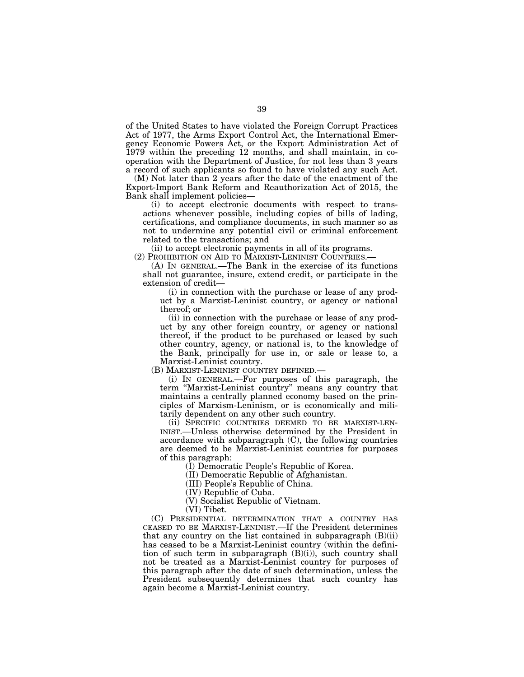of the United States to have violated the Foreign Corrupt Practices Act of 1977, the Arms Export Control Act, the International Emergency Economic Powers Act, or the Export Administration Act of 1979 within the preceding 12 months, and shall maintain, in cooperation with the Department of Justice, for not less than 3 years a record of such applicants so found to have violated any such Act.

(M) Not later than 2 years after the date of the enactment of the Export-Import Bank Reform and Reauthorization Act of 2015, the Bank shall implement policies—

(i) to accept electronic documents with respect to transactions whenever possible, including copies of bills of lading, certifications, and compliance documents, in such manner so as not to undermine any potential civil or criminal enforcement related to the transactions; and

(ii) to accept electronic payments in all of its programs.

(2) PROHIBITION ON AID TO MARXIST-LENINIST COUNTRIES.—

(A) IN GENERAL.—The Bank in the exercise of its functions shall not guarantee, insure, extend credit, or participate in the extension of credit—

(i) in connection with the purchase or lease of any product by a Marxist-Leninist country, or agency or national thereof; or

(ii) in connection with the purchase or lease of any product by any other foreign country, or agency or national thereof, if the product to be purchased or leased by such other country, agency, or national is, to the knowledge of the Bank, principally for use in, or sale or lease to, a Marxist-Leninist country.

(B) MARXIST-LENINIST COUNTRY DEFINED.—

(i) IN GENERAL.—For purposes of this paragraph, the term ''Marxist-Leninist country'' means any country that maintains a centrally planned economy based on the principles of Marxism-Leninism, or is economically and militarily dependent on any other such country.

(ii) SPECIFIC COUNTRIES DEEMED TO BE MARXIST-LEN-INIST.—Unless otherwise determined by the President in accordance with subparagraph (C), the following countries are deemed to be Marxist-Leninist countries for purposes of this paragraph:

(I) Democratic People's Republic of Korea.

(II) Democratic Republic of Afghanistan.

(III) People's Republic of China.

(IV) Republic of Cuba.

(V) Socialist Republic of Vietnam.

(VI) Tibet.

(C) PRESIDENTIAL DETERMINATION THAT A COUNTRY HAS CEASED TO BE MARXIST-LENINIST.—If the President determines that any country on the list contained in subparagraph (B)(ii) has ceased to be a Marxist-Leninist country (within the definition of such term in subparagraph  $(B)(i)$ , such country shall not be treated as a Marxist-Leninist country for purposes of this paragraph after the date of such determination, unless the President subsequently determines that such country has again become a Marxist-Leninist country.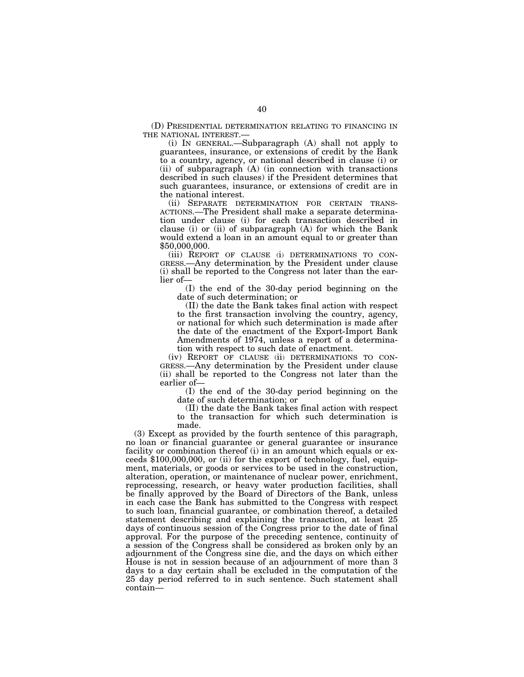(D) PRESIDENTIAL DETERMINATION RELATING TO FINANCING IN THE NATIONAL INTEREST.—

 $I$ ) In GENERAL.—Subparagraph  $(A)$  shall not apply to guarantees, insurance, or extensions of credit by the Bank to a country, agency, or national described in clause (i) or (ii) of subparagraph (A) (in connection with transactions described in such clauses) if the President determines that such guarantees, insurance, or extensions of credit are in the national interest.<br>(ii) SEPARATE DETERMINATION FOR CERTAIN TRANS-

ACTIONS.—The President shall make a separate determination under clause (i) for each transaction described in clause (i) or (ii) of subparagraph (A) for which the Bank would extend a loan in an amount equal to or greater than \$50,000,000.

(iii) REPORT OF CLAUSE (i) DETERMINATIONS TO CON-GRESS.—Any determination by the President under clause (i) shall be reported to the Congress not later than the earlier of—

(I) the end of the 30-day period beginning on the date of such determination; or

(II) the date the Bank takes final action with respect to the first transaction involving the country, agency, or national for which such determination is made after the date of the enactment of the Export-Import Bank Amendments of 1974, unless a report of a determination with respect to such date of enactment.

(iv) REPORT OF CLAUSE (ii) DETERMINATIONS TO CON-GRESS.—Any determination by the President under clause (ii) shall be reported to the Congress not later than the earlier of—

(I) the end of the 30-day period beginning on the date of such determination; or

(II) the date the Bank takes final action with respect to the transaction for which such determination is made.

(3) Except as provided by the fourth sentence of this paragraph, no loan or financial guarantee or general guarantee or insurance facility or combination thereof (i) in an amount which equals or exceeds \$100,000,000, or (ii) for the export of technology, fuel, equipment, materials, or goods or services to be used in the construction, alteration, operation, or maintenance of nuclear power, enrichment, reprocessing, research, or heavy water production facilities, shall be finally approved by the Board of Directors of the Bank, unless in each case the Bank has submitted to the Congress with respect to such loan, financial guarantee, or combination thereof, a detailed statement describing and explaining the transaction, at least 25 days of continuous session of the Congress prior to the date of final approval. For the purpose of the preceding sentence, continuity of a session of the Congress shall be considered as broken only by an adjournment of the Congress sine die, and the days on which either House is not in session because of an adjournment of more than 3 days to a day certain shall be excluded in the computation of the 25 day period referred to in such sentence. Such statement shall contain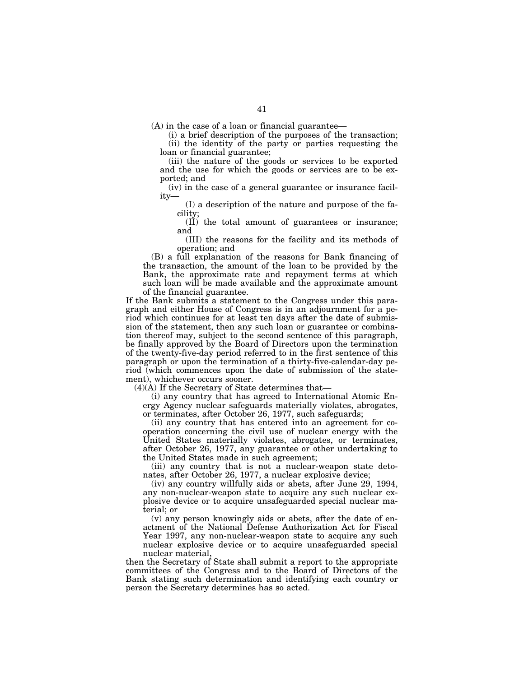(A) in the case of a loan or financial guarantee—

(i) a brief description of the purposes of the transaction;

(ii) the identity of the party or parties requesting the loan or financial guarantee;

(iii) the nature of the goods or services to be exported and the use for which the goods or services are to be exported; and

(iv) in the case of a general guarantee or insurance facility—

(I) a description of the nature and purpose of the facility;

(II) the total amount of guarantees or insurance; and

(III) the reasons for the facility and its methods of operation; and

(B) a full explanation of the reasons for Bank financing of the transaction, the amount of the loan to be provided by the Bank, the approximate rate and repayment terms at which such loan will be made available and the approximate amount of the financial guarantee.

If the Bank submits a statement to the Congress under this paragraph and either House of Congress is in an adjournment for a period which continues for at least ten days after the date of submission of the statement, then any such loan or guarantee or combination thereof may, subject to the second sentence of this paragraph, be finally approved by the Board of Directors upon the termination of the twenty-five-day period referred to in the first sentence of this paragraph or upon the termination of a thirty-five-calendar-day period (which commences upon the date of submission of the statement), whichever occurs sooner.

(4)(A) If the Secretary of State determines that—

(i) any country that has agreed to International Atomic Energy Agency nuclear safeguards materially violates, abrogates, or terminates, after October 26, 1977, such safeguards;

(ii) any country that has entered into an agreement for cooperation concerning the civil use of nuclear energy with the United States materially violates, abrogates, or terminates, after October 26, 1977, any guarantee or other undertaking to the United States made in such agreement;

(iii) any country that is not a nuclear-weapon state detonates, after October 26, 1977, a nuclear explosive device;

(iv) any country willfully aids or abets, after June 29, 1994, any non-nuclear-weapon state to acquire any such nuclear explosive device or to acquire unsafeguarded special nuclear material; or

(v) any person knowingly aids or abets, after the date of enactment of the National Defense Authorization Act for Fiscal Year 1997, any non-nuclear-weapon state to acquire any such nuclear explosive device or to acquire unsafeguarded special nuclear material,

then the Secretary of State shall submit a report to the appropriate committees of the Congress and to the Board of Directors of the Bank stating such determination and identifying each country or person the Secretary determines has so acted.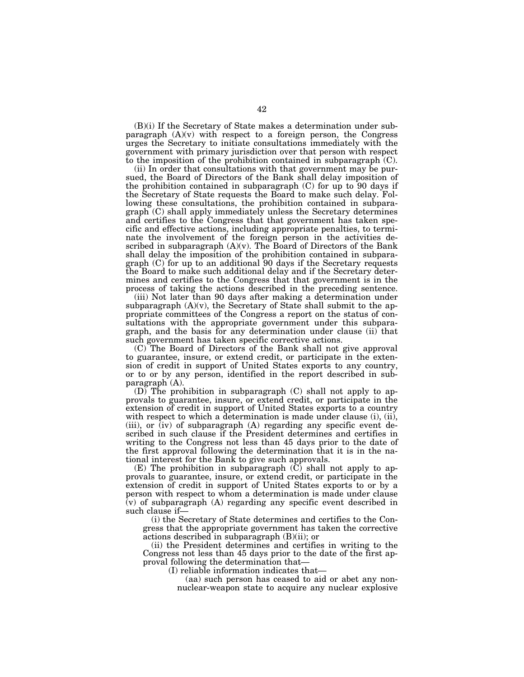(B)(i) If the Secretary of State makes a determination under subparagraph  $(A)(v)$  with respect to a foreign person, the Congress urges the Secretary to initiate consultations immediately with the government with primary jurisdiction over that person with respect to the imposition of the prohibition contained in subparagraph  $(C)$ .

(ii) In order that consultations with that government may be pursued, the Board of Directors of the Bank shall delay imposition of the prohibition contained in subparagraph (C) for up to 90 days if the Secretary of State requests the Board to make such delay. Following these consultations, the prohibition contained in subparagraph (C) shall apply immediately unless the Secretary determines and certifies to the Congress that that government has taken specific and effective actions, including appropriate penalties, to terminate the involvement of the foreign person in the activities described in subparagraph  $(A)(v)$ . The Board of Directors of the Bank shall delay the imposition of the prohibition contained in subparagraph (C) for up to an additional 90 days if the Secretary requests the Board to make such additional delay and if the Secretary determines and certifies to the Congress that that government is in the process of taking the actions described in the preceding sentence.

(iii) Not later than 90 days after making a determination under subparagraph  $(A)(v)$ , the Secretary of State shall submit to the appropriate committees of the Congress a report on the status of consultations with the appropriate government under this subparagraph, and the basis for any determination under clause (ii) that such government has taken specific corrective actions.

(C) The Board of Directors of the Bank shall not give approval to guarantee, insure, or extend credit, or participate in the extension of credit in support of United States exports to any country, or to or by any person, identified in the report described in subparagraph<sup>(A)</sup>.

(D) The prohibition in subparagraph (C) shall not apply to approvals to guarantee, insure, or extend credit, or participate in the extension of credit in support of United States exports to a country with respect to which a determination is made under clause (i), (ii), (iii), or (iv) of subparagraph (A) regarding any specific event described in such clause if the President determines and certifies in writing to the Congress not less than 45 days prior to the date of the first approval following the determination that it is in the national interest for the Bank to give such approvals.

 $(E)$  The prohibition in subparagraph  $(C)$  shall not apply to approvals to guarantee, insure, or extend credit, or participate in the extension of credit in support of United States exports to or by a person with respect to whom a determination is made under clause (v) of subparagraph (A) regarding any specific event described in such clause if—

(i) the Secretary of State determines and certifies to the Congress that the appropriate government has taken the corrective actions described in subparagraph (B)(ii); or

(ii) the President determines and certifies in writing to the Congress not less than 45 days prior to the date of the first approval following the determination that—

(I) reliable information indicates that—

(aa) such person has ceased to aid or abet any nonnuclear-weapon state to acquire any nuclear explosive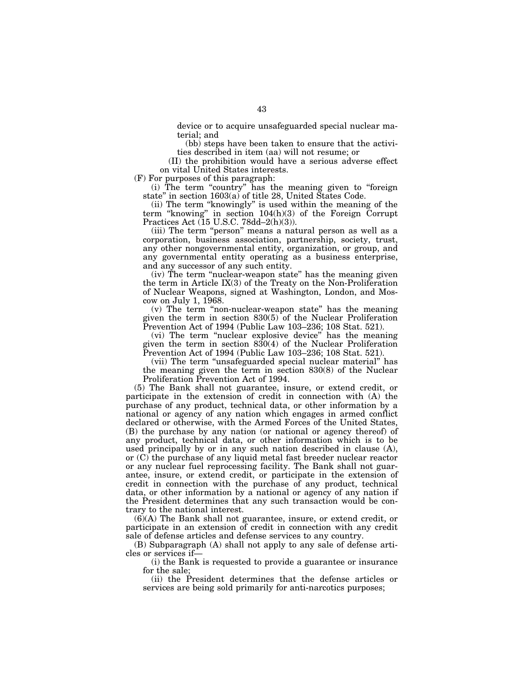device or to acquire unsafeguarded special nuclear material; and

(bb) steps have been taken to ensure that the activities described in item (aa) will not resume; or

(II) the prohibition would have a serious adverse effect on vital United States interests.

(F) For purposes of this paragraph:

(i) The term ''country'' has the meaning given to ''foreign state'' in section 1603(a) of title 28, United States Code.

(ii) The term ''knowingly'' is used within the meaning of the term "knowing" in section  $104(h)(3)$  of the Foreign Corrupt Practices Act (15 U.S.C. 78dd–2(h)(3)).

(iii) The term "person" means a natural person as well as a corporation, business association, partnership, society, trust, any other nongovernmental entity, organization, or group, and any governmental entity operating as a business enterprise, and any successor of any such entity.

(iv) The term ''nuclear-weapon state'' has the meaning given the term in Article IX(3) of the Treaty on the Non-Proliferation of Nuclear Weapons, signed at Washington, London, and Moscow on July 1, 1968.

(v) The term ''non-nuclear-weapon state'' has the meaning given the term in section 830(5) of the Nuclear Proliferation Prevention Act of 1994 (Public Law 103–236; 108 Stat. 521).

(vi) The term ''nuclear explosive device'' has the meaning given the term in section  $830(4)$  of the Nuclear Proliferation Prevention Act of 1994 (Public Law 103–236; 108 Stat. 521).

(vii) The term ''unsafeguarded special nuclear material'' has the meaning given the term in section 830(8) of the Nuclear Proliferation Prevention Act of 1994.

(5) The Bank shall not guarantee, insure, or extend credit, or participate in the extension of credit in connection with (A) the purchase of any product, technical data, or other information by a national or agency of any nation which engages in armed conflict declared or otherwise, with the Armed Forces of the United States, (B) the purchase by any nation (or national or agency thereof) of any product, technical data, or other information which is to be used principally by or in any such nation described in clause (A), or (C) the purchase of any liquid metal fast breeder nuclear reactor or any nuclear fuel reprocessing facility. The Bank shall not guarantee, insure, or extend credit, or participate in the extension of credit in connection with the purchase of any product, technical data, or other information by a national or agency of any nation if the President determines that any such transaction would be contrary to the national interest.

(6)(A) The Bank shall not guarantee, insure, or extend credit, or participate in an extension of credit in connection with any credit sale of defense articles and defense services to any country.

(B) Subparagraph (A) shall not apply to any sale of defense articles or services if—

(i) the Bank is requested to provide a guarantee or insurance for the sale;

(ii) the President determines that the defense articles or services are being sold primarily for anti-narcotics purposes;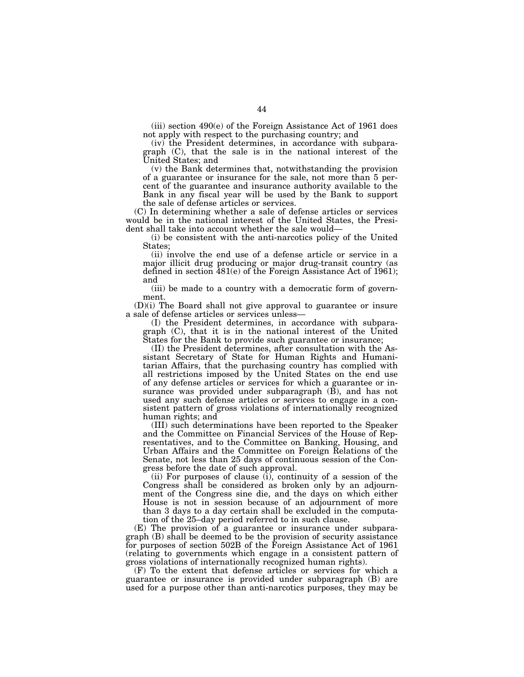(iii) section 490(e) of the Foreign Assistance Act of 1961 does not apply with respect to the purchasing country; and

(iv) the President determines, in accordance with subparagraph (C), that the sale is in the national interest of the United States; and

(v) the Bank determines that, notwithstanding the provision of a guarantee or insurance for the sale, not more than 5 percent of the guarantee and insurance authority available to the Bank in any fiscal year will be used by the Bank to support the sale of defense articles or services.

(C) In determining whether a sale of defense articles or services would be in the national interest of the United States, the President shall take into account whether the sale would—

(i) be consistent with the anti-narcotics policy of the United States;

(ii) involve the end use of a defense article or service in a major illicit drug producing or major drug-transit country (as defined in section 481(e) of the Foreign Assistance Act of 1961); and

(iii) be made to a country with a democratic form of government.

(D)(i) The Board shall not give approval to guarantee or insure a sale of defense articles or services unless—

(I) the President determines, in accordance with subparagraph (C), that it is in the national interest of the United States for the Bank to provide such guarantee or insurance;

(II) the President determines, after consultation with the Assistant Secretary of State for Human Rights and Humanitarian Affairs, that the purchasing country has complied with all restrictions imposed by the United States on the end use of any defense articles or services for which a guarantee or insurance was provided under subparagraph  $(\overrightarrow{B})$ , and has not used any such defense articles or services to engage in a consistent pattern of gross violations of internationally recognized human rights; and

(III) such determinations have been reported to the Speaker and the Committee on Financial Services of the House of Representatives, and to the Committee on Banking, Housing, and Urban Affairs and the Committee on Foreign Relations of the Senate, not less than 25 days of continuous session of the Congress before the date of such approval.

(ii) For purposes of clause  $(i)$ , continuity of a session of the Congress shall be considered as broken only by an adjournment of the Congress sine die, and the days on which either House is not in session because of an adjournment of more than 3 days to a day certain shall be excluded in the computation of the 25–day period referred to in such clause.

(E) The provision of a guarantee or insurance under subparagraph (B) shall be deemed to be the provision of security assistance for purposes of section 502B of the Foreign Assistance Act of 1961 (relating to governments which engage in a consistent pattern of gross violations of internationally recognized human rights).

(F) To the extent that defense articles or services for which a guarantee or insurance is provided under subparagraph (B) are used for a purpose other than anti-narcotics purposes, they may be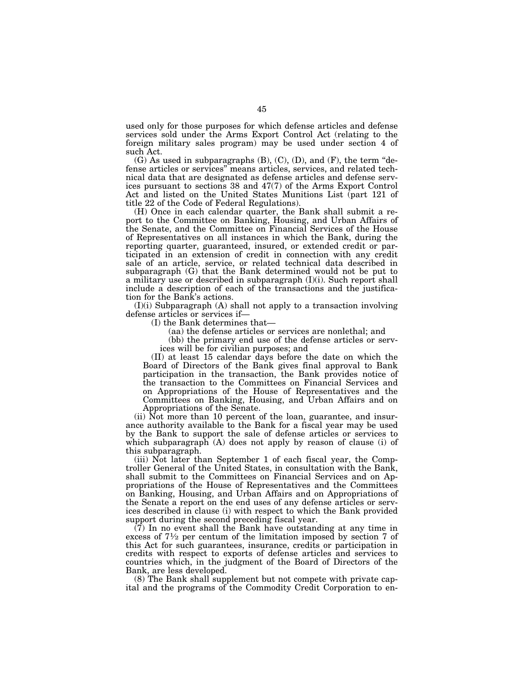used only for those purposes for which defense articles and defense services sold under the Arms Export Control Act (relating to the foreign military sales program) may be used under section 4 of such Act.

 $(G)$  As used in subparagraphs  $(B)$ ,  $(C)$ ,  $(D)$ , and  $(F)$ , the term "defense articles or services'' means articles, services, and related technical data that are designated as defense articles and defense services pursuant to sections 38 and 47(7) of the Arms Export Control Act and listed on the United States Munitions List (part 121 of title 22 of the Code of Federal Regulations).

(H) Once in each calendar quarter, the Bank shall submit a report to the Committee on Banking, Housing, and Urban Affairs of the Senate, and the Committee on Financial Services of the House of Representatives on all instances in which the Bank, during the reporting quarter, guaranteed, insured, or extended credit or participated in an extension of credit in connection with any credit sale of an article, service, or related technical data described in subparagraph (G) that the Bank determined would not be put to a military use or described in subparagraph (I)(i). Such report shall include a description of each of the transactions and the justification for the Bank's actions.

(I)(i) Subparagraph (A) shall not apply to a transaction involving defense articles or services if—

(I) the Bank determines that—

(aa) the defense articles or services are nonlethal; and

(bb) the primary end use of the defense articles or services will be for civilian purposes; and

(II) at least 15 calendar days before the date on which the Board of Directors of the Bank gives final approval to Bank participation in the transaction, the Bank provides notice of the transaction to the Committees on Financial Services and on Appropriations of the House of Representatives and the Committees on Banking, Housing, and Urban Affairs and on Appropriations of the Senate.

(ii) Not more than 10 percent of the loan, guarantee, and insurance authority available to the Bank for a fiscal year may be used by the Bank to support the sale of defense articles or services to which subparagraph (A) does not apply by reason of clause (i) of this subparagraph.

(iii) Not later than September 1 of each fiscal year, the Comptroller General of the United States, in consultation with the Bank, shall submit to the Committees on Financial Services and on Appropriations of the House of Representatives and the Committees on Banking, Housing, and Urban Affairs and on Appropriations of the Senate a report on the end uses of any defense articles or services described in clause (i) with respect to which the Bank provided support during the second preceding fiscal year.

 $(7)$  In no event shall the Bank have outstanding at any time in excess of  $7\frac{1}{2}$  per centum of the limitation imposed by section 7 of this Act for such guarantees, insurance, credits or participation in credits with respect to exports of defense articles and services to countries which, in the judgment of the Board of Directors of the Bank, are less developed.

(8) The Bank shall supplement but not compete with private capital and the programs of the Commodity Credit Corporation to en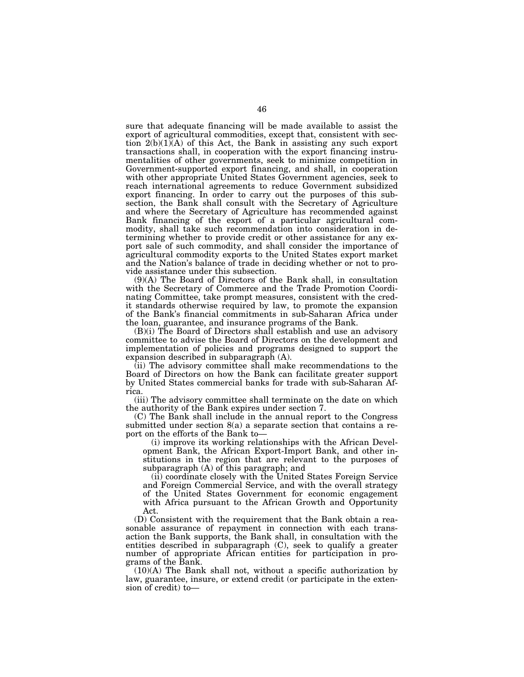sure that adequate financing will be made available to assist the export of agricultural commodities, except that, consistent with section  $2(b)(1)(A)$  of this Act, the Bank in assisting any such export transactions shall, in cooperation with the export financing instrumentalities of other governments, seek to minimize competition in Government-supported export financing, and shall, in cooperation with other appropriate United States Government agencies, seek to reach international agreements to reduce Government subsidized export financing. In order to carry out the purposes of this subsection, the Bank shall consult with the Secretary of Agriculture and where the Secretary of Agriculture has recommended against Bank financing of the export of a particular agricultural commodity, shall take such recommendation into consideration in determining whether to provide credit or other assistance for any export sale of such commodity, and shall consider the importance of agricultural commodity exports to the United States export market and the Nation's balance of trade in deciding whether or not to provide assistance under this subsection.

(9)(A) The Board of Directors of the Bank shall, in consultation with the Secretary of Commerce and the Trade Promotion Coordinating Committee, take prompt measures, consistent with the credit standards otherwise required by law, to promote the expansion of the Bank's financial commitments in sub-Saharan Africa under the loan, guarantee, and insurance programs of the Bank.

(B)(i) The Board of Directors shall establish and use an advisory committee to advise the Board of Directors on the development and implementation of policies and programs designed to support the expansion described in subparagraph (A).

(ii) The advisory committee shall make recommendations to the Board of Directors on how the Bank can facilitate greater support by United States commercial banks for trade with sub-Saharan Africa.

(iii) The advisory committee shall terminate on the date on which the authority of the Bank expires under section 7.

(C) The Bank shall include in the annual report to the Congress submitted under section 8(a) a separate section that contains a report on the efforts of the Bank to—

(i) improve its working relationships with the African Development Bank, the African Export-Import Bank, and other institutions in the region that are relevant to the purposes of subparagraph (A) of this paragraph; and

(ii) coordinate closely with the United States Foreign Service and Foreign Commercial Service, and with the overall strategy of the United States Government for economic engagement with Africa pursuant to the African Growth and Opportunity Act.

(D) Consistent with the requirement that the Bank obtain a reasonable assurance of repayment in connection with each transaction the Bank supports, the Bank shall, in consultation with the entities described in subparagraph (C), seek to qualify a greater number of appropriate African entities for participation in programs of the Bank.

(10)(A) The Bank shall not, without a specific authorization by law, guarantee, insure, or extend credit (or participate in the extension of credit) to—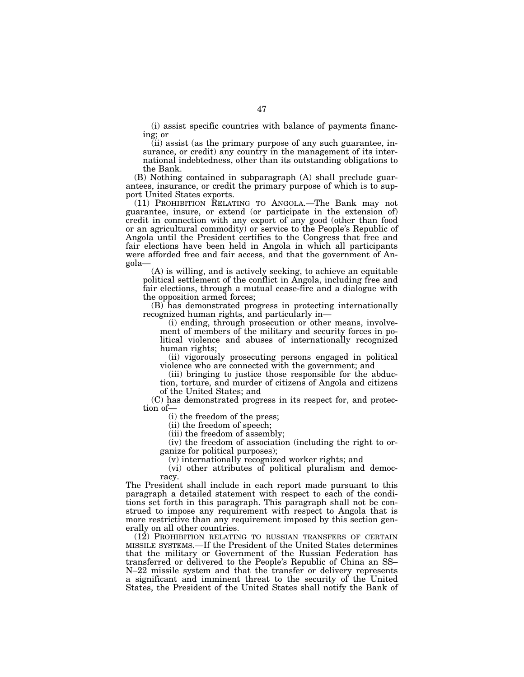(i) assist specific countries with balance of payments financing; or

(ii) assist (as the primary purpose of any such guarantee, insurance, or credit) any country in the management of its international indebtedness, other than its outstanding obligations to the Bank.

(B) Nothing contained in subparagraph (A) shall preclude guarantees, insurance, or credit the primary purpose of which is to support United States exports.

(11) PROHIBITION RELATING TO ANGOLA.—The Bank may not guarantee, insure, or extend (or participate in the extension of) credit in connection with any export of any good (other than food or an agricultural commodity) or service to the People's Republic of Angola until the President certifies to the Congress that free and fair elections have been held in Angola in which all participants were afforded free and fair access, and that the government of Angola—

(A) is willing, and is actively seeking, to achieve an equitable political settlement of the conflict in Angola, including free and fair elections, through a mutual cease-fire and a dialogue with the opposition armed forces;

(B) has demonstrated progress in protecting internationally recognized human rights, and particularly in—

(i) ending, through prosecution or other means, involvement of members of the military and security forces in political violence and abuses of internationally recognized human rights;

(ii) vigorously prosecuting persons engaged in political violence who are connected with the government; and

(iii) bringing to justice those responsible for the abduction, torture, and murder of citizens of Angola and citizens of the United States; and

(C) has demonstrated progress in its respect for, and protection of—

(i) the freedom of the press;

(ii) the freedom of speech;

(iii) the freedom of assembly;

(iv) the freedom of association (including the right to organize for political purposes);

(v) internationally recognized worker rights; and

(vi) other attributes of political pluralism and democracy.

The President shall include in each report made pursuant to this paragraph a detailed statement with respect to each of the conditions set forth in this paragraph. This paragraph shall not be construed to impose any requirement with respect to Angola that is more restrictive than any requirement imposed by this section generally on all other countries.

(12) PROHIBITION RELATING TO RUSSIAN TRANSFERS OF CERTAIN MISSILE SYSTEMS.—If the President of the United States determines that the military or Government of the Russian Federation has transferred or delivered to the People's Republic of China an SS– N–22 missile system and that the transfer or delivery represents a significant and imminent threat to the security of the United States, the President of the United States shall notify the Bank of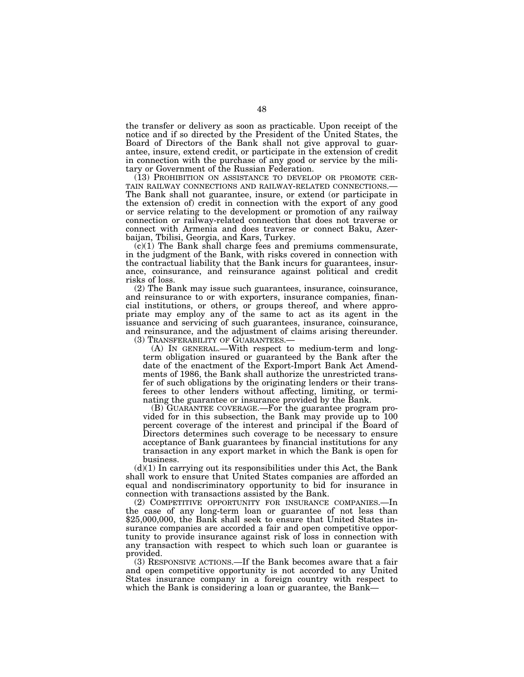the transfer or delivery as soon as practicable. Upon receipt of the notice and if so directed by the President of the United States, the Board of Directors of the Bank shall not give approval to guarantee, insure, extend credit, or participate in the extension of credit in connection with the purchase of any good or service by the military or Government of the Russian Federation.<br>(13) PROHIBITION ON ASSISTANCE TO DEVELOP OR PROMOTE CER-

TAIN RAILWAY CONNECTIONS AND RAILWAY-RELATED CONNECTIONS.—<br>The Bank shall not guarantee, insure, or extend (or participate in the extension of) credit in connection with the export of any good or service relating to the development or promotion of any railway connection or railway-related connection that does not traverse or connect with Armenia and does traverse or connect Baku, Azerbaijan, Tbilisi, Georgia, and Kars, Turkey.

 $(c)(1)$  The Bank shall charge fees and premiums commensurate, in the judgment of the Bank, with risks covered in connection with the contractual liability that the Bank incurs for guarantees, insurance, coinsurance, and reinsurance against political and credit risks of loss.

(2) The Bank may issue such guarantees, insurance, coinsurance, and reinsurance to or with exporters, insurance companies, financial institutions, or others, or groups thereof, and where appropriate may employ any of the same to act as its agent in the issuance and servicing of such guarantees, insurance, coinsurance, and reinsurance, and the adjustment of claims arising thereunder.

(3) TRANSFERABILITY OF GUARANTEES.— (A) IN GENERAL.—With respect to medium-term and longterm obligation insured or guaranteed by the Bank after the date of the enactment of the Export-Import Bank Act Amendments of 1986, the Bank shall authorize the unrestricted transfer of such obligations by the originating lenders or their transferees to other lenders without affecting, limiting, or terminating the guarantee or insurance provided by the Bank.

(B) GUARANTEE COVERAGE.—For the guarantee program provided for in this subsection, the Bank may provide up to 100 percent coverage of the interest and principal if the Board of Directors determines such coverage to be necessary to ensure acceptance of Bank guarantees by financial institutions for any transaction in any export market in which the Bank is open for business.

 $(d)(1)$  In carrying out its responsibilities under this Act, the Bank shall work to ensure that United States companies are afforded an equal and nondiscriminatory opportunity to bid for insurance in connection with transactions assisted by the Bank.

(2) COMPETITIVE OPPORTUNITY FOR INSURANCE COMPANIES.—In the case of any long-term loan or guarantee of not less than \$25,000,000, the Bank shall seek to ensure that United States insurance companies are accorded a fair and open competitive opportunity to provide insurance against risk of loss in connection with any transaction with respect to which such loan or guarantee is provided.

(3) RESPONSIVE ACTIONS.—If the Bank becomes aware that a fair and open competitive opportunity is not accorded to any United States insurance company in a foreign country with respect to which the Bank is considering a loan or guarantee, the Bank—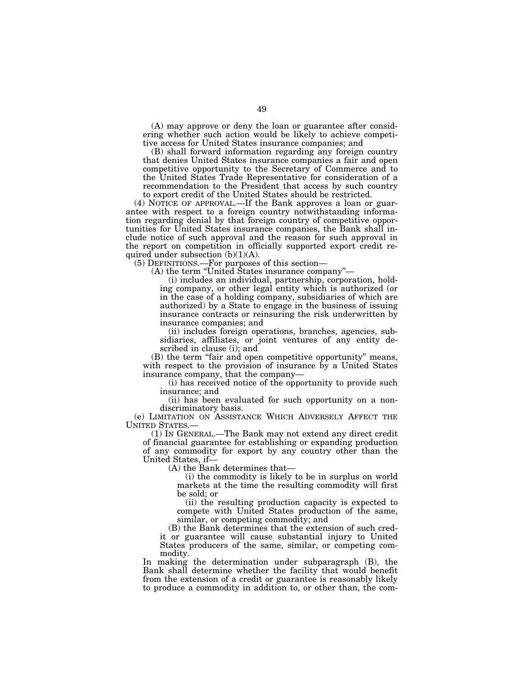(A) may approve or deny the loan or guarantee after considering whether such action would be likely to achieve competitive access for United States insurance companies; and

(B) shall forward information regarding any foreign country that denies United States insurance companies a fair and open competitive opportunity to the Secretary of Commerce and to the United States Trade Representative for consideration of a recommendation to the President that access by such country to export credit of the United States should be restricted.

(4) NOTICE OF APPROVAL.—If the Bank approves a loan or guarantee with respect to a foreign country notwithstanding information regarding denial by that foreign country of competitive opportunities for United States insurance companies, the Bank shall include notice of such approval and the reason for such approval in the report on competition in officially supported export credit required under subsection  $(b)(1)(A)$ .

(5) DEFINITIONS.—For purposes of this section—

(A) the term ''United States insurance company''—

(i) includes an individual, partnership, corporation, holding company, or other legal entity which is authorized (or in the case of a holding company, subsidiaries of which are authorized) by a State to engage in the business of issuing insurance contracts or reinsuring the risk underwritten by insurance companies; and

(ii) includes foreign operations, branches, agencies, subsidiaries, affiliates, or joint ventures of any entity described in clause (i); and

(B) the term "fair and open competitive opportunity" means, with respect to the provision of insurance by a United States insurance company, that the company—

(i) has received notice of the opportunity to provide such insurance; and

(ii) has been evaluated for such opportunity on a nondiscriminatory basis.

(e) LIMITATION ON ASSISTANCE WHICH ADVERSELY AFFECT THE UNITED STATES.—<br>(1) IN GENERAL.—The Bank may not extend any direct credit

of financial guarantee for establishing or expanding production of any commodity for export by any country other than the United States, if—

(A) the Bank determines that—

(i) the commodity is likely to be in surplus on world markets at the time the resulting commodity will first be sold; or

(ii) the resulting production capacity is expected to compete with United States production of the same, similar, or competing commodity; and

(B) the Bank determines that the extension of such credit or guarantee will cause substantial injury to United States producers of the same, similar, or competing commodity.

In making the determination under subparagraph (B), the Bank shall determine whether the facility that would benefit from the extension of a credit or guarantee is reasonably likely to produce a commodity in addition to, or other than, the com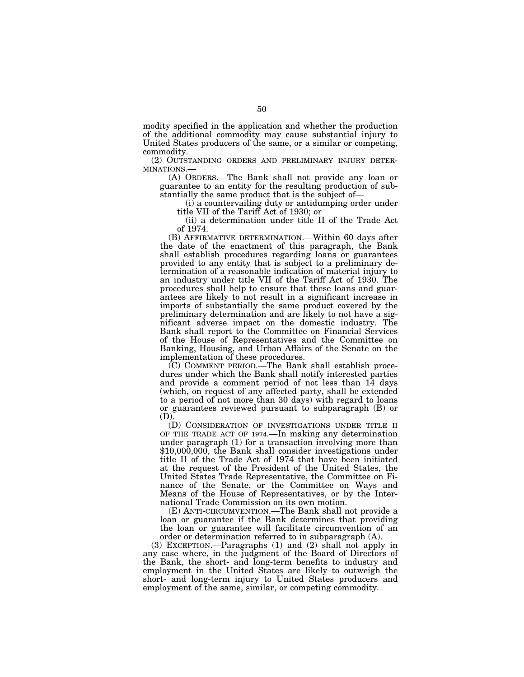modity specified in the application and whether the production of the additional commodity may cause substantial injury to United States producers of the same, or a similar or competing, commodity.<br>
(2) OUTSTANDING ORDERS AND PRELIMINARY INJURY DETER-

MINATIONS.—<br>(A) ORDERS.—The Bank shall not provide any loan or

guarantee to an entity for the resulting production of substantially the same product that is the subject of—

(i) a countervailing duty or antidumping order under title VII of the Tariff Act of 1930; or

(ii) a determination under title II of the Trade Act of 1974.

(B) AFFIRMATIVE DETERMINATION.—Within 60 days after the date of the enactment of this paragraph, the Bank shall establish procedures regarding loans or guarantees provided to any entity that is subject to a preliminary determination of a reasonable indication of material injury to an industry under title VII of the Tariff Act of 1930. The procedures shall help to ensure that these loans and guarantees are likely to not result in a significant increase in imports of substantially the same product covered by the preliminary determination and are likely to not have a significant adverse impact on the domestic industry. The Bank shall report to the Committee on Financial Services of the House of Representatives and the Committee on Banking, Housing, and Urban Affairs of the Senate on the implementation of these procedures.

(C) COMMENT PERIOD.—The Bank shall establish procedures under which the Bank shall notify interested parties and provide a comment period of not less than 14 days (which, on request of any affected party, shall be extended to a period of not more than 30 days) with regard to loans or guarantees reviewed pursuant to subparagraph (B) or (D).

(D) CONSIDERATION OF INVESTIGATIONS UNDER TITLE II OF THE TRADE ACT OF 1974.—In making any determination under paragraph (1) for a transaction involving more than \$10,000,000, the Bank shall consider investigations under title II of the Trade Act of 1974 that have been initiated at the request of the President of the United States, the United States Trade Representative, the Committee on Finance of the Senate, or the Committee on Ways and Means of the House of Representatives, or by the International Trade Commission on its own motion.

(E) ANTI-CIRCUMVENTION.—The Bank shall not provide a loan or guarantee if the Bank determines that providing the loan or guarantee will facilitate circumvention of an order or determination referred to in subparagraph (A).

(3) EXCEPTION.—Paragraphs (1) and (2) shall not apply in any case where, in the judgment of the Board of Directors of the Bank, the short- and long-term benefits to industry and employment in the United States are likely to outweigh the short- and long-term injury to United States producers and employment of the same, similar, or competing commodity.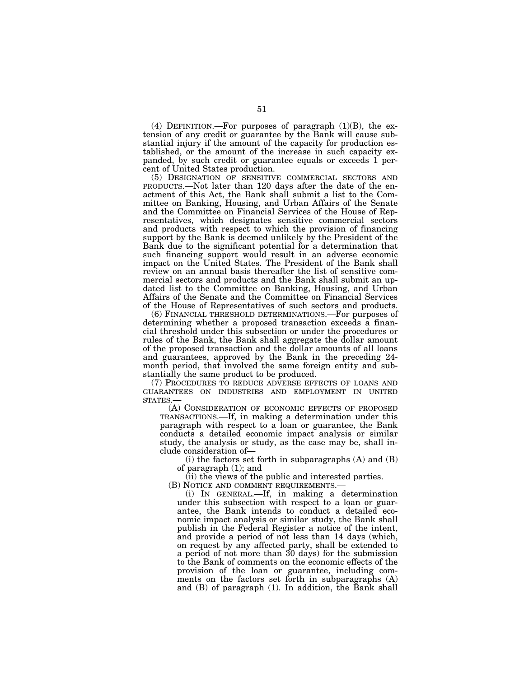(4) DEFINITION.—For purposes of paragraph  $(1)(B)$ , the extension of any credit or guarantee by the Bank will cause substantial injury if the amount of the capacity for production established, or the amount of the increase in such capacity expanded, by such credit or guarantee equals or exceeds 1 percent of United States production.

(5) DESIGNATION OF SENSITIVE COMMERCIAL SECTORS AND PRODUCTS.—Not later than 120 days after the date of the enactment of this Act, the Bank shall submit a list to the Committee on Banking, Housing, and Urban Affairs of the Senate and the Committee on Financial Services of the House of Representatives, which designates sensitive commercial sectors and products with respect to which the provision of financing support by the Bank is deemed unlikely by the President of the Bank due to the significant potential for a determination that such financing support would result in an adverse economic impact on the United States. The President of the Bank shall review on an annual basis thereafter the list of sensitive commercial sectors and products and the Bank shall submit an updated list to the Committee on Banking, Housing, and Urban Affairs of the Senate and the Committee on Financial Services of the House of Representatives of such sectors and products.

(6) FINANCIAL THRESHOLD DETERMINATIONS.—For purposes of determining whether a proposed transaction exceeds a financial threshold under this subsection or under the procedures or rules of the Bank, the Bank shall aggregate the dollar amount of the proposed transaction and the dollar amounts of all loans and guarantees, approved by the Bank in the preceding 24 month period, that involved the same foreign entity and substantially the same product to be produced.

(7) PROCEDURES TO REDUCE ADVERSE EFFECTS OF LOANS AND GUARANTEES ON INDUSTRIES AND EMPLOYMENT IN UNITED STATES.

(A) CONSIDERATION OF ECONOMIC EFFECTS OF PROPOSED TRANSACTIONS.—If, in making a determination under this paragraph with respect to a loan or guarantee, the Bank conducts a detailed economic impact analysis or similar study, the analysis or study, as the case may be, shall include consideration of—

(i) the factors set forth in subparagraphs (A) and (B) of paragraph (1); and

(ii) the views of the public and interested parties.

(B) NOTICE AND COMMENT REQUIREMENTS.—

(i) IN GENERAL.—If, in making a determination under this subsection with respect to a loan or guarantee, the Bank intends to conduct a detailed economic impact analysis or similar study, the Bank shall publish in the Federal Register a notice of the intent, and provide a period of not less than 14 days (which, on request by any affected party, shall be extended to a period of not more than 30 days) for the submission to the Bank of comments on the economic effects of the provision of the loan or guarantee, including comments on the factors set forth in subparagraphs (A) and (B) of paragraph (1). In addition, the Bank shall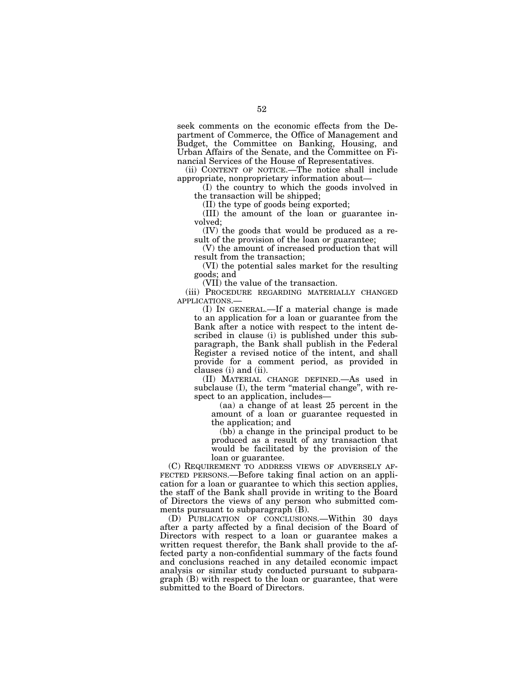seek comments on the economic effects from the Department of Commerce, the Office of Management and Budget, the Committee on Banking, Housing, and Urban Affairs of the Senate, and the Committee on Financial Services of the House of Representatives.

(ii) CONTENT OF NOTICE.—The notice shall include appropriate, nonproprietary information about—

(I) the country to which the goods involved in the transaction will be shipped;

(II) the type of goods being exported;

(III) the amount of the loan or guarantee involved;

(IV) the goods that would be produced as a result of the provision of the loan or guarantee;

(V) the amount of increased production that will result from the transaction;

(VI) the potential sales market for the resulting goods; and

(VII) the value of the transaction.

(iii) PROCEDURE REGARDING MATERIALLY CHANGED APPLICATIONS.—

(I) IN GENERAL.—If a material change is made to an application for a loan or guarantee from the Bank after a notice with respect to the intent described in clause (i) is published under this subparagraph, the Bank shall publish in the Federal Register a revised notice of the intent, and shall provide for a comment period, as provided in clauses (i) and (ii).

(II) MATERIAL CHANGE DEFINED.—As used in subclause (I), the term "material change", with respect to an application, includes—

(aa) a change of at least 25 percent in the amount of a loan or guarantee requested in the application; and

(bb) a change in the principal product to be produced as a result of any transaction that would be facilitated by the provision of the loan or guarantee.

(C) REQUIREMENT TO ADDRESS VIEWS OF ADVERSELY AF-FECTED PERSONS.—Before taking final action on an application for a loan or guarantee to which this section applies, the staff of the Bank shall provide in writing to the Board of Directors the views of any person who submitted comments pursuant to subparagraph (B).

(D) PUBLICATION OF CONCLUSIONS.—Within 30 days after a party affected by a final decision of the Board of Directors with respect to a loan or guarantee makes a written request therefor, the Bank shall provide to the affected party a non-confidential summary of the facts found and conclusions reached in any detailed economic impact analysis or similar study conducted pursuant to subparagraph (B) with respect to the loan or guarantee, that were submitted to the Board of Directors.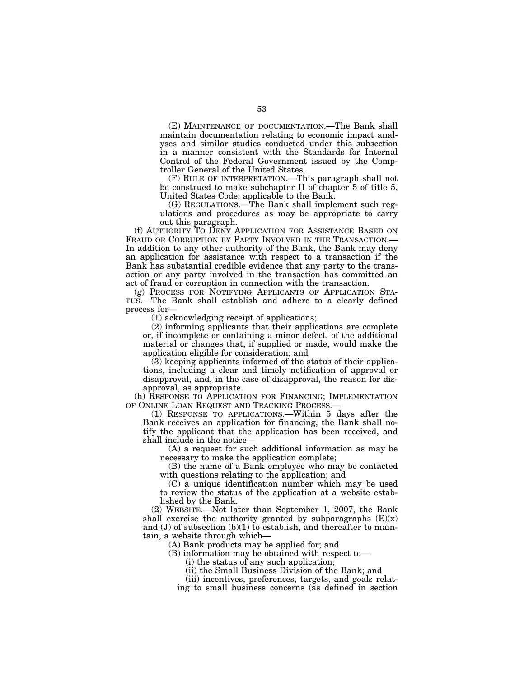(E) MAINTENANCE OF DOCUMENTATION.—The Bank shall maintain documentation relating to economic impact analyses and similar studies conducted under this subsection in a manner consistent with the Standards for Internal Control of the Federal Government issued by the Comptroller General of the United States.

(F) RULE OF INTERPRETATION.—This paragraph shall not be construed to make subchapter II of chapter 5 of title 5, United States Code, applicable to the Bank.

(G) REGULATIONS.—The Bank shall implement such regulations and procedures as may be appropriate to carry out this paragraph.

(f) AUTHORITY TO DENY APPLICATION FOR ASSISTANCE BASED ON FRAUD OR CORRUPTION BY PARTY INVOLVED IN THE TRANSACTION.— In addition to any other authority of the Bank, the Bank may deny an application for assistance with respect to a transaction if the Bank has substantial credible evidence that any party to the transaction or any party involved in the transaction has committed an act of fraud or corruption in connection with the transaction.

(g) PROCESS FOR NOTIFYING APPLICANTS OF APPLICATION STA-TUS.—The Bank shall establish and adhere to a clearly defined process for—

(1) acknowledging receipt of applications;

(2) informing applicants that their applications are complete or, if incomplete or containing a minor defect, of the additional material or changes that, if supplied or made, would make the application eligible for consideration; and

 $(3)$  keeping applicants informed of the status of their applications, including a clear and timely notification of approval or disapproval, and, in the case of disapproval, the reason for disapproval, as appropriate.

(h) RESPONSE TO APPLICATION FOR FINANCING; IMPLEMENTATION OF ONLINE LOAN REQUEST AND TRACKING PROCESS.

(1) RESPONSE TO APPLICATIONS.—Within 5 days after the Bank receives an application for financing, the Bank shall notify the applicant that the application has been received, and shall include in the notice—

(A) a request for such additional information as may be necessary to make the application complete;

(B) the name of a Bank employee who may be contacted with questions relating to the application; and

(C) a unique identification number which may be used to review the status of the application at a website established by the Bank.

(2) WEBSITE.—Not later than September 1, 2007, the Bank shall exercise the authority granted by subparagraphs  $(E)(x)$ and  $(J)$  of subsection  $(b)(1)$  to establish, and thereafter to maintain, a website through which—

(A) Bank products may be applied for; and

(B) information may be obtained with respect to—

(i) the status of any such application;

(ii) the Small Business Division of the Bank; and

(iii) incentives, preferences, targets, and goals relat-

ing to small business concerns (as defined in section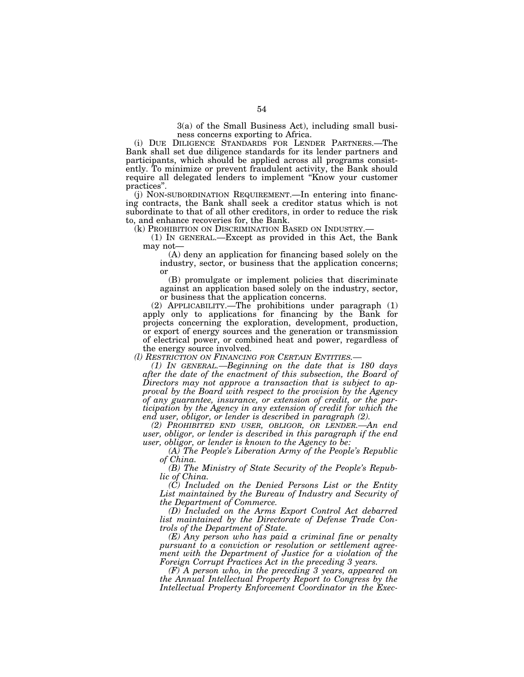3(a) of the Small Business Act), including small business concerns exporting to Africa.

(i) DUE DILIGENCE STANDARDS FOR LENDER PARTNERS.—The Bank shall set due diligence standards for its lender partners and participants, which should be applied across all programs consistently. To minimize or prevent fraudulent activity, the Bank should require all delegated lenders to implement ''Know your customer practices''.

(j) NON-SUBORDINATION REQUIREMENT.—In entering into financing contracts, the Bank shall seek a creditor status which is not subordinate to that of all other creditors, in order to reduce the risk to, and enhance recoveries for, the Bank.

(k) PROHIBITION ON DISCRIMINATION BASED ON INDUSTRY.—

(1) IN GENERAL.—Except as provided in this Act, the Bank may not—

(A) deny an application for financing based solely on the industry, sector, or business that the application concerns; or

(B) promulgate or implement policies that discriminate against an application based solely on the industry, sector, or business that the application concerns.

(2) APPLICABILITY.—The prohibitions under paragraph (1) apply only to applications for financing by the Bank for projects concerning the exploration, development, production, or export of energy sources and the generation or transmission of electrical power, or combined heat and power, regardless of the energy source involved.<br>(1) RESTRICTION ON FINANCING FOR CERTAIN ENTITIES.

*(1) In GENERAL.*— Beginning on the date that is 180 days after the date of the enactment of this subsection, the Board of *Directors may not approve a transaction that is subject to approval by the Board with respect to the provision by the Agency of any guarantee, insurance, or extension of credit, or the participation by the Agency in any extension of credit for which the end user, obligor, or lender is described in paragraph (2).* 

*(2) PROHIBITED END USER, OBLIGOR, OR LENDER.—An end user, obligor, or lender is described in this paragraph if the end user, obligor, or lender is known to the Agency to be:* 

*(A) The People's Liberation Army of the People's Republic of China.* 

*(B) The Ministry of State Security of the People's Republic of China.* 

*(C) Included on the Denied Persons List or the Entity*  List maintained by the Bureau of Industry and Security of *the Department of Commerce.* 

*(D) Included on the Arms Export Control Act debarred list maintained by the Directorate of Defense Trade Controls of the Department of State.* 

*(E) Any person who has paid a criminal fine or penalty pursuant to a conviction or resolution or settlement agreement with the Department of Justice for a violation of the Foreign Corrupt Practices Act in the preceding 3 years.* 

*(F) A person who, in the preceding 3 years, appeared on the Annual Intellectual Property Report to Congress by the Intellectual Property Enforcement Coordinator in the Exec-*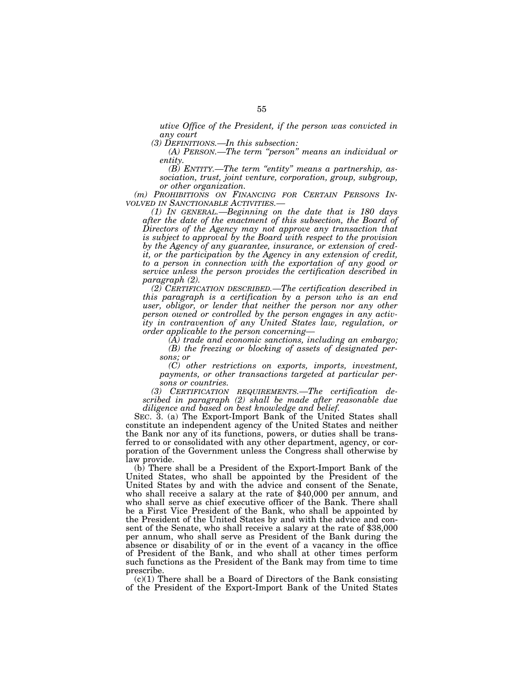*utive Office of the President, if the person was convicted in any court* 

*(3) DEFINITIONS.—In this subsection:* 

*(A) PERSON.—The term ''person'' means an individual or entity.* 

*(B) ENTITY.—The term ''entity'' means a partnership, association, trust, joint venture, corporation, group, subgroup, or other organization.* 

*(m) PROHIBITIONS ON FINANCING FOR CERTAIN PERSONS IN-*

*(1)* In GENERAL.—Beginning on the date that is 180 days *after the date of the enactment of this subsection, the Board of Directors of the Agency may not approve any transaction that is subject to approval by the Board with respect to the provision by the Agency of any guarantee, insurance, or extension of credit, or the participation by the Agency in any extension of credit, to a person in connection with the exportation of any good or service unless the person provides the certification described in paragraph (2).* 

*(2) CERTIFICATION DESCRIBED.—The certification described in this paragraph is a certification by a person who is an end*  user, obligor, or lender that neither the person nor any other *person owned or controlled by the person engages in any activity in contravention of any United States law, regulation, or order applicable to the person concerning—* 

*(A) trade and economic sanctions, including an embargo; (B) the freezing or blocking of assets of designated persons; or* 

*(C) other restrictions on exports, imports, investment, payments, or other transactions targeted at particular persons or countries.* 

*(3) CERTIFICATION REQUIREMENTS.—The certification described in paragraph (2) shall be made after reasonable due diligence and based on best knowledge and belief.* 

SEC. 3. (a) The Export-Import Bank of the United States shall constitute an independent agency of the United States and neither the Bank nor any of its functions, powers, or duties shall be transferred to or consolidated with any other department, agency, or corporation of the Government unless the Congress shall otherwise by law provide.

(b) There shall be a President of the Export-Import Bank of the United States, who shall be appointed by the President of the United States by and with the advice and consent of the Senate, who shall receive a salary at the rate of \$40,000 per annum, and who shall serve as chief executive officer of the Bank. There shall be a First Vice President of the Bank, who shall be appointed by the President of the United States by and with the advice and consent of the Senate, who shall receive a salary at the rate of \$38,000 per annum, who shall serve as President of the Bank during the absence or disability of or in the event of a vacancy in the office of President of the Bank, and who shall at other times perform such functions as the President of the Bank may from time to time prescribe.

 $(c)(1)$  There shall be a Board of Directors of the Bank consisting of the President of the Export-Import Bank of the United States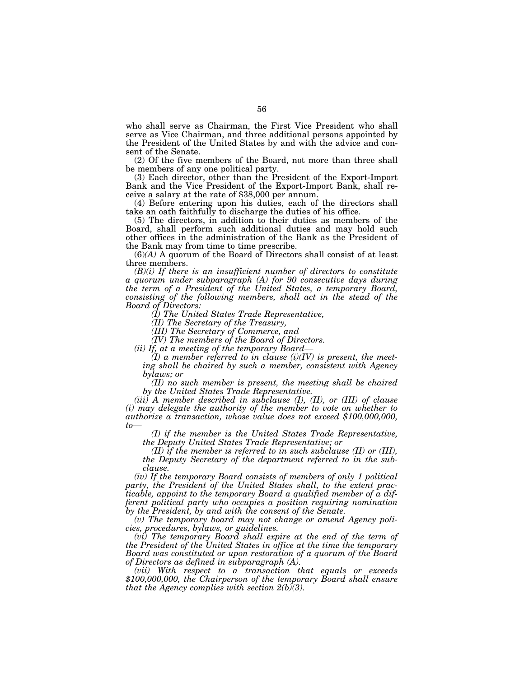who shall serve as Chairman, the First Vice President who shall serve as Vice Chairman, and three additional persons appointed by the President of the United States by and with the advice and consent of the Senate.

(2) Of the five members of the Board, not more than three shall be members of any one political party.

(3) Each director, other than the President of the Export-Import Bank and the Vice President of the Export-Import Bank, shall receive a salary at the rate of \$38,000 per annum.

(4) Before entering upon his duties, each of the directors shall take an oath faithfully to discharge the duties of his office.

(5) The directors, in addition to their duties as members of the Board, shall perform such additional duties and may hold such other offices in the administration of the Bank as the President of the Bank may from time to time prescribe.

(6)*(A)* A quorum of the Board of Directors shall consist of at least three members.

*(B)(i) If there is an insufficient number of directors to constitute a quorum under subparagraph (A) for 90 consecutive days during the term of a President of the United States, a temporary Board, consisting of the following members, shall act in the stead of the Board of Directors:* 

*(I) The United States Trade Representative,* 

*(II) The Secretary of the Treasury,* 

*(III) The Secretary of Commerce, and* 

*(IV) The members of the Board of Directors.* 

*(ii) If, at a meeting of the temporary Board—* 

*(I) a member referred to in clause (i)(IV) is present, the meeting shall be chaired by such a member, consistent with Agency bylaws; or* 

*(II) no such member is present, the meeting shall be chaired by the United States Trade Representative.* 

*(iii) A member described in subclause (I), (II), or (III) of clause (i) may delegate the authority of the member to vote on whether to authorize a transaction, whose value does not exceed \$100,000,000, to—* 

*(I) if the member is the United States Trade Representative, the Deputy United States Trade Representative; or* 

*(II) if the member is referred to in such subclause (II) or (III), the Deputy Secretary of the department referred to in the subclause.* 

*(iv) If the temporary Board consists of members of only 1 political party, the President of the United States shall, to the extent practicable, appoint to the temporary Board a qualified member of a different political party who occupies a position requiring nomination by the President, by and with the consent of the Senate.* 

*(v) The temporary board may not change or amend Agency policies, procedures, bylaws, or guidelines.* 

*(vi)* The temporary Board shall expire at the end of the term of *the President of the United States in office at the time the temporary Board was constituted or upon restoration of a quorum of the Board of Directors as defined in subparagraph (A).* 

*(vii) With respect to a transaction that equals or exceeds \$100,000,000, the Chairperson of the temporary Board shall ensure that the Agency complies with section 2(b)(3).*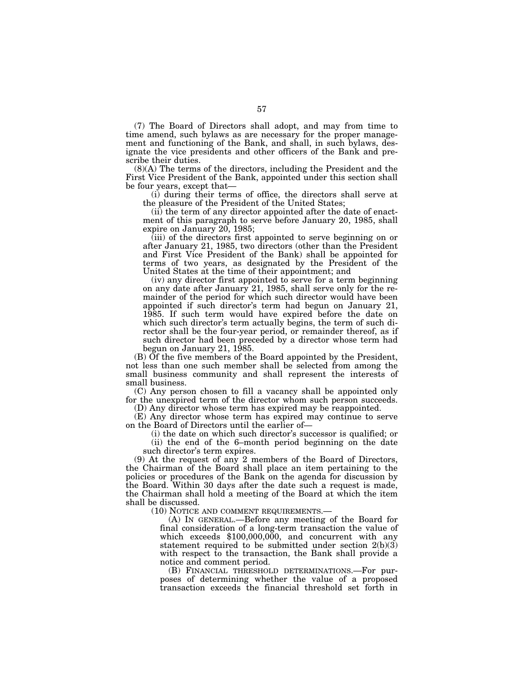(7) The Board of Directors shall adopt, and may from time to time amend, such bylaws as are necessary for the proper management and functioning of the Bank, and shall, in such bylaws, designate the vice presidents and other officers of the Bank and prescribe their duties.

(8)(A) The terms of the directors, including the President and the First Vice President of the Bank, appointed under this section shall be four years, except that—

(i) during their terms of office, the directors shall serve at the pleasure of the President of the United States;

(ii) the term of any director appointed after the date of enactment of this paragraph to serve before January 20, 1985, shall expire on January 20, 1985;

(iii) of the directors first appointed to serve beginning on or after January 21, 1985, two directors (other than the President and First Vice President of the Bank) shall be appointed for terms of two years, as designated by the President of the United States at the time of their appointment; and

(iv) any director first appointed to serve for a term beginning on any date after January 21, 1985, shall serve only for the remainder of the period for which such director would have been appointed if such director's term had begun on January 21, 1985. If such term would have expired before the date on which such director's term actually begins, the term of such director shall be the four-year period, or remainder thereof, as if such director had been preceded by a director whose term had begun on January 21, 1985.

(B) Of the five members of the Board appointed by the President, not less than one such member shall be selected from among the small business community and shall represent the interests of small business.

(C) Any person chosen to fill a vacancy shall be appointed only for the unexpired term of the director whom such person succeeds.

(D) Any director whose term has expired may be reappointed.

(E) Any director whose term has expired may continue to serve on the Board of Directors until the earlier of—

(i) the date on which such director's successor is qualified; or (ii) the end of the 6–month period beginning on the date

such director's term expires.

(9) At the request of any 2 members of the Board of Directors, the Chairman of the Board shall place an item pertaining to the policies or procedures of the Bank on the agenda for discussion by the Board. Within 30 days after the date such a request is made, the Chairman shall hold a meeting of the Board at which the item shall be discussed.

(10) NOTICE AND COMMENT REQUIREMENTS.—

(A) IN GENERAL.—Before any meeting of the Board for final consideration of a long-term transaction the value of which exceeds  $$100,000,000$ , and concurrent with any statement required to be submitted under section  $2(b)(3)$ with respect to the transaction, the Bank shall provide a notice and comment period.

(B) FINANCIAL THRESHOLD DETERMINATIONS.—For purposes of determining whether the value of a proposed transaction exceeds the financial threshold set forth in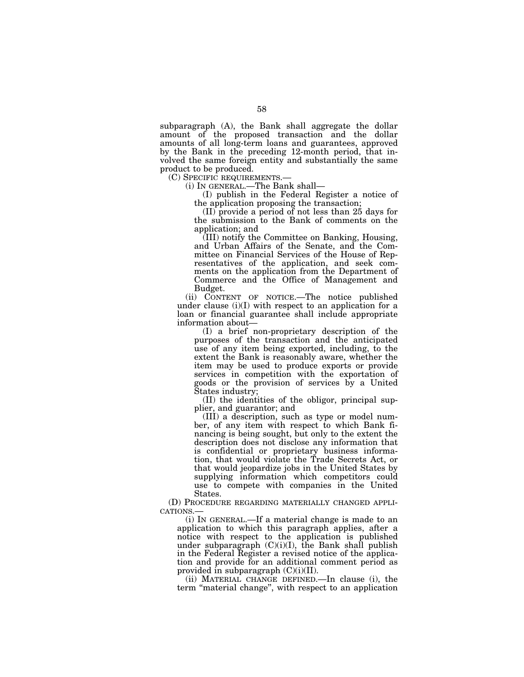subparagraph (A), the Bank shall aggregate the dollar amount of the proposed transaction and the dollar amounts of all long-term loans and guarantees, approved by the Bank in the preceding 12-month period, that involved the same foreign entity and substantially the same product to be produced.<br>
(C) SPECIFIC REQUIREMENTS.

 $(i)$  In GENERAL.—The Bank shall—

(I) publish in the Federal Register a notice of the application proposing the transaction;

(II) provide a period of not less than 25 days for the submission to the Bank of comments on the application; and

(III) notify the Committee on Banking, Housing, and Urban Affairs of the Senate, and the Committee on Financial Services of the House of Representatives of the application, and seek comments on the application from the Department of Commerce and the Office of Management and Budget.

(ii) CONTENT OF NOTICE.—The notice published under clause (i)(I) with respect to an application for a loan or financial guarantee shall include appropriate information about—

(I) a brief non-proprietary description of the purposes of the transaction and the anticipated use of any item being exported, including, to the extent the Bank is reasonably aware, whether the item may be used to produce exports or provide services in competition with the exportation of goods or the provision of services by a United States industry;

(II) the identities of the obligor, principal supplier, and guarantor; and

(III) a description, such as type or model number, of any item with respect to which Bank financing is being sought, but only to the extent the description does not disclose any information that is confidential or proprietary business information, that would violate the Trade Secrets Act, or that would jeopardize jobs in the United States by supplying information which competitors could use to compete with companies in the United States.

(D) PROCEDURE REGARDING MATERIALLY CHANGED APPLI-CATIONS.—

(i) IN GENERAL.—If a material change is made to an application to which this paragraph applies, after a notice with respect to the application is published under subparagraph  $(C)(i)(I)$ , the Bank shall publish in the Federal Register a revised notice of the application and provide for an additional comment period as provided in subparagraph  $(C)(i)(II)$ .

(ii) MATERIAL CHANGE DEFINED.—In clause (i), the term ''material change'', with respect to an application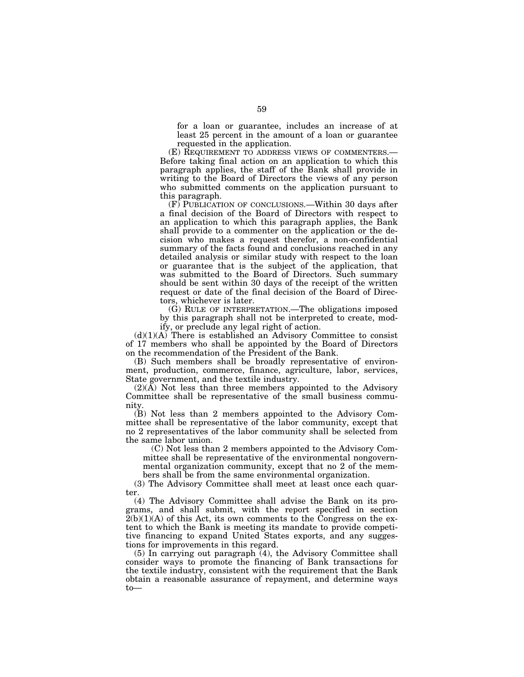for a loan or guarantee, includes an increase of at least 25 percent in the amount of a loan or guarantee requested in the application.

(E) REQUIREMENT TO ADDRESS VIEWS OF COMMENTERS.— Before taking final action on an application to which this paragraph applies, the staff of the Bank shall provide in writing to the Board of Directors the views of any person who submitted comments on the application pursuant to this paragraph.

(F) PUBLICATION OF CONCLUSIONS.—Within 30 days after a final decision of the Board of Directors with respect to an application to which this paragraph applies, the Bank shall provide to a commenter on the application or the decision who makes a request therefor, a non-confidential summary of the facts found and conclusions reached in any detailed analysis or similar study with respect to the loan or guarantee that is the subject of the application, that was submitted to the Board of Directors. Such summary should be sent within 30 days of the receipt of the written request or date of the final decision of the Board of Directors, whichever is later.

(G) RULE OF INTERPRETATION.—The obligations imposed by this paragraph shall not be interpreted to create, modify, or preclude any legal right of action.

 $(d)(1)(A)$  There is established an Advisory Committee to consist of 17 members who shall be appointed by the Board of Directors on the recommendation of the President of the Bank.

(B) Such members shall be broadly representative of environment, production, commerce, finance, agriculture, labor, services, State government, and the textile industry.

(2)(A) Not less than three members appointed to the Advisory Committee shall be representative of the small business community.

(B) Not less than 2 members appointed to the Advisory Committee shall be representative of the labor community, except that no 2 representatives of the labor community shall be selected from the same labor union.

(C) Not less than 2 members appointed to the Advisory Committee shall be representative of the environmental nongovernmental organization community, except that no 2 of the members shall be from the same environmental organization.

(3) The Advisory Committee shall meet at least once each quarter.

(4) The Advisory Committee shall advise the Bank on its programs, and shall submit, with the report specified in section  $2(b)(1)(A)$  of this Act, its own comments to the Congress on the extent to which the Bank is meeting its mandate to provide competitive financing to expand United States exports, and any suggestions for improvements in this regard.

(5) In carrying out paragraph (4), the Advisory Committee shall consider ways to promote the financing of Bank transactions for the textile industry, consistent with the requirement that the Bank obtain a reasonable assurance of repayment, and determine ways to—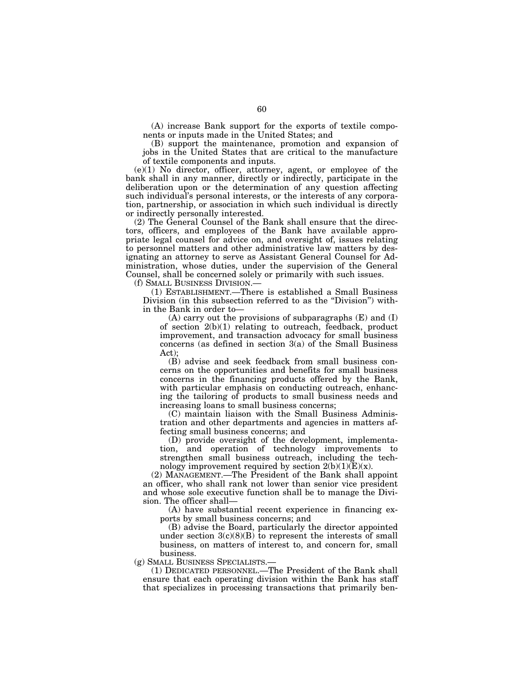(A) increase Bank support for the exports of textile components or inputs made in the United States; and

(B) support the maintenance, promotion and expansion of jobs in the United States that are critical to the manufacture of textile components and inputs.

(e)(1) No director, officer, attorney, agent, or employee of the bank shall in any manner, directly or indirectly, participate in the deliberation upon or the determination of any question affecting such individual's personal interests, or the interests of any corporation, partnership, or association in which such individual is directly or indirectly personally interested.

(2) The General Counsel of the Bank shall ensure that the directors, officers, and employees of the Bank have available appropriate legal counsel for advice on, and oversight of, issues relating to personnel matters and other administrative law matters by designating an attorney to serve as Assistant General Counsel for Administration, whose duties, under the supervision of the General Counsel, shall be concerned solely or primarily with such issues.

(f) SMALL BUSINESS DIVISION.—

(1) ESTABLISHMENT.—There is established a Small Business Division (in this subsection referred to as the ''Division'') within the Bank in order to—

(A) carry out the provisions of subparagraphs (E) and (I) of section 2(b)(1) relating to outreach, feedback, product improvement, and transaction advocacy for small business concerns (as defined in section 3(a) of the Small Business Act);

(B) advise and seek feedback from small business concerns on the opportunities and benefits for small business concerns in the financing products offered by the Bank, with particular emphasis on conducting outreach, enhancing the tailoring of products to small business needs and increasing loans to small business concerns;

(C) maintain liaison with the Small Business Administration and other departments and agencies in matters affecting small business concerns; and

(D) provide oversight of the development, implementation, and operation of technology improvements to strengthen small business outreach, including the technology improvement required by section  $2(b)(1)(E)(x)$ .

(2) MANAGEMENT.—The President of the Bank shall appoint an officer, who shall rank not lower than senior vice president and whose sole executive function shall be to manage the Division. The officer shall—

(A) have substantial recent experience in financing exports by small business concerns; and

(B) advise the Board, particularly the director appointed under section  $3(c)(8)(B)$  to represent the interests of small business, on matters of interest to, and concern for, small business.

(g) SMALL BUSINESS SPECIALISTS.—

(1) DEDICATED PERSONNEL.—The President of the Bank shall ensure that each operating division within the Bank has staff that specializes in processing transactions that primarily ben-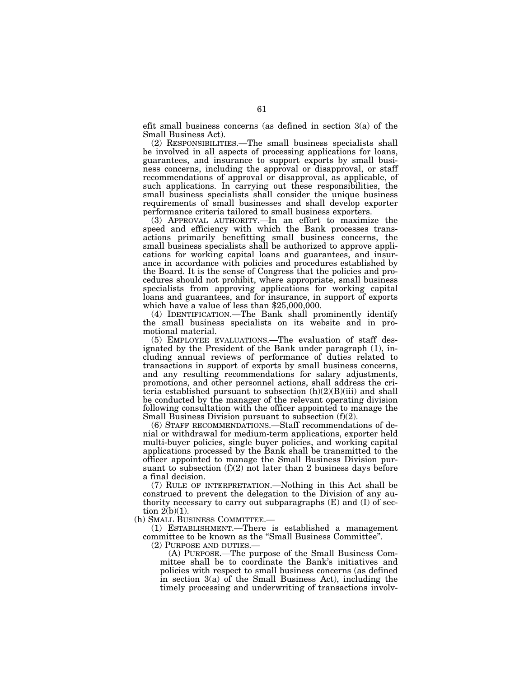efit small business concerns (as defined in section 3(a) of the Small Business Act).

(2) RESPONSIBILITIES.—The small business specialists shall be involved in all aspects of processing applications for loans, guarantees, and insurance to support exports by small business concerns, including the approval or disapproval, or staff recommendations of approval or disapproval, as applicable, of such applications. In carrying out these responsibilities, the small business specialists shall consider the unique business requirements of small businesses and shall develop exporter performance criteria tailored to small business exporters.

(3) APPROVAL AUTHORITY.—In an effort to maximize the speed and efficiency with which the Bank processes transactions primarily benefitting small business concerns, the small business specialists shall be authorized to approve applications for working capital loans and guarantees, and insurance in accordance with policies and procedures established by the Board. It is the sense of Congress that the policies and procedures should not prohibit, where appropriate, small business specialists from approving applications for working capital loans and guarantees, and for insurance, in support of exports which have a value of less than \$25,000,000.

(4) IDENTIFICATION.—The Bank shall prominently identify the small business specialists on its website and in promotional material.

(5) EMPLOYEE EVALUATIONS.—The evaluation of staff designated by the President of the Bank under paragraph (1), including annual reviews of performance of duties related to transactions in support of exports by small business concerns, and any resulting recommendations for salary adjustments, promotions, and other personnel actions, shall address the criteria established pursuant to subsection  $(h)(2)(B)(iii)$  and shall be conducted by the manager of the relevant operating division following consultation with the officer appointed to manage the Small Business Division pursuant to subsection (f)(2).

(6) STAFF RECOMMENDATIONS.—Staff recommendations of denial or withdrawal for medium-term applications, exporter held multi-buyer policies, single buyer policies, and working capital applications processed by the Bank shall be transmitted to the officer appointed to manage the Small Business Division pursuant to subsection  $(f)(2)$  not later than 2 business days before a final decision.

(7) RULE OF INTERPRETATION.—Nothing in this Act shall be construed to prevent the delegation to the Division of any authority necessary to carry out subparagraphs (E) and (I) of section 2(b)(1).

(h) SMALL BUSINESS COMMITTEE.—

(1) ESTABLISHMENT.—There is established a management committee to be known as the ''Small Business Committee''.

(2) PURPOSE AND DUTIES.— (A) PURPOSE.—The purpose of the Small Business Committee shall be to coordinate the Bank's initiatives and policies with respect to small business concerns (as defined in section 3(a) of the Small Business Act), including the timely processing and underwriting of transactions involv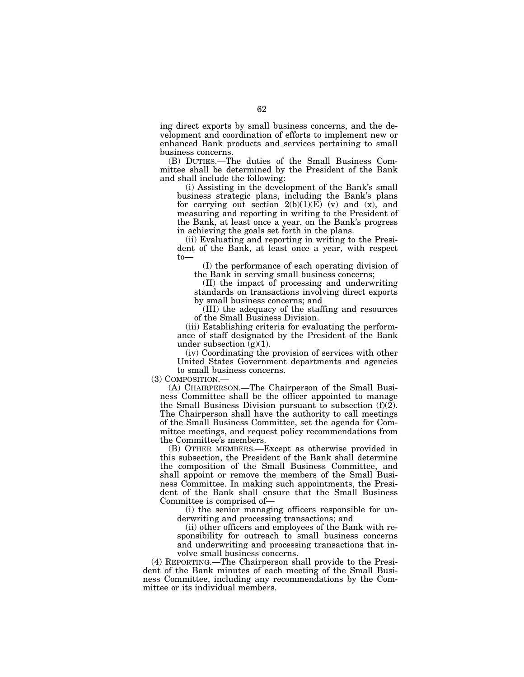ing direct exports by small business concerns, and the development and coordination of efforts to implement new or enhanced Bank products and services pertaining to small business concerns.

(B) DUTIES.—The duties of the Small Business Committee shall be determined by the President of the Bank and shall include the following:

(i) Assisting in the development of the Bank's small business strategic plans, including the Bank's plans for carrying out section  $2(b)(1)(E)$  (v) and (x), and measuring and reporting in writing to the President of the Bank, at least once a year, on the Bank's progress in achieving the goals set forth in the plans.

(ii) Evaluating and reporting in writing to the President of the Bank, at least once a year, with respect to—

(I) the performance of each operating division of the Bank in serving small business concerns;

(II) the impact of processing and underwriting standards on transactions involving direct exports by small business concerns; and

(III) the adequacy of the staffing and resources of the Small Business Division.

(iii) Establishing criteria for evaluating the performance of staff designated by the President of the Bank under subsection  $(g)(1)$ .

(iv) Coordinating the provision of services with other United States Government departments and agencies to small business concerns.

(3) COMPOSITION.—

(A) CHAIRPERSON.—The Chairperson of the Small Business Committee shall be the officer appointed to manage the Small Business Division pursuant to subsection  $(f)(\tilde{2})$ . The Chairperson shall have the authority to call meetings of the Small Business Committee, set the agenda for Committee meetings, and request policy recommendations from the Committee's members.

(B) OTHER MEMBERS.—Except as otherwise provided in this subsection, the President of the Bank shall determine the composition of the Small Business Committee, and shall appoint or remove the members of the Small Business Committee. In making such appointments, the President of the Bank shall ensure that the Small Business Committee is comprised of—

(i) the senior managing officers responsible for underwriting and processing transactions; and

(ii) other officers and employees of the Bank with responsibility for outreach to small business concerns and underwriting and processing transactions that involve small business concerns.

(4) REPORTING.—The Chairperson shall provide to the President of the Bank minutes of each meeting of the Small Business Committee, including any recommendations by the Committee or its individual members.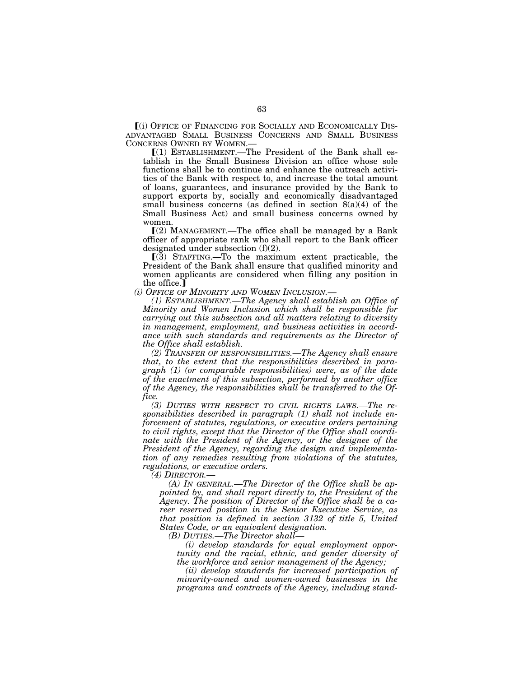ø(i) OFFICE OF FINANCING FOR SOCIALLY AND ECONOMICALLY DIS-ADVANTAGED SMALL BUSINESS CONCERNS AND SMALL BUSINESS CONCERNS OWNED BY WOMEN.

 $(1)$  ESTABLISHMENT.—The President of the Bank shall establish in the Small Business Division an office whose sole functions shall be to continue and enhance the outreach activities of the Bank with respect to, and increase the total amount of loans, guarantees, and insurance provided by the Bank to support exports by, socially and economically disadvantaged small business concerns (as defined in section 8(a)(4) of the Small Business Act) and small business concerns owned by women.

 $(Q)$  MANAGEMENT.—The office shall be managed by a Bank officer of appropriate rank who shall report to the Bank officer designated under subsection (f)(2).

 $(3)$  STAFFING.—To the maximum extent practicable, the President of the Bank shall ensure that qualified minority and women applicants are considered when filling any position in the office.  $\blacksquare$ 

*(i) OFFICE OF MINORITY AND WOMEN INCLUSION.—* 

*(1) ESTABLISHMENT.—The Agency shall establish an Office of Minority and Women Inclusion which shall be responsible for carrying out this subsection and all matters relating to diversity in management, employment, and business activities in accordance with such standards and requirements as the Director of the Office shall establish.* 

*(2) TRANSFER OF RESPONSIBILITIES.—The Agency shall ensure that, to the extent that the responsibilities described in paragraph (1) (or comparable responsibilities) were, as of the date of the enactment of this subsection, performed by another office of the Agency, the responsibilities shall be transferred to the Office.* 

*(3) DUTIES WITH RESPECT TO CIVIL RIGHTS LAWS.—The responsibilities described in paragraph (1) shall not include enforcement of statutes, regulations, or executive orders pertaining to civil rights, except that the Director of the Office shall coordinate with the President of the Agency, or the designee of the President of the Agency, regarding the design and implementation of any remedies resulting from violations of the statutes, regulations, or executive orders.* 

*(4) DIRECTOR.—* 

*(A) IN GENERAL.—The Director of the Office shall be appointed by, and shall report directly to, the President of the Agency. The position of Director of the Office shall be a career reserved position in the Senior Executive Service, as that position is defined in section 3132 of title 5, United States Code, or an equivalent designation.* 

*(B) DUTIES.—The Director shall—* 

*(i) develop standards for equal employment opportunity and the racial, ethnic, and gender diversity of the workforce and senior management of the Agency;* 

*(ii) develop standards for increased participation of minority-owned and women-owned businesses in the programs and contracts of the Agency, including stand-*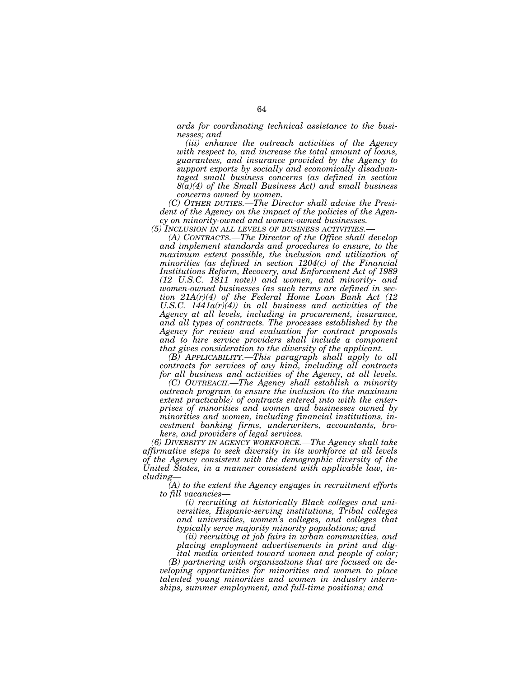*ards for coordinating technical assistance to the businesses; and* 

*(iii) enhance the outreach activities of the Agency with respect to, and increase the total amount of loans, guarantees, and insurance provided by the Agency to support exports by socially and economically disadvantaged small business concerns (as defined in section 8(a)(4) of the Small Business Act) and small business concerns owned by women.* 

*(C) OTHER DUTIES.—The Director shall advise the President of the Agency on the impact of the policies of the Agency on minority-owned and women-owned businesses.* 

*(5) INCLUSION IN ALL LEVELS OF BUSINESS ACTIVITIES.—* 

*(A) CONTRACTS.—The Director of the Office shall develop and implement standards and procedures to ensure, to the maximum extent possible, the inclusion and utilization of minorities (as defined in section 1204(c) of the Financial Institutions Reform, Recovery, and Enforcement Act of 1989 (12 U.S.C. 1811 note)) and women, and minority- and women-owned businesses (as such terms are defined in section 21A(r)(4) of the Federal Home Loan Bank Act (12 U.S.C. 1441a(r)(4)) in all business and activities of the Agency at all levels, including in procurement, insurance, and all types of contracts. The processes established by the Agency for review and evaluation for contract proposals and to hire service providers shall include a component that gives consideration to the diversity of the applicant.* 

*(B) APPLICABILITY.—This paragraph shall apply to all contracts for services of any kind, including all contracts for all business and activities of the Agency, at all levels.* 

*(C) OUTREACH.—The Agency shall establish a minority outreach program to ensure the inclusion (to the maximum extent practicable) of contracts entered into with the enterprises of minorities and women and businesses owned by minorities and women, including financial institutions, investment banking firms, underwriters, accountants, brokers, and providers of legal services.* 

*(6) DIVERSITY IN AGENCY WORKFORCE.—The Agency shall take affirmative steps to seek diversity in its workforce at all levels of the Agency consistent with the demographic diversity of the United States, in a manner consistent with applicable law, including—* 

*(A) to the extent the Agency engages in recruitment efforts to fill vacancies—* 

*(i) recruiting at historically Black colleges and universities, Hispanic-serving institutions, Tribal colleges and universities, women's colleges, and colleges that typically serve majority minority populations; and* 

*(ii) recruiting at job fairs in urban communities, and placing employment advertisements in print and dig-*

*ital media oriented toward women and people of color; (B) partnering with organizations that are focused on developing opportunities for minorities and women to place talented young minorities and women in industry internships, summer employment, and full-time positions; and*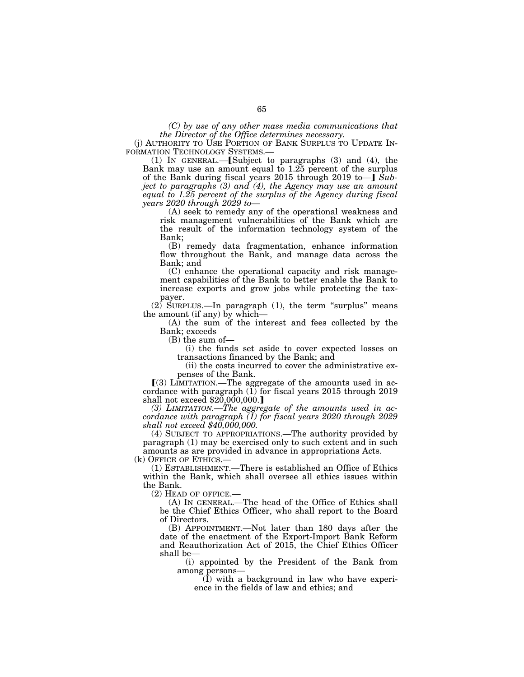*(C) by use of any other mass media communications that the Director of the Office determines necessary.* 

(j) AUTHORITY TO USE PORTION OF BANK SURPLUS TO UPDATE INFORMATION TECHNOLOGY SYSTEMS.—

(1) IN GENERAL.— $[Subject to paragraphs (3) and (4), the$ Bank may use an amount equal to 1.25 percent of the surplus of the Bank during fiscal years 2015 through 2019 to-]  $\tilde{S}ub$ *ject to paragraphs (3) and (4), the Agency may use an amount equal to 1.25 percent of the surplus of the Agency during fiscal years 2020 through 2029 to—* 

(A) seek to remedy any of the operational weakness and risk management vulnerabilities of the Bank which are the result of the information technology system of the Bank;

(B) remedy data fragmentation, enhance information flow throughout the Bank, and manage data across the Bank; and

(C) enhance the operational capacity and risk management capabilities of the Bank to better enable the Bank to increase exports and grow jobs while protecting the taxpayer.

 $(2)$  SURPLUS.—In paragraph  $(1)$ , the term "surplus" means the amount (if any) by which—

(A) the sum of the interest and fees collected by the Bank; exceeds

(B) the sum of—

(i) the funds set aside to cover expected losses on transactions financed by the Bank; and

(ii) the costs incurred to cover the administrative expenses of the Bank.

 $(3)$  LIMITATION.—The aggregate of the amounts used in accordance with paragraph  $\overline{(1)}$  for fiscal years 2015 through 2019 shall not exceed  $$20,000,000$ .

*(3) LIMITATION.—The aggregate of the amounts used in accordance with paragraph (1) for fiscal years 2020 through 2029 shall not exceed \$40,000,000.* 

(4) SUBJECT TO APPROPRIATIONS.—The authority provided by paragraph (1) may be exercised only to such extent and in such amounts as are provided in advance in appropriations Acts.

(k) OFFICE OF ETHICS.—

(1) ESTABLISHMENT.—There is established an Office of Ethics within the Bank, which shall oversee all ethics issues within the Bank.

(2) HEAD OF OFFICE.—

(A) IN GENERAL.—The head of the Office of Ethics shall be the Chief Ethics Officer, who shall report to the Board of Directors.

(B) APPOINTMENT.—Not later than 180 days after the date of the enactment of the Export-Import Bank Reform and Reauthorization Act of 2015, the Chief Ethics Officer shall be—

(i) appointed by the President of the Bank from among persons—

 $(I)$  with a background in law who have experience in the fields of law and ethics; and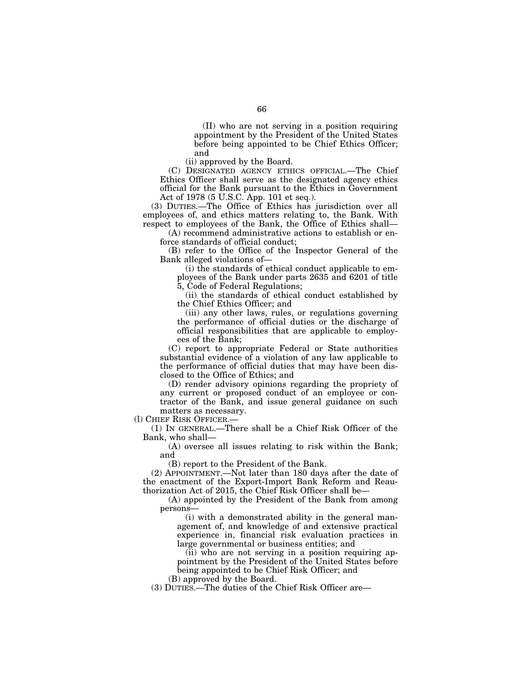(II) who are not serving in a position requiring appointment by the President of the United States before being appointed to be Chief Ethics Officer; and

(ii) approved by the Board.

(C) DESIGNATED AGENCY ETHICS OFFICIAL.—The Chief Ethics Officer shall serve as the designated agency ethics official for the Bank pursuant to the Ethics in Government Act of 1978 (5 U.S.C. App. 101 et seq.).

(3) DUTIES.—The Office of Ethics has jurisdiction over all employees of, and ethics matters relating to, the Bank. With respect to employees of the Bank, the Office of Ethics shall—

(A) recommend administrative actions to establish or enforce standards of official conduct;

(B) refer to the Office of the Inspector General of the Bank alleged violations of—

(i) the standards of ethical conduct applicable to employees of the Bank under parts 2635 and 6201 of title 5, Code of Federal Regulations;

(ii) the standards of ethical conduct established by the Chief Ethics Officer; and

(iii) any other laws, rules, or regulations governing the performance of official duties or the discharge of official responsibilities that are applicable to employees of the Bank;

(C) report to appropriate Federal or State authorities substantial evidence of a violation of any law applicable to the performance of official duties that may have been disclosed to the Office of Ethics; and

(D) render advisory opinions regarding the propriety of any current or proposed conduct of an employee or contractor of the Bank, and issue general guidance on such matters as necessary.

(l) CHIEF RISK OFFICER.—

(1) IN GENERAL.—There shall be a Chief Risk Officer of the Bank, who shall—

(A) oversee all issues relating to risk within the Bank; and

(B) report to the President of the Bank.

(2) APPOINTMENT.—Not later than 180 days after the date of the enactment of the Export-Import Bank Reform and Reauthorization Act of 2015, the Chief Risk Officer shall be—

(A) appointed by the President of the Bank from among persons—

(i) with a demonstrated ability in the general management of, and knowledge of and extensive practical experience in, financial risk evaluation practices in large governmental or business entities; and

(ii) who are not serving in a position requiring appointment by the President of the United States before being appointed to be Chief Risk Officer; and

(B) approved by the Board.

(3) DUTIES.—The duties of the Chief Risk Officer are—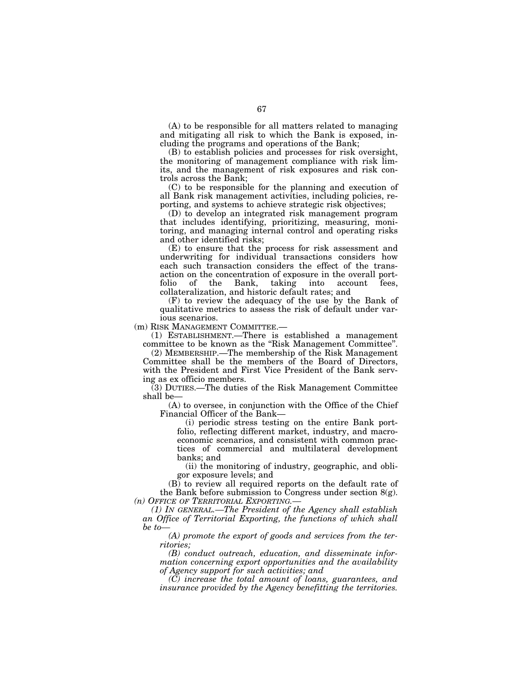(A) to be responsible for all matters related to managing and mitigating all risk to which the Bank is exposed, including the programs and operations of the Bank;

(B) to establish policies and processes for risk oversight, the monitoring of management compliance with risk limits, and the management of risk exposures and risk controls across the Bank;

(C) to be responsible for the planning and execution of all Bank risk management activities, including policies, reporting, and systems to achieve strategic risk objectives;

(D) to develop an integrated risk management program that includes identifying, prioritizing, measuring, monitoring, and managing internal control and operating risks and other identified risks;

(E) to ensure that the process for risk assessment and underwriting for individual transactions considers how each such transaction considers the effect of the transaction on the concentration of exposure in the overall port-<br>folio of the Bank, taking into account fees, folio of the Bank, taking into account fees, collateralization, and historic default rates; and

(F) to review the adequacy of the use by the Bank of qualitative metrics to assess the risk of default under various scenarios.

(m) RISK MANAGEMENT COMMITTEE.—

(1) ESTABLISHMENT.—There is established a management committee to be known as the ''Risk Management Committee''.

(2) MEMBERSHIP.—The membership of the Risk Management Committee shall be the members of the Board of Directors, with the President and First Vice President of the Bank serving as ex officio members.

(3) DUTIES.—The duties of the Risk Management Committee shall be—

(A) to oversee, in conjunction with the Office of the Chief Financial Officer of the Bank—

(i) periodic stress testing on the entire Bank portfolio, reflecting different market, industry, and macroeconomic scenarios, and consistent with common practices of commercial and multilateral development banks; and

(ii) the monitoring of industry, geographic, and obligor exposure levels; and

(B) to review all required reports on the default rate of the Bank before submission to Congress under section 8(g). *(n) OFFICE OF TERRITORIAL EXPORTING.—* 

*(1) IN GENERAL.—The President of the Agency shall establish an Office of Territorial Exporting, the functions of which shall be to—* 

*(A) promote the export of goods and services from the territories;* 

*(B) conduct outreach, education, and disseminate information concerning export opportunities and the availability of Agency support for such activities; and* 

*(C) increase the total amount of loans, guarantees, and insurance provided by the Agency benefitting the territories.*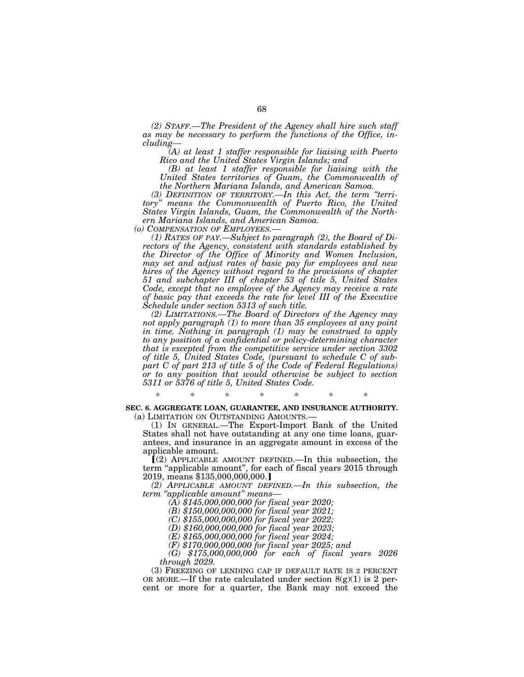*(2) STAFF.—The President of the Agency shall hire such staff as may be necessary to perform the functions of the Office, including—* 

*(A) at least 1 staffer responsible for liaising with Puerto Rico and the United States Virgin Islands; and* 

*(B) at least 1 staffer responsible for liaising with the United States territories of Guam, the Commonwealth of the Northern Mariana Islands, and American Samoa.* 

*(3) DEFINITION OF TERRITORY.—In this Act, the term ''territory'' means the Commonwealth of Puerto Rico, the United States Virgin Islands, Guam, the Commonwealth of the Northern Mariana Islands, and American Samoa.* 

*(o) COMPENSATION OF EMPLOYEES.—* 

*(1) RATES OF PAY.—Subject to paragraph (2), the Board of Directors of the Agency, consistent with standards established by the Director of the Office of Minority and Women Inclusion, may set and adjust rates of basic pay for employees and new hires of the Agency without regard to the provisions of chapter 51 and subchapter III of chapter 53 of title 5, United States Code, except that no employee of the Agency may receive a rate of basic pay that exceeds the rate for level III of the Executive Schedule under section 5313 of such title.* 

*(2) LIMITATIONS.—The Board of Directors of the Agency may not apply paragraph (1) to more than 35 employees at any point in time. Nothing in paragraph (1) may be construed to apply to any position of a confidential or policy-determining character that is excepted from the competitive service under section 3302 of title 5, United States Code, (pursuant to schedule C of subpart C of part 213 of title 5 of the Code of Federal Regulations) or to any position that would otherwise be subject to section 5311 or 5376 of title 5, United States Code.* 

## \* \* \* \* \* \* \* **SEC. 6. AGGREGATE LOAN, GUARANTEE, AND INSURANCE AUTHORITY.**

(a) LIMITATION ON OUTSTANDING AMOUNTS.— (1) IN GENERAL.—The Export-Import Bank of the United States shall not have outstanding at any one time loans, guarantees, and insurance in an aggregate amount in excess of the applicable amount.

 $(2)$  APPLICABLE AMOUNT DEFINED.—In this subsection, the term "applicable amount", for each of fiscal years 2015 through 2019, means \$135,000,000,000.]

*(2) APPLICABLE AMOUNT DEFINED.—In this subsection, the term ''applicable amount'' means—* 

*(A) \$145,000,000,000 for fiscal year 2020;* 

*(B) \$150,000,000,000 for fiscal year 2021;* 

*(C) \$155,000,000,000 for fiscal year 2022;* 

*(D) \$160,000,000,000 for fiscal year 2023;* 

*(E) \$165,000,000,000 for fiscal year 2024;* 

*(F) \$170,000,000,000 for fiscal year 2025; and* 

*(G) \$175,000,000,000 for each of fiscal years 2026 through 2029.* 

(3) FREEZING OF LENDING CAP IF DEFAULT RATE IS 2 PERCENT OR MORE.—If the rate calculated under section  $8(g)(1)$  is 2 percent or more for a quarter, the Bank may not exceed the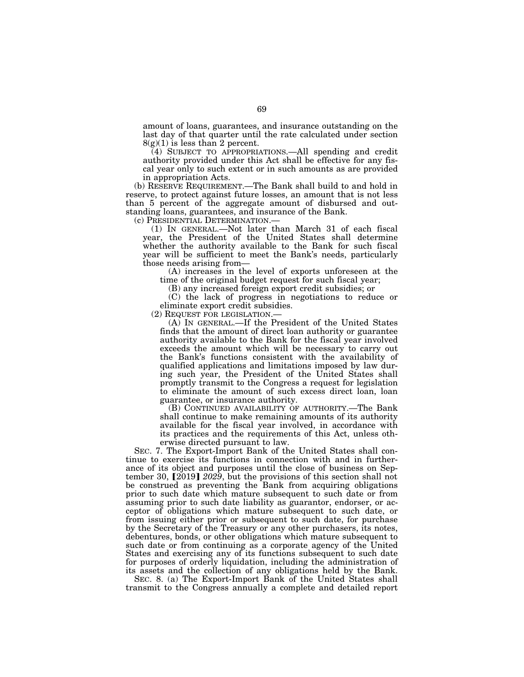amount of loans, guarantees, and insurance outstanding on the last day of that quarter until the rate calculated under section  $8(g)(1)$  is less than 2 percent.

(4) SUBJECT TO APPROPRIATIONS.—All spending and credit authority provided under this Act shall be effective for any fiscal year only to such extent or in such amounts as are provided in appropriation Acts.

(b) RESERVE REQUIREMENT.—The Bank shall build to and hold in reserve, to protect against future losses, an amount that is not less than 5 percent of the aggregate amount of disbursed and outstanding loans, guarantees, and insurance of the Bank.

(c) PRESIDENTIAL DETERMINATION.—

(1) IN GENERAL.—Not later than March 31 of each fiscal year, the President of the United States shall determine whether the authority available to the Bank for such fiscal year will be sufficient to meet the Bank's needs, particularly those needs arising from—

(A) increases in the level of exports unforeseen at the time of the original budget request for such fiscal year;

(B) any increased foreign export credit subsidies; or

(C) the lack of progress in negotiations to reduce or eliminate export credit subsidies.<br>(2) REQUEST FOR LEGISLATION.—

(A) IN GENERAL.—If the President of the United States finds that the amount of direct loan authority or guarantee authority available to the Bank for the fiscal year involved exceeds the amount which will be necessary to carry out the Bank's functions consistent with the availability of qualified applications and limitations imposed by law during such year, the President of the United States shall promptly transmit to the Congress a request for legislation to eliminate the amount of such excess direct loan, loan guarantee, or insurance authority.

(B) CONTINUED AVAILABILITY OF AUTHORITY.—The Bank shall continue to make remaining amounts of its authority available for the fiscal year involved, in accordance with its practices and the requirements of this Act, unless otherwise directed pursuant to law.

SEC. 7. The Export-Import Bank of the United States shall continue to exercise its functions in connection with and in furtherance of its object and purposes until the close of business on September 30, [2019] *2029*, but the provisions of this section shall not be construed as preventing the Bank from acquiring obligations prior to such date which mature subsequent to such date or from assuming prior to such date liability as guarantor, endorser, or acceptor of obligations which mature subsequent to such date, or from issuing either prior or subsequent to such date, for purchase by the Secretary of the Treasury or any other purchasers, its notes, debentures, bonds, or other obligations which mature subsequent to such date or from continuing as a corporate agency of the United States and exercising any of its functions subsequent to such date for purposes of orderly liquidation, including the administration of its assets and the collection of any obligations held by the Bank.

SEC. 8. (a) The Export-Import Bank of the United States shall transmit to the Congress annually a complete and detailed report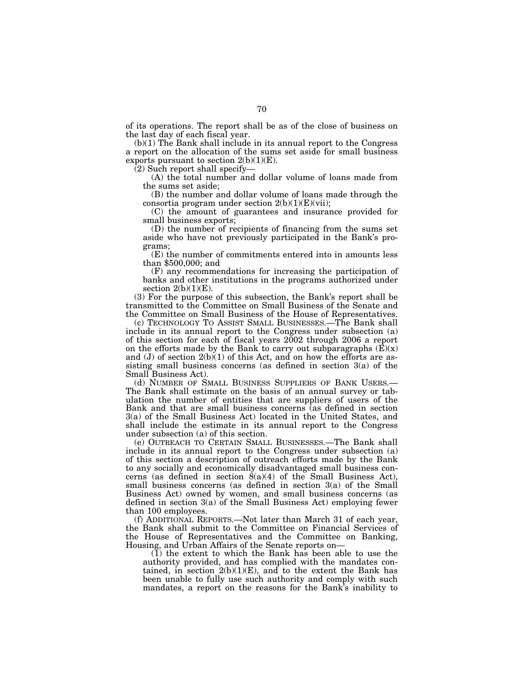of its operations. The report shall be as of the close of business on the last day of each fiscal year.

(b)(1) The Bank shall include in its annual report to the Congress a report on the allocation of the sums set aside for small business exports pursuant to section  $2(b)(1)(E)$ .

 $(2)$  Such report shall specify-

(A) the total number and dollar volume of loans made from the sums set aside;

(B) the number and dollar volume of loans made through the consortia program under section  $2(b)(1)(E)(vii)$ ;

(C) the amount of guarantees and insurance provided for small business exports;

(D) the number of recipients of financing from the sums set aside who have not previously participated in the Bank's programs;

(E) the number of commitments entered into in amounts less than \$500,000; and

(F) any recommendations for increasing the participation of banks and other institutions in the programs authorized under section  $2(b)(1)(E)$ .

(3) For the purpose of this subsection, the Bank's report shall be transmitted to the Committee on Small Business of the Senate and the Committee on Small Business of the House of Representatives.

(c) TECHNOLOGY TO ASSIST SMALL BUSINESSES.—The Bank shall include in its annual report to the Congress under subsection (a) of this section for each of fiscal years 2002 through 2006 a report on the efforts made by the Bank to carry out subparagraphs  $(\vec{E})(x)$ and  $(J)$  of section  $2(b)$  $(1)$  of this Act, and on how the efforts are assisting small business concerns (as defined in section 3(a) of the Small Business Act).<br>(d) NUMBER OF SMALL BUSINESS SUPPLIERS OF BANK USERS.—

The Bank shall estimate on the basis of an annual survey or tabulation the number of entities that are suppliers of users of the Bank and that are small business concerns (as defined in section 3(a) of the Small Business Act) located in the United States, and shall include the estimate in its annual report to the Congress under subsection (a) of this section.

(e) OUTREACH TO CERTAIN SMALL BUSINESSES.—The Bank shall include in its annual report to the Congress under subsection (a) of this section a description of outreach efforts made by the Bank to any socially and economically disadvantaged small business concerns (as defined in section  $\dot{8}(a)(4)$  of the Small Business Act), small business concerns (as defined in section 3(a) of the Small Business Act) owned by women, and small business concerns (as defined in section 3(a) of the Small Business Act) employing fewer than 100 employees.

(f) ADDITIONAL REPORTS.—Not later than March 31 of each year, the Bank shall submit to the Committee on Financial Services of the House of Representatives and the Committee on Banking, Housing, and Urban Affairs of the Senate reports on—

(1) the extent to which the Bank has been able to use the authority provided, and has complied with the mandates contained, in section  $2(b)(1)(E)$ , and to the extent the Bank has been unable to fully use such authority and comply with such mandates, a report on the reasons for the Bank's inability to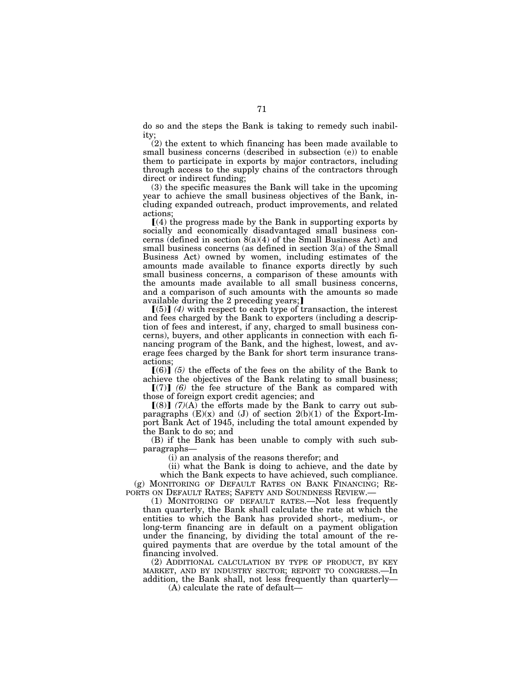do so and the steps the Bank is taking to remedy such inability;

(2) the extent to which financing has been made available to small business concerns (described in subsection (e)) to enable them to participate in exports by major contractors, including through access to the supply chains of the contractors through direct or indirect funding;

(3) the specific measures the Bank will take in the upcoming year to achieve the small business objectives of the Bank, including expanded outreach, product improvements, and related actions;

 $(4)$  the progress made by the Bank in supporting exports by socially and economically disadvantaged small business concerns (defined in section  $8(a)(4)$  of the Small Business Act) and small business concerns (as defined in section 3(a) of the Small Business Act) owned by women, including estimates of the amounts made available to finance exports directly by such small business concerns, a comparison of these amounts with the amounts made available to all small business concerns, and a comparison of such amounts with the amounts so made available during the 2 preceding years;]

 $(5)$  *(4)* with respect to each type of transaction, the interest and fees charged by the Bank to exporters (including a description of fees and interest, if any, charged to small business concerns), buyers, and other applicants in connection with each financing program of the Bank, and the highest, lowest, and average fees charged by the Bank for short term insurance transactions;

 $(6)$  (5) the effects of the fees on the ability of the Bank to achieve the objectives of the Bank relating to small business;

 $\lceil (7) \rceil$  (6) the fee structure of the Bank as compared with those of foreign export credit agencies; and

 $[(8)]$  (7)(A) the efforts made by the Bank to carry out subparagraphs  $(E)(x)$  and  $(J)$  of section  $2(b)(1)$  of the Export-Import Bank Act of 1945, including the total amount expended by the Bank to do so; and

(B) if the Bank has been unable to comply with such subparagraphs—

(i) an analysis of the reasons therefor; and

(ii) what the Bank is doing to achieve, and the date by

which the Bank expects to have achieved, such compliance. (g) MONITORING OF DEFAULT RATES ON BANK FINANCING; RE-PORTS ON DEFAULT RATES; SAFETY AND SOUNDNESS REVIEW.—

(1) MONITORING OF DEFAULT RATES.—Not less frequently than quarterly, the Bank shall calculate the rate at which the entities to which the Bank has provided short-, medium-, or long-term financing are in default on a payment obligation under the financing, by dividing the total amount of the required payments that are overdue by the total amount of the financing involved.

(2) ADDITIONAL CALCULATION BY TYPE OF PRODUCT, BY KEY MARKET, AND BY INDUSTRY SECTOR; REPORT TO CONGRESS.—In addition, the Bank shall, not less frequently than quarterly—

(A) calculate the rate of default—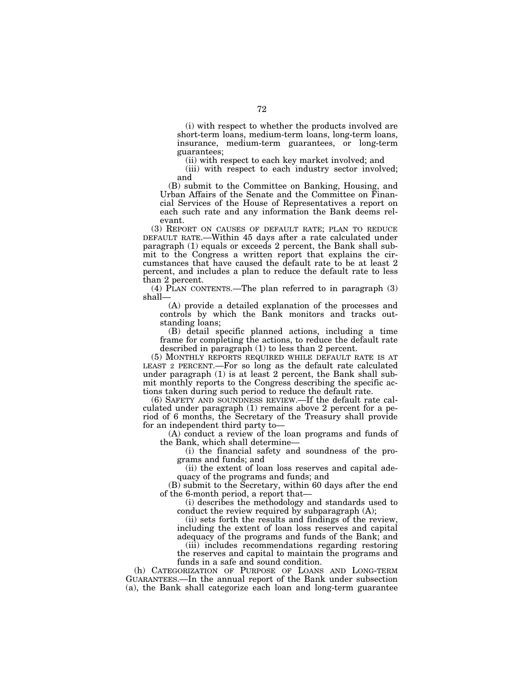(i) with respect to whether the products involved are short-term loans, medium-term loans, long-term loans, insurance, medium-term guarantees, or long-term guarantees;

(ii) with respect to each key market involved; and

(iii) with respect to each industry sector involved; and

(B) submit to the Committee on Banking, Housing, and Urban Affairs of the Senate and the Committee on Financial Services of the House of Representatives a report on each such rate and any information the Bank deems relevant.

(3) REPORT ON CAUSES OF DEFAULT RATE; PLAN TO REDUCE DEFAULT RATE.—Within 45 days after a rate calculated under paragraph (1) equals or exceeds 2 percent, the Bank shall submit to the Congress a written report that explains the circumstances that have caused the default rate to be at least 2 percent, and includes a plan to reduce the default rate to less than 2 percent.

(4) PLAN CONTENTS.—The plan referred to in paragraph (3) shall—

(A) provide a detailed explanation of the processes and controls by which the Bank monitors and tracks outstanding loans;

(B) detail specific planned actions, including a time frame for completing the actions, to reduce the default rate described in paragraph (1) to less than 2 percent.

(5) MONTHLY REPORTS REQUIRED WHILE DEFAULT RATE IS AT LEAST 2 PERCENT.—For so long as the default rate calculated under paragraph (1) is at least 2 percent, the Bank shall submit monthly reports to the Congress describing the specific actions taken during such period to reduce the default rate.

(6) SAFETY AND SOUNDNESS REVIEW.—If the default rate calculated under paragraph (1) remains above 2 percent for a period of 6 months, the Secretary of the Treasury shall provide for an independent third party to—

(A) conduct a review of the loan programs and funds of the Bank, which shall determine—

(i) the financial safety and soundness of the programs and funds; and

(ii) the extent of loan loss reserves and capital adequacy of the programs and funds; and

(B) submit to the Secretary, within 60 days after the end of the 6-month period, a report that—

(i) describes the methodology and standards used to conduct the review required by subparagraph (A);

(ii) sets forth the results and findings of the review, including the extent of loan loss reserves and capital adequacy of the programs and funds of the Bank; and

(iii) includes recommendations regarding restoring the reserves and capital to maintain the programs and funds in a safe and sound condition.

(h) CATEGORIZATION OF PURPOSE OF LOANS AND LONG-TERM GUARANTEES.—In the annual report of the Bank under subsection (a), the Bank shall categorize each loan and long-term guarantee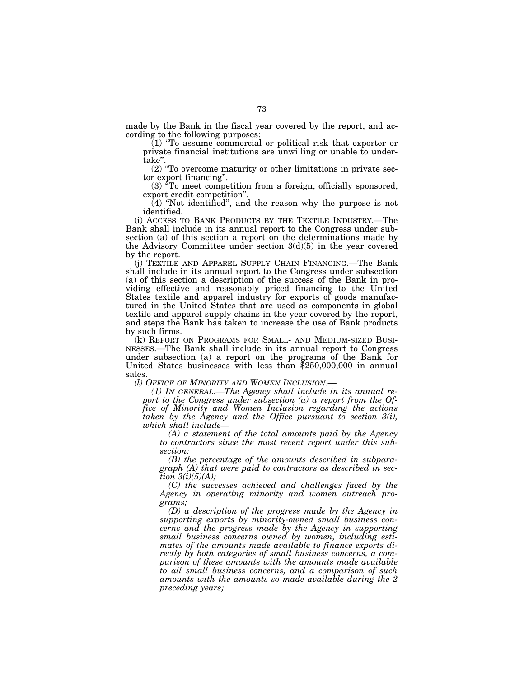made by the Bank in the fiscal year covered by the report, and according to the following purposes:

 $(1)$  "To assume commercial or political risk that exporter or private financial institutions are unwilling or unable to undertake''.

(2) ''To overcome maturity or other limitations in private sector export financing''.

(3) ''To meet competition from a foreign, officially sponsored, export credit competition''.

 $(4)$  "Not identified", and the reason why the purpose is not identified.

(i) ACCESS TO BANK PRODUCTS BY THE TEXTILE INDUSTRY.—The Bank shall include in its annual report to the Congress under subsection (a) of this section a report on the determinations made by the Advisory Committee under section  $3(d)(5)$  in the year covered by the report.

(j) TEXTILE AND APPAREL SUPPLY CHAIN FINANCING.—The Bank shall include in its annual report to the Congress under subsection (a) of this section a description of the success of the Bank in providing effective and reasonably priced financing to the United States textile and apparel industry for exports of goods manufactured in the United States that are used as components in global textile and apparel supply chains in the year covered by the report, and steps the Bank has taken to increase the use of Bank products by such firms.<br>(k) REPORT ON PROGRAMS FOR SMALL- AND MEDIUM-SIZED BUSI-

NESSES.—The Bank shall include in its annual report to Congress under subsection (a) a report on the programs of the Bank for United States businesses with less than \$250,000,000 in annual sales.<br>(1) OFFICE OF MINORITY AND WOMEN INCLUSION.—

*(1) In GENERAL.—The Agency shall include in its annual report to the Congress under subsection (a) a report from the Office of Minority and Women Inclusion regarding the actions taken by the Agency and the Office pursuant to section 3(i), which shall include—* 

*(A) a statement of the total amounts paid by the Agency to contractors since the most recent report under this subsection;* 

*(B) the percentage of the amounts described in subparagraph (A) that were paid to contractors as described in section 3(i)(5)(A);* 

*(C) the successes achieved and challenges faced by the Agency in operating minority and women outreach programs;* 

*(D) a description of the progress made by the Agency in supporting exports by minority-owned small business concerns and the progress made by the Agency in supporting small business concerns owned by women, including estimates of the amounts made available to finance exports directly by both categories of small business concerns, a comparison of these amounts with the amounts made available to all small business concerns, and a comparison of such amounts with the amounts so made available during the 2 preceding years;*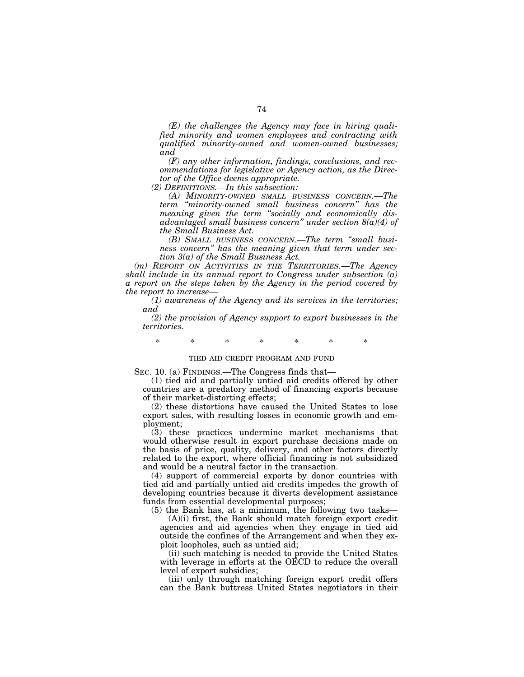*(E) the challenges the Agency may face in hiring qualified minority and women employees and contracting with qualified minority-owned and women-owned businesses; and* 

*(F) any other information, findings, conclusions, and recommendations for legislative or Agency action, as the Director of the Office deems appropriate.* 

*(2) DEFINITIONS.—In this subsection:* 

*(A) MINORITY-OWNED SMALL BUSINESS CONCERN.—The term ''minority-owned small business concern'' has the meaning given the term ''socially and economically disadvantaged small business concern'' under section 8(a)(4) of the Small Business Act.* 

*(B) SMALL BUSINESS CONCERN.—The term ''small business concern'' has the meaning given that term under section 3(a) of the Small Business Act.* 

*(m) REPORT ON ACTIVITIES IN THE TERRITORIES.—The Agency shall include in its annual report to Congress under subsection (a) a report on the steps taken by the Agency in the period covered by the report to increase—* 

*(1) awareness of the Agency and its services in the territories; and* 

*(2) the provision of Agency support to export businesses in the territories.* 

\* \* \* \* \* \* \*

### TIED AID CREDIT PROGRAM AND FUND

SEC. 10. (a) FINDINGS.—The Congress finds that—

(1) tied aid and partially untied aid credits offered by other countries are a predatory method of financing exports because of their market-distorting effects;

(2) these distortions have caused the United States to lose export sales, with resulting losses in economic growth and employment;

(3) these practices undermine market mechanisms that would otherwise result in export purchase decisions made on the basis of price, quality, delivery, and other factors directly related to the export, where official financing is not subsidized and would be a neutral factor in the transaction.

(4) support of commercial exports by donor countries with tied aid and partially untied aid credits impedes the growth of developing countries because it diverts development assistance funds from essential developmental purposes;

(5) the Bank has, at a minimum, the following two tasks—

(A)(i) first, the Bank should match foreign export credit agencies and aid agencies when they engage in tied aid outside the confines of the Arrangement and when they exploit loopholes, such as untied aid;

(ii) such matching is needed to provide the United States with leverage in efforts at the OECD to reduce the overall level of export subsidies;

(iii) only through matching foreign export credit offers can the Bank buttress United States negotiators in their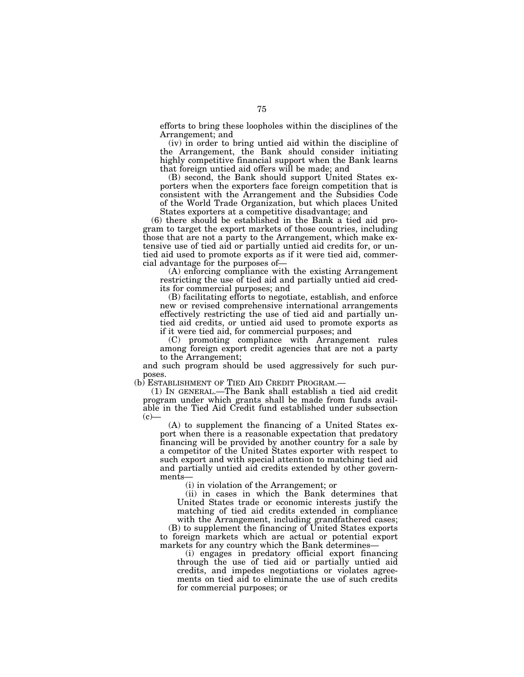efforts to bring these loopholes within the disciplines of the Arrangement; and

(iv) in order to bring untied aid within the discipline of the Arrangement, the Bank should consider initiating highly competitive financial support when the Bank learns that foreign untied aid offers will be made; and

(B) second, the Bank should support United States exporters when the exporters face foreign competition that is consistent with the Arrangement and the Subsidies Code of the World Trade Organization, but which places United States exporters at a competitive disadvantage; and

(6) there should be established in the Bank a tied aid program to target the export markets of those countries, including those that are not a party to the Arrangement, which make extensive use of tied aid or partially untied aid credits for, or untied aid used to promote exports as if it were tied aid, commercial advantage for the purposes of—

(A) enforcing compliance with the existing Arrangement restricting the use of tied aid and partially untied aid credits for commercial purposes; and

(B) facilitating efforts to negotiate, establish, and enforce new or revised comprehensive international arrangements effectively restricting the use of tied aid and partially untied aid credits, or untied aid used to promote exports as if it were tied aid, for commercial purposes; and

(C) promoting compliance with Arrangement rules among foreign export credit agencies that are not a party to the Arrangement;

and such program should be used aggressively for such pur-

poses.<br>(b) ESTABLISHMENT OF TIED AID CREDIT PROGRAM.—

(1) IN GENERAL.—The Bank shall establish a tied aid credit program under which grants shall be made from funds available in the Tied Aid Credit fund established under subsection  $(c)$ —

(A) to supplement the financing of a United States export when there is a reasonable expectation that predatory financing will be provided by another country for a sale by a competitor of the United States exporter with respect to such export and with special attention to matching tied aid and partially untied aid credits extended by other governments

(i) in violation of the Arrangement; or

(ii) in cases in which the Bank determines that United States trade or economic interests justify the matching of tied aid credits extended in compliance with the Arrangement, including grandfathered cases;

(B) to supplement the financing of United States exports to foreign markets which are actual or potential export markets for any country which the Bank determines—

(i) engages in predatory official export financing through the use of tied aid or partially untied aid credits, and impedes negotiations or violates agreements on tied aid to eliminate the use of such credits for commercial purposes; or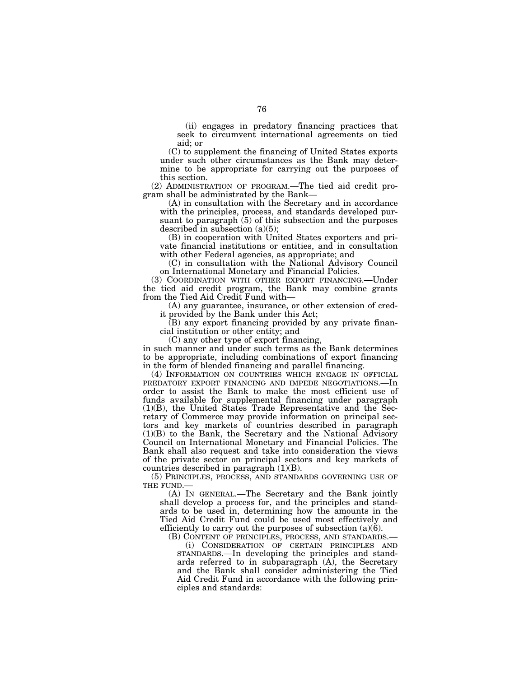(ii) engages in predatory financing practices that seek to circumvent international agreements on tied aid; or

(C) to supplement the financing of United States exports under such other circumstances as the Bank may determine to be appropriate for carrying out the purposes of this section.

(2) ADMINISTRATION OF PROGRAM.—The tied aid credit program shall be administrated by the Bank—

(A) in consultation with the Secretary and in accordance with the principles, process, and standards developed pursuant to paragraph (5) of this subsection and the purposes described in subsection (a)(5);

(B) in cooperation with United States exporters and private financial institutions or entities, and in consultation with other Federal agencies, as appropriate; and

(C) in consultation with the National Advisory Council on International Monetary and Financial Policies.

(3) COORDINATION WITH OTHER EXPORT FINANCING.—Under the tied aid credit program, the Bank may combine grants from the Tied Aid Credit Fund with—

(A) any guarantee, insurance, or other extension of credit provided by the Bank under this Act;

 $(B)$  any export financing provided by any private financial institution or other entity; and

(C) any other type of export financing,

in such manner and under such terms as the Bank determines to be appropriate, including combinations of export financing in the form of blended financing and parallel financing.

(4) INFORMATION ON COUNTRIES WHICH ENGAGE IN OFFICIAL PREDATORY EXPORT FINANCING AND IMPEDE NEGOTIATIONS.—In order to assist the Bank to make the most efficient use of funds available for supplemental financing under paragraph (1)(B), the United States Trade Representative and the Secretary of Commerce may provide information on principal sectors and key markets of countries described in paragraph (1)(B) to the Bank, the Secretary and the National Advisory Council on International Monetary and Financial Policies. The Bank shall also request and take into consideration the views of the private sector on principal sectors and key markets of countries described in paragraph (1)(B).

(5) PRINCIPLES, PROCESS, AND STANDARDS GOVERNING USE OF THE FUND.-

(A) IN GENERAL.—The Secretary and the Bank jointly shall develop a process for, and the principles and standards to be used in, determining how the amounts in the Tied Aid Credit Fund could be used most effectively and efficiently to carry out the purposes of subsection  $(a)(6)$ .

(B) CONTENT OF PRINCIPLES, PROCESS, AND STANDARDS.— (i) CONSIDERATION OF CERTAIN PRINCIPLES AND STANDARDS.—In developing the principles and standards referred to in subparagraph (A), the Secretary and the Bank shall consider administering the Tied Aid Credit Fund in accordance with the following principles and standards: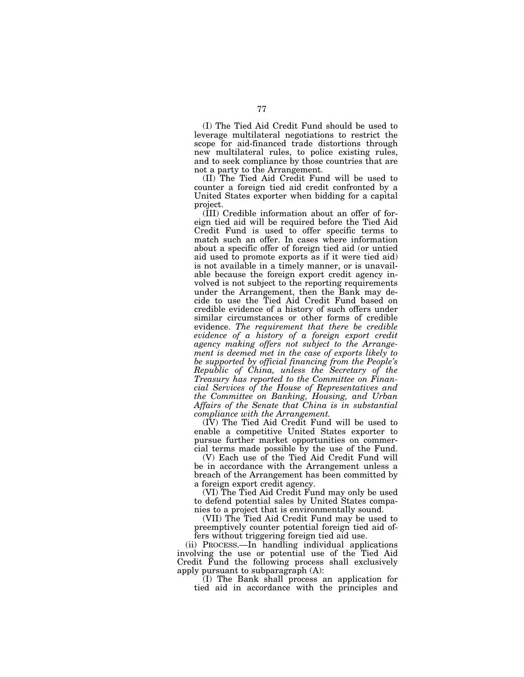(I) The Tied Aid Credit Fund should be used to leverage multilateral negotiations to restrict the scope for aid-financed trade distortions through new multilateral rules, to police existing rules, and to seek compliance by those countries that are not a party to the Arrangement.

(II) The Tied Aid Credit Fund will be used to counter a foreign tied aid credit confronted by a United States exporter when bidding for a capital project.

(III) Credible information about an offer of foreign tied aid will be required before the Tied Aid Credit Fund is used to offer specific terms to match such an offer. In cases where information about a specific offer of foreign tied aid (or untied aid used to promote exports as if it were tied aid) is not available in a timely manner, or is unavailable because the foreign export credit agency involved is not subject to the reporting requirements under the Arrangement, then the Bank may decide to use the Tied Aid Credit Fund based on credible evidence of a history of such offers under similar circumstances or other forms of credible evidence. *The requirement that there be credible evidence of a history of a foreign export credit agency making offers not subject to the Arrangement is deemed met in the case of exports likely to be supported by official financing from the People's Republic of China, unless the Secretary of the Treasury has reported to the Committee on Financial Services of the House of Representatives and the Committee on Banking, Housing, and Urban Affairs of the Senate that China is in substantial compliance with the Arrangement.* 

(IV) The Tied Aid Credit Fund will be used to enable a competitive United States exporter to pursue further market opportunities on commercial terms made possible by the use of the Fund.

(V) Each use of the Tied Aid Credit Fund will be in accordance with the Arrangement unless a breach of the Arrangement has been committed by a foreign export credit agency.

(VI) The Tied Aid Credit Fund may only be used to defend potential sales by United States companies to a project that is environmentally sound.

(VII) The Tied Aid Credit Fund may be used to preemptively counter potential foreign tied aid offers without triggering foreign tied aid use.

(ii) PROCESS.—In handling individual applications involving the use or potential use of the Tied Aid Credit Fund the following process shall exclusively apply pursuant to subparagraph (A):

(I) The Bank shall process an application for tied aid in accordance with the principles and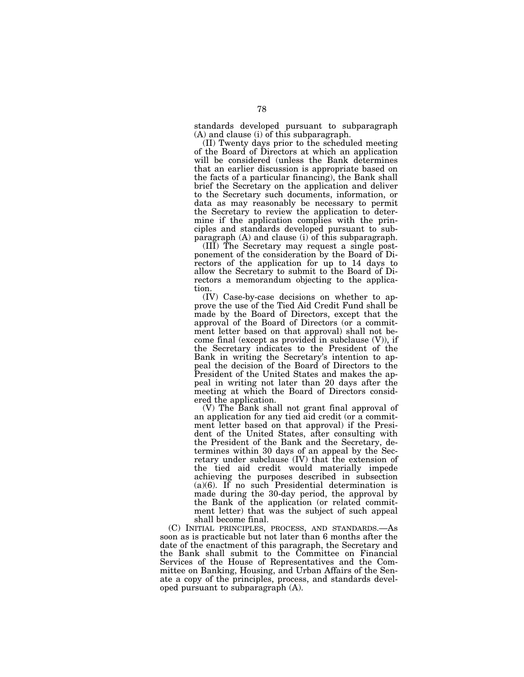standards developed pursuant to subparagraph (A) and clause (i) of this subparagraph.

(II) Twenty days prior to the scheduled meeting of the Board of Directors at which an application will be considered (unless the Bank determines that an earlier discussion is appropriate based on the facts of a particular financing), the Bank shall brief the Secretary on the application and deliver to the Secretary such documents, information, or data as may reasonably be necessary to permit the Secretary to review the application to determine if the application complies with the principles and standards developed pursuant to subparagraph (A) and clause (i) of this subparagraph.

(III) The Secretary may request a single postponement of the consideration by the Board of Directors of the application for up to 14 days to allow the Secretary to submit to the Board of Directors a memorandum objecting to the application.

(IV) Case-by-case decisions on whether to approve the use of the Tied Aid Credit Fund shall be made by the Board of Directors, except that the approval of the Board of Directors (or a commitment letter based on that approval) shall not become final (except as provided in subclause (V)), if the Secretary indicates to the President of the Bank in writing the Secretary's intention to appeal the decision of the Board of Directors to the President of the United States and makes the appeal in writing not later than 20 days after the meeting at which the Board of Directors considered the application.

(V) The Bank shall not grant final approval of an application for any tied aid credit (or a commitment letter based on that approval) if the President of the United States, after consulting with the President of the Bank and the Secretary, determines within 30 days of an appeal by the Secretary under subclause (IV) that the extension of the tied aid credit would materially impede achieving the purposes described in subsection  $(a)(6)$ . If no such Presidential determination is made during the 30-day period, the approval by the Bank of the application (or related commitment letter) that was the subject of such appeal shall become final.

(C) INITIAL PRINCIPLES, PROCESS, AND STANDARDS.—As soon as is practicable but not later than 6 months after the date of the enactment of this paragraph, the Secretary and the Bank shall submit to the Committee on Financial Services of the House of Representatives and the Committee on Banking, Housing, and Urban Affairs of the Senate a copy of the principles, process, and standards developed pursuant to subparagraph (A).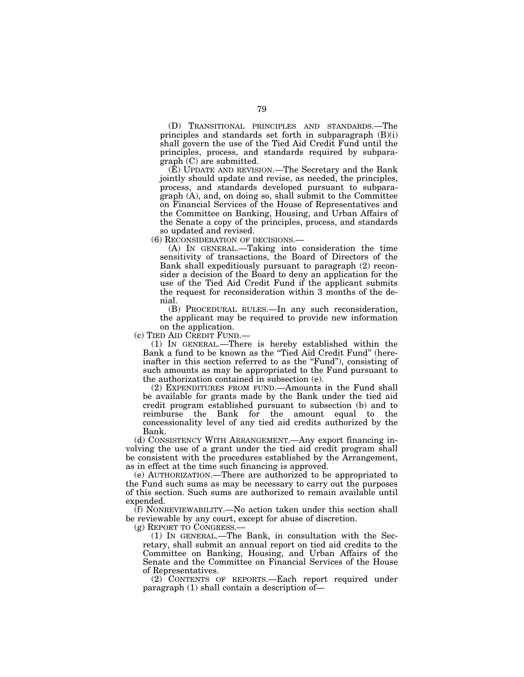(D) TRANSITIONAL PRINCIPLES AND STANDARDS.—The principles and standards set forth in subparagraph (B)(i) shall govern the use of the Tied Aid Credit Fund until the principles, process, and standards required by subparagraph (C) are submitted.

(E) UPDATE AND REVISION.—The Secretary and the Bank jointly should update and revise, as needed, the principles, process, and standards developed pursuant to subparagraph (A), and, on doing so, shall submit to the Committee on Financial Services of the House of Representatives and the Committee on Banking, Housing, and Urban Affairs of the Senate a copy of the principles, process, and standards so updated and revised.

(6) RECONSIDERATION OF DECISIONS.—

(A) IN GENERAL.—Taking into consideration the time sensitivity of transactions, the Board of Directors of the Bank shall expeditiously pursuant to paragraph (2) reconsider a decision of the Board to deny an application for the use of the Tied Aid Credit Fund if the applicant submits the request for reconsideration within 3 months of the denial.

(B) PROCEDURAL RULES.—In any such reconsideration, the applicant may be required to provide new information on the application.

(c) TIED AID CREDIT FUND.—

(1) IN GENERAL.—There is hereby established within the Bank a fund to be known as the ''Tied Aid Credit Fund'' (hereinafter in this section referred to as the "Fund"), consisting of such amounts as may be appropriated to the Fund pursuant to the authorization contained in subsection (e).

(2) EXPENDITURES FROM FUND.—Amounts in the Fund shall be available for grants made by the Bank under the tied aid credit program established pursuant to subsection (b) and to reimburse the Bank for the amount equal to the concessionality level of any tied aid credits authorized by the Bank.

(d) CONSISTENCY WITH ARRANGEMENT.—Any export financing involving the use of a grant under the tied aid credit program shall be consistent with the procedures established by the Arrangement, as in effect at the time such financing is approved.

(e) AUTHORIZATION.—There are authorized to be appropriated to the Fund such sums as may be necessary to carry out the purposes of this section. Such sums are authorized to remain available until expended.

(f) NONREVIEWABILITY.—No action taken under this section shall be reviewable by any court, except for abuse of discretion.

(g) REPORT TO CONGRESS.—

(1) IN GENERAL.—The Bank, in consultation with the Secretary, shall submit an annual report on tied aid credits to the Committee on Banking, Housing, and Urban Affairs of the Senate and the Committee on Financial Services of the House of Representatives.

(2) CONTENTS OF REPORTS.—Each report required under paragraph (1) shall contain a description of—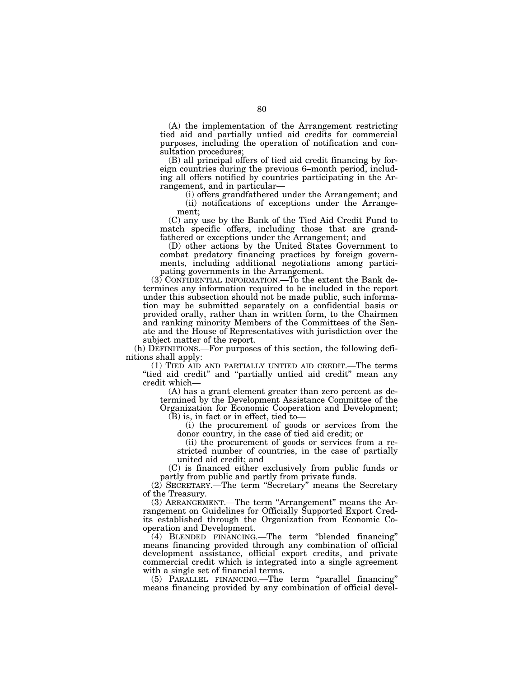(A) the implementation of the Arrangement restricting tied aid and partially untied aid credits for commercial purposes, including the operation of notification and consultation procedures;

(B) all principal offers of tied aid credit financing by foreign countries during the previous 6–month period, including all offers notified by countries participating in the Arrangement, and in particular—

(i) offers grandfathered under the Arrangement; and (ii) notifications of exceptions under the Arrange-

ment; (C) any use by the Bank of the Tied Aid Credit Fund to match specific offers, including those that are grandfathered or exceptions under the Arrangement; and

(D) other actions by the United States Government to combat predatory financing practices by foreign governments, including additional negotiations among participating governments in the Arrangement.

(3) CONFIDENTIAL INFORMATION.—To the extent the Bank determines any information required to be included in the report under this subsection should not be made public, such information may be submitted separately on a confidential basis or provided orally, rather than in written form, to the Chairmen and ranking minority Members of the Committees of the Senate and the House of Representatives with jurisdiction over the subject matter of the report.

(h) DEFINITIONS.—For purposes of this section, the following definitions shall apply:

(1) TIED AID AND PARTIALLY UNTIED AID CREDIT.—The terms "tied aid credit" and "partially untied aid credit" mean any credit which—

(A) has a grant element greater than zero percent as determined by the Development Assistance Committee of the Organization for Economic Cooperation and Development;

(B) is, in fact or in effect, tied to—

(i) the procurement of goods or services from the donor country, in the case of tied aid credit; or

(ii) the procurement of goods or services from a restricted number of countries, in the case of partially united aid credit; and

(C) is financed either exclusively from public funds or partly from public and partly from private funds.

(2) SECRETARY.—The term ''Secretary'' means the Secretary of the Treasury.

(3) ARRANGEMENT.—The term "Arrangement" means the Arrangement on Guidelines for Officially Supported Export Credits established through the Organization from Economic Cooperation and Development.

(4) BLENDED FINANCING.—The term ''blended financing'' means financing provided through any combination of official development assistance, official export credits, and private commercial credit which is integrated into a single agreement with a single set of financial terms.

(5) PARALLEL FINANCING.—The term ''parallel financing'' means financing provided by any combination of official devel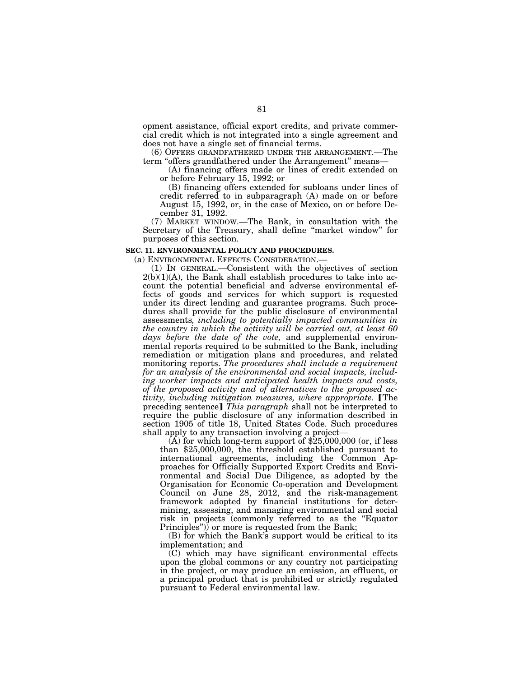opment assistance, official export credits, and private commercial credit which is not integrated into a single agreement and does not have a single set of financial terms.

(6) OFFERS GRANDFATHERED UNDER THE ARRANGEMENT.—The term "offers grandfathered under the Arrangement" means-

(A) financing offers made or lines of credit extended on or before February 15, 1992; or

(B) financing offers extended for subloans under lines of credit referred to in subparagraph (A) made on or before August 15, 1992, or, in the case of Mexico, on or before December 31, 1992.

(7) MARKET WINDOW.—The Bank, in consultation with the Secretary of the Treasury, shall define "market window" for purposes of this section.

### **SEC. 11. ENVIRONMENTAL POLICY AND PROCEDURES.**

(a) ENVIRONMENTAL EFFECTS CONSIDERATION.—

(1) IN GENERAL.—Consistent with the objectives of section  $2(b)(1)(A)$ , the Bank shall establish procedures to take into account the potential beneficial and adverse environmental effects of goods and services for which support is requested under its direct lending and guarantee programs. Such procedures shall provide for the public disclosure of environmental assessments*, including to potentially impacted communities in the country in which the activity will be carried out, at least 60 days before the date of the vote,* and supplemental environmental reports required to be submitted to the Bank, including remediation or mitigation plans and procedures, and related monitoring reports. *The procedures shall include a requirement for an analysis of the environmental and social impacts, including worker impacts and anticipated health impacts and costs, of the proposed activity and of alternatives to the proposed activity, including mitigation measures, where appropriate.* [The preceding sentence] *This paragraph* shall not be interpreted to require the public disclosure of any information described in section 1905 of title 18, United States Code. Such procedures shall apply to any transaction involving a project—

 $\tilde{A}$ ) for which long-term support of \$25,000,000 (or, if less than \$25,000,000, the threshold established pursuant to international agreements, including the Common Approaches for Officially Supported Export Credits and Environmental and Social Due Diligence, as adopted by the Organisation for Economic Co-operation and Development Council on June 28, 2012, and the risk-management framework adopted by financial institutions for determining, assessing, and managing environmental and social risk in projects (commonly referred to as the ''Equator Principles'')) or more is requested from the Bank;

(B) for which the Bank's support would be critical to its implementation; and

(C) which may have significant environmental effects upon the global commons or any country not participating in the project, or may produce an emission, an effluent, or a principal product that is prohibited or strictly regulated pursuant to Federal environmental law.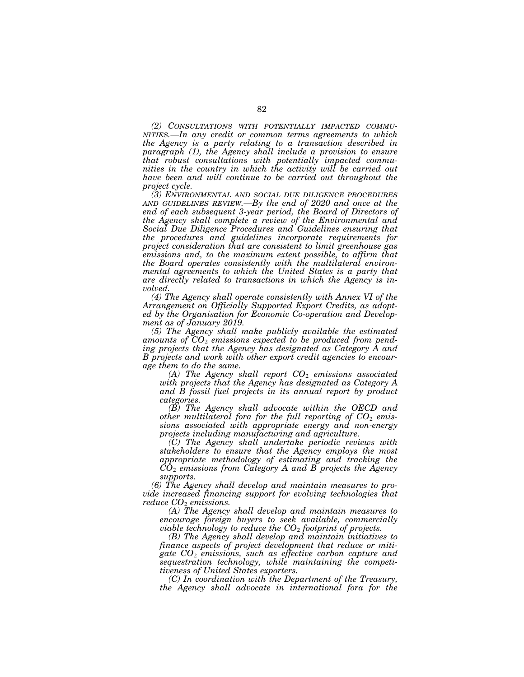*(2) CONSULTATIONS WITH POTENTIALLY IMPACTED COMMU- NITIES.—In any credit or common terms agreements to which the Agency is a party relating to a transaction described in paragraph (1), the Agency shall include a provision to ensure that robust consultations with potentially impacted communities in the country in which the activity will be carried out have been and will continue to be carried out throughout the project cycle.* 

*(3) ENVIRONMENTAL AND SOCIAL DUE DILIGENCE PROCEDURES AND GUIDELINES REVIEW.—By the end of 2020 and once at the end of each subsequent 3-year period, the Board of Directors of the Agency shall complete a review of the Environmental and Social Due Diligence Procedures and Guidelines ensuring that the procedures and guidelines incorporate requirements for project consideration that are consistent to limit greenhouse gas emissions and, to the maximum extent possible, to affirm that the Board operates consistently with the multilateral environmental agreements to which the United States is a party that are directly related to transactions in which the Agency is involved.* 

*(4) The Agency shall operate consistently with Annex VI of the Arrangement on Officially Supported Export Credits, as adopted by the Organisation for Economic Co-operation and Development as of January 2019.* 

*(5) The Agency shall make publicly available the estimated amounts of CO*2 *emissions expected to be produced from pending projects that the Agency has designated as Category A and B projects and work with other export credit agencies to encourage them to do the same.* 

*(A) The Agency shall report CO*2 *emissions associated with projects that the Agency has designated as Category A and B fossil fuel projects in its annual report by product categories.* 

*(B) The Agency shall advocate within the OECD and*  other multilateral fora for the full reporting of  $CO<sub>2</sub>$  emis*sions associated with appropriate energy and non-energy projects including manufacturing and agriculture.* 

*(C) The Agency shall undertake periodic reviews with stakeholders to ensure that the Agency employs the most appropriate methodology of estimating and tracking the CO*2 *emissions from Category A and B projects the Agency supports.* 

*(6) The Agency shall develop and maintain measures to provide increased financing support for evolving technologies that reduce CO*2 *emissions.* 

*(A) The Agency shall develop and maintain measures to encourage foreign buyers to seek available, commercially viable technology to reduce the CO*2 *footprint of projects.* 

*(B) The Agency shall develop and maintain initiatives to finance aspects of project development that reduce or mitigate CO*2 *emissions, such as effective carbon capture and sequestration technology, while maintaining the competitiveness of United States exporters.* 

*(C) In coordination with the Department of the Treasury, the Agency shall advocate in international fora for the*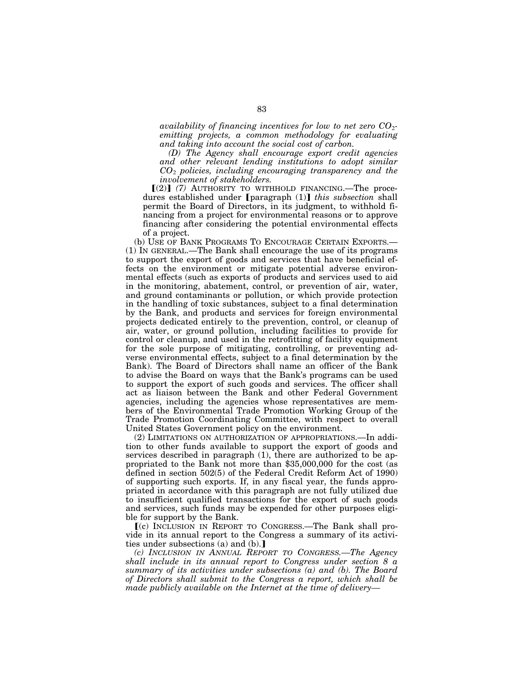*availability of financing incentives for low to net zero CO*2 *emitting projects, a common methodology for evaluating and taking into account the social cost of carbon.* 

*(D) The Agency shall encourage export credit agencies and other relevant lending institutions to adopt similar CO*2 *policies, including encouraging transparency and the involvement of stakeholders.* 

 $[(2)]$  (7) AUTHORITY TO WITHHOLD FINANCING.—The procedures established under [paragraph (1)] *this subsection* shall permit the Board of Directors, in its judgment, to withhold financing from a project for environmental reasons or to approve financing after considering the potential environmental effects of a project.

(b) USE OF BANK PROGRAMS TO ENCOURAGE CERTAIN EXPORTS.— (1) IN GENERAL.—The Bank shall encourage the use of its programs to support the export of goods and services that have beneficial effects on the environment or mitigate potential adverse environmental effects (such as exports of products and services used to aid in the monitoring, abatement, control, or prevention of air, water, and ground contaminants or pollution, or which provide protection in the handling of toxic substances, subject to a final determination by the Bank, and products and services for foreign environmental projects dedicated entirely to the prevention, control, or cleanup of air, water, or ground pollution, including facilities to provide for control or cleanup, and used in the retrofitting of facility equipment for the sole purpose of mitigating, controlling, or preventing adverse environmental effects, subject to a final determination by the Bank). The Board of Directors shall name an officer of the Bank to advise the Board on ways that the Bank's programs can be used to support the export of such goods and services. The officer shall act as liaison between the Bank and other Federal Government agencies, including the agencies whose representatives are members of the Environmental Trade Promotion Working Group of the Trade Promotion Coordinating Committee, with respect to overall United States Government policy on the environment.

(2) LIMITATIONS ON AUTHORIZATION OF APPROPRIATIONS.—In addition to other funds available to support the export of goods and services described in paragraph (1), there are authorized to be appropriated to the Bank not more than \$35,000,000 for the cost (as defined in section 502(5) of the Federal Credit Reform Act of 1990) of supporting such exports. If, in any fiscal year, the funds appropriated in accordance with this paragraph are not fully utilized due to insufficient qualified transactions for the export of such goods and services, such funds may be expended for other purposes eligible for support by the Bank.

ø(c) INCLUSION IN REPORT TO CONGRESS.—The Bank shall provide in its annual report to the Congress a summary of its activities under subsections (a) and (b).

*(c) INCLUSION IN ANNUAL REPORT TO CONGRESS.—The Agency shall include in its annual report to Congress under section 8 a summary of its activities under subsections (a) and (b). The Board of Directors shall submit to the Congress a report, which shall be made publicly available on the Internet at the time of delivery—*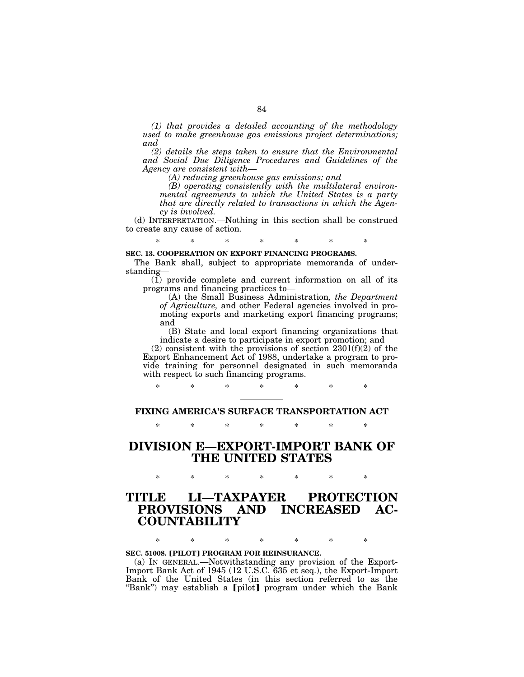*(1) that provides a detailed accounting of the methodology used to make greenhouse gas emissions project determinations; and* 

*(2) details the steps taken to ensure that the Environmental and Social Due Diligence Procedures and Guidelines of the Agency are consistent with—* 

*(A) reducing greenhouse gas emissions; and* 

*(B) operating consistently with the multilateral environmental agreements to which the United States is a party that are directly related to transactions in which the Agency is involved.* 

(d) INTERPRETATION.—Nothing in this section shall be construed to create any cause of action.

\* \* \* \* \* \* \*

## **SEC. 13. COOPERATION ON EXPORT FINANCING PROGRAMS.**

The Bank shall, subject to appropriate memoranda of understanding—

 $(1)$  provide complete and current information on all of its programs and financing practices to—

(A) the Small Business Administration*, the Department of Agriculture,* and other Federal agencies involved in promoting exports and marketing export financing programs; and

(B) State and local export financing organizations that indicate a desire to participate in export promotion; and

 $(2)$  consistent with the provisions of section  $2301(f)(2)$  of the Export Enhancement Act of 1988, undertake a program to provide training for personnel designated in such memoranda with respect to such financing programs.

\* \* \* \* \* \* \*

### **FIXING AMERICA'S SURFACE TRANSPORTATION ACT**

\* \* \* \* \* \* \*

# **DIVISION E—EXPORT-IMPORT BANK OF THE UNITED STATES**

\* \* \* \* \* \* \*

# **TITLE LI—TAXPAYER PROTECTION PROVISIONS AND INCREASED AC-COUNTABILITY**

\* \* \* \* \* \* \*

### **SEC. 51008. [PILOT] PROGRAM FOR REINSURANCE.**

(a) IN GENERAL.—Notwithstanding any provision of the Export-Import Bank Act of 1945 (12 U.S.C. 635 et seq.), the Export-Import Bank of the United States (in this section referred to as the "Bank") may establish a [pilot] program under which the Bank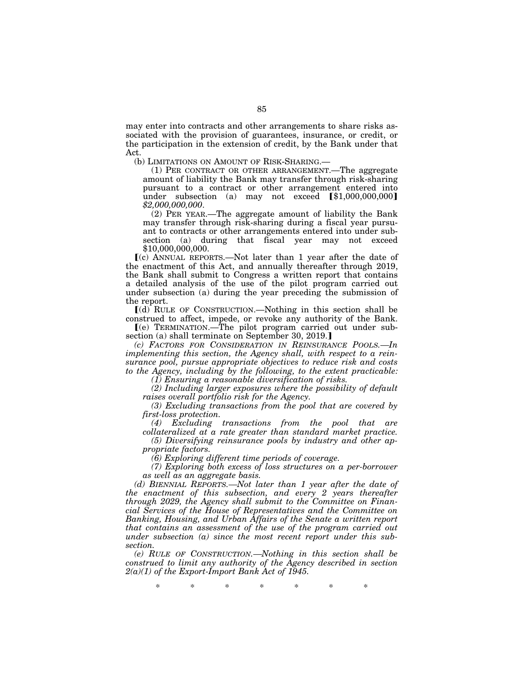may enter into contracts and other arrangements to share risks associated with the provision of guarantees, insurance, or credit, or the participation in the extension of credit, by the Bank under that Act.

(b) LIMITATIONS ON AMOUNT OF RISK-SHARING.—

(1) PER CONTRACT OR OTHER ARRANGEMENT.—The aggregate amount of liability the Bank may transfer through risk-sharing pursuant to a contract or other arrangement entered into under subsection (a) may not exceed  $[\$1,000,000,000]$ *\$2,000,000,000*.

(2) PER YEAR.—The aggregate amount of liability the Bank may transfer through risk-sharing during a fiscal year pursuant to contracts or other arrangements entered into under subsection (a) during that fiscal year may not exceed \$10,000,000,000.

 $(c)$  ANNUAL REPORTS.—Not later than 1 year after the date of the enactment of this Act, and annually thereafter through 2019, the Bank shall submit to Congress a written report that contains a detailed analysis of the use of the pilot program carried out under subsection (a) during the year preceding the submission of the report.

ø(d) RULE OF CONSTRUCTION.—Nothing in this section shall be construed to affect, impede, or revoke any authority of the Bank.

ø(e) TERMINATION.—The pilot program carried out under subsection (a) shall terminate on September 30, 2019.

*(c) FACTORS FOR CONSIDERATION IN REINSURANCE POOLS.—In implementing this section, the Agency shall, with respect to a reinsurance pool, pursue appropriate objectives to reduce risk and costs to the Agency, including by the following, to the extent practicable:* 

*(1) Ensuring a reasonable diversification of risks.* 

*(2) Including larger exposures where the possibility of default raises overall portfolio risk for the Agency.* 

*(3) Excluding transactions from the pool that are covered by first-loss protection.* 

*(4) Excluding transactions from the pool that are collateralized at a rate greater than standard market practice.* 

*(5) Diversifying reinsurance pools by industry and other appropriate factors.* 

*(6) Exploring different time periods of coverage.* 

*(7) Exploring both excess of loss structures on a per-borrower as well as an aggregate basis.* 

*(d) BIENNIAL REPORTS.—Not later than 1 year after the date of the enactment of this subsection, and every 2 years thereafter through 2029, the Agency shall submit to the Committee on Financial Services of the House of Representatives and the Committee on Banking, Housing, and Urban Affairs of the Senate a written report that contains an assessment of the use of the program carried out under subsection (a) since the most recent report under this subsection.* 

*(e) RULE OF CONSTRUCTION.—Nothing in this section shall be construed to limit any authority of the Agency described in section 2(a)(1) of the Export-Import Bank Act of 1945.* 

\* \* \* \* \* \* \*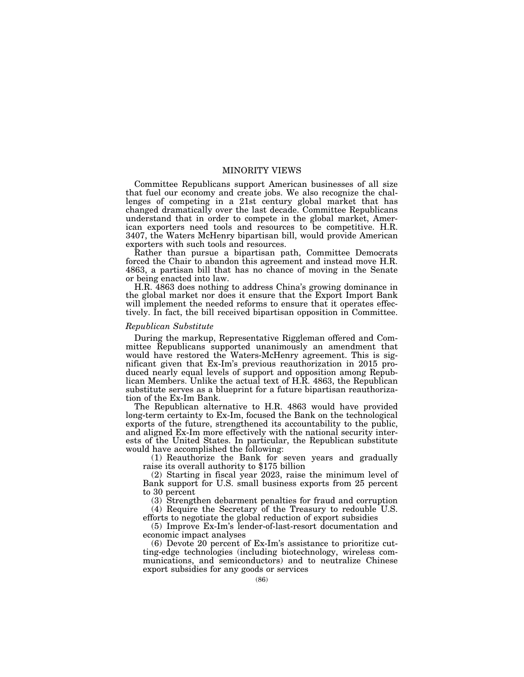## MINORITY VIEWS

Committee Republicans support American businesses of all size that fuel our economy and create jobs. We also recognize the challenges of competing in a 21st century global market that has changed dramatically over the last decade. Committee Republicans understand that in order to compete in the global market, American exporters need tools and resources to be competitive. H.R. 3407, the Waters McHenry bipartisan bill, would provide American exporters with such tools and resources.

Rather than pursue a bipartisan path, Committee Democrats forced the Chair to abandon this agreement and instead move H.R. 4863, a partisan bill that has no chance of moving in the Senate or being enacted into law.

H.R. 4863 does nothing to address China's growing dominance in the global market nor does it ensure that the Export Import Bank will implement the needed reforms to ensure that it operates effectively. In fact, the bill received bipartisan opposition in Committee.

#### *Republican Substitute*

During the markup, Representative Riggleman offered and Committee Republicans supported unanimously an amendment that would have restored the Waters-McHenry agreement. This is significant given that Ex-Im's previous reauthorization in 2015 produced nearly equal levels of support and opposition among Republican Members. Unlike the actual text of H.R. 4863, the Republican substitute serves as a blueprint for a future bipartisan reauthorization of the Ex-Im Bank.

The Republican alternative to H.R. 4863 would have provided long-term certainty to Ex-Im, focused the Bank on the technological exports of the future, strengthened its accountability to the public, and aligned Ex-Im more effectively with the national security interests of the United States. In particular, the Republican substitute would have accomplished the following:

(1) Reauthorize the Bank for seven years and gradually raise its overall authority to \$175 billion

(2) Starting in fiscal year 2023, raise the minimum level of Bank support for U.S. small business exports from 25 percent to 30 percent

(3) Strengthen debarment penalties for fraud and corruption (4) Require the Secretary of the Treasury to redouble U.S.

efforts to negotiate the global reduction of export subsidies (5) Improve Ex-Im's lender-of-last-resort documentation and

economic impact analyses

(6) Devote 20 percent of Ex-Im's assistance to prioritize cutting-edge technologies (including biotechnology, wireless communications, and semiconductors) and to neutralize Chinese export subsidies for any goods or services